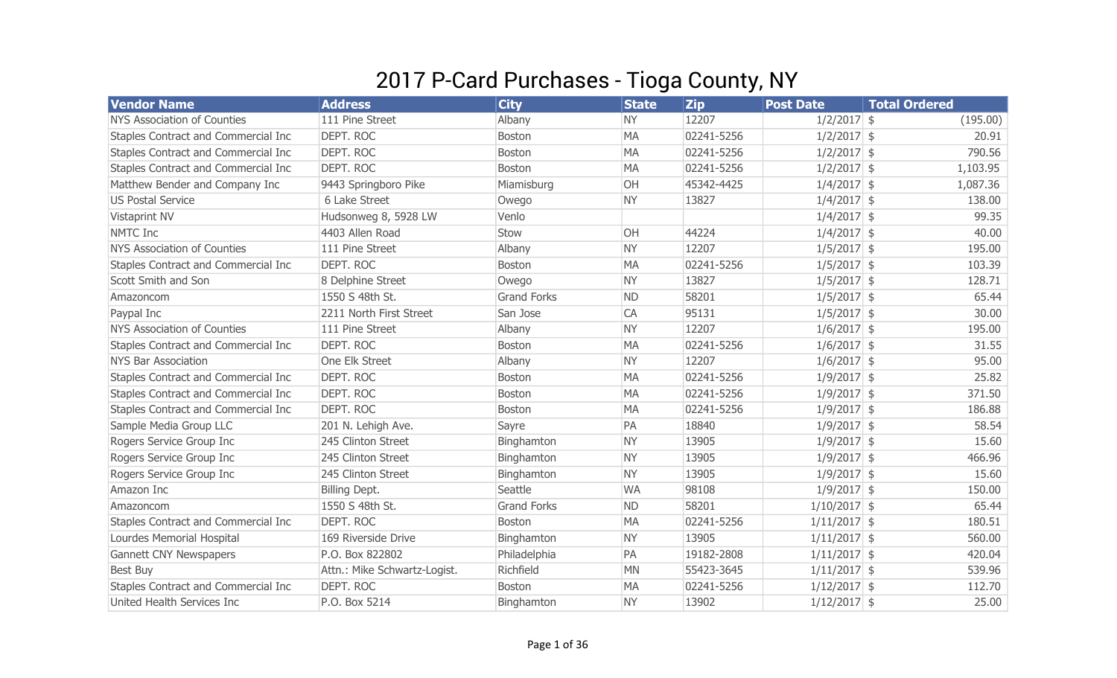## 2017 P-Card Purchases - Tioga County, NY

| <b>Vendor Name</b>                  | <b>Address</b>               | <b>City</b>        | <b>State</b> | <b>Zip</b> | <b>Post Date</b> | <b>Total Ordered</b> |
|-------------------------------------|------------------------------|--------------------|--------------|------------|------------------|----------------------|
| <b>NYS Association of Counties</b>  | 111 Pine Street              | Albany             | <b>NY</b>    | 12207      | $1/2/2017$ \$    | (195.00)             |
| Staples Contract and Commercial Inc | DEPT. ROC                    | Boston             | <b>MA</b>    | 02241-5256 | $1/2/2017$ \$    | 20.91                |
| Staples Contract and Commercial Inc | DEPT. ROC                    | Boston             | <b>MA</b>    | 02241-5256 | $1/2/2017$ \$    | 790.56               |
| Staples Contract and Commercial Inc | DEPT. ROC                    | Boston             | <b>MA</b>    | 02241-5256 | $1/2/2017$ \$    | 1,103.95             |
| Matthew Bender and Company Inc      | 9443 Springboro Pike         | Miamisburg         | OH           | 45342-4425 | $1/4/2017$ \$    | 1,087.36             |
| <b>US Postal Service</b>            | 6 Lake Street                | Owego              | <b>NY</b>    | 13827      | $1/4/2017$ \$    | 138.00               |
| Vistaprint NV                       | Hudsonweg 8, 5928 LW         | Venlo              |              |            | $1/4/2017$ \$    | 99.35                |
| <b>NMTC Inc</b>                     | 4403 Allen Road              | Stow               | OH           | 44224      | $1/4/2017$ \$    | 40.00                |
| <b>NYS Association of Counties</b>  | 111 Pine Street              | Albany             | <b>NY</b>    | 12207      | $1/5/2017$ \$    | 195.00               |
| Staples Contract and Commercial Inc | DEPT. ROC                    | Boston             | <b>MA</b>    | 02241-5256 | $1/5/2017$ \$    | 103.39               |
| Scott Smith and Son                 | 8 Delphine Street            | Owego              | <b>NY</b>    | 13827      | $1/5/2017$ \$    | 128.71               |
| Amazoncom                           | 1550 S 48th St.              | <b>Grand Forks</b> | <b>ND</b>    | 58201      | $1/5/2017$ \$    | 65.44                |
| Paypal Inc                          | 2211 North First Street      | San Jose           | CA           | 95131      | $1/5/2017$ \$    | 30.00                |
| <b>NYS Association of Counties</b>  | 111 Pine Street              | Albany             | <b>NY</b>    | 12207      | $1/6/2017$ \$    | 195.00               |
| Staples Contract and Commercial Inc | DEPT. ROC                    | Boston             | <b>MA</b>    | 02241-5256 | $1/6/2017$ \$    | 31.55                |
| <b>NYS Bar Association</b>          | One Elk Street               | Albany             | <b>NY</b>    | 12207      | $1/6/2017$ \$    | 95.00                |
| Staples Contract and Commercial Inc | DEPT. ROC                    | Boston             | <b>MA</b>    | 02241-5256 | $1/9/2017$ \$    | 25.82                |
| Staples Contract and Commercial Inc | <b>DEPT. ROC</b>             | <b>Boston</b>      | <b>MA</b>    | 02241-5256 | $1/9/2017$ \$    | 371.50               |
| Staples Contract and Commercial Inc | DEPT. ROC                    | Boston             | <b>MA</b>    | 02241-5256 | $1/9/2017$ \$    | 186.88               |
| Sample Media Group LLC              | 201 N. Lehigh Ave.           | Sayre              | PA           | 18840      | $1/9/2017$ \$    | 58.54                |
| Rogers Service Group Inc            | 245 Clinton Street           | Binghamton         | <b>NY</b>    | 13905      | $1/9/2017$ \$    | 15.60                |
| Rogers Service Group Inc            | 245 Clinton Street           | Binghamton         | <b>NY</b>    | 13905      | $1/9/2017$ \$    | 466.96               |
| Rogers Service Group Inc            | 245 Clinton Street           | Binghamton         | <b>NY</b>    | 13905      | $1/9/2017$ \$    | 15.60                |
| Amazon Inc                          | Billing Dept.                | Seattle            | <b>WA</b>    | 98108      | $1/9/2017$ \$    | 150.00               |
| Amazoncom                           | 1550 S 48th St.              | <b>Grand Forks</b> | <b>ND</b>    | 58201      | $1/10/2017$ \$   | 65.44                |
| Staples Contract and Commercial Inc | DEPT. ROC                    | Boston             | <b>MA</b>    | 02241-5256 | $1/11/2017$ \$   | 180.51               |
| Lourdes Memorial Hospital           | 169 Riverside Drive          | Binghamton         | <b>NY</b>    | 13905      | $1/11/2017$ \$   | 560.00               |
| Gannett CNY Newspapers              | P.O. Box 822802              | Philadelphia       | PA           | 19182-2808 | $1/11/2017$ \$   | 420.04               |
| <b>Best Buy</b>                     | Attn.: Mike Schwartz-Logist. | Richfield          | <b>MN</b>    | 55423-3645 | $1/11/2017$ \$   | 539.96               |
| Staples Contract and Commercial Inc | DEPT. ROC                    | Boston             | <b>MA</b>    | 02241-5256 | $1/12/2017$ \$   | 112.70               |
| United Health Services Inc          | P.O. Box 5214                | Binghamton         | <b>NY</b>    | 13902      | $1/12/2017$ \$   | 25.00                |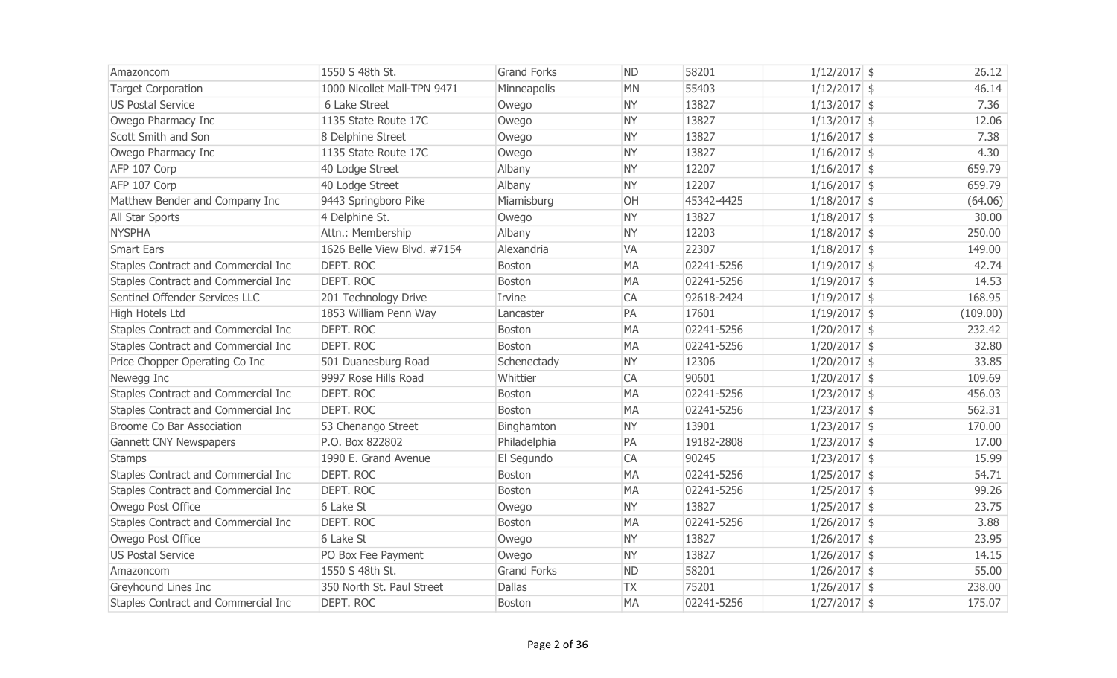| Amazoncom                           | 1550 S 48th St.             | <b>Grand Forks</b> | <b>ND</b> | 58201      | $1/12/2017$ \$ | 26.12    |
|-------------------------------------|-----------------------------|--------------------|-----------|------------|----------------|----------|
| <b>Target Corporation</b>           | 1000 Nicollet Mall-TPN 9471 | Minneapolis        | <b>MN</b> | 55403      | $1/12/2017$ \$ | 46.14    |
| <b>US Postal Service</b>            | 6 Lake Street               | Owego              | <b>NY</b> | 13827      | $1/13/2017$ \$ | 7.36     |
| Owego Pharmacy Inc                  | 1135 State Route 17C        | Owego              | <b>NY</b> | 13827      | $1/13/2017$ \$ | 12.06    |
| Scott Smith and Son                 | 8 Delphine Street           | Owego              | <b>NY</b> | 13827      | $1/16/2017$ \$ | 7.38     |
| Owego Pharmacy Inc                  | 1135 State Route 17C        | Owego              | <b>NY</b> | 13827      | $1/16/2017$ \$ | 4.30     |
| AFP 107 Corp                        | 40 Lodge Street             | Albany             | <b>NY</b> | 12207      | $1/16/2017$ \$ | 659.79   |
| AFP 107 Corp                        | 40 Lodge Street             | Albany             | <b>NY</b> | 12207      | $1/16/2017$ \$ | 659.79   |
| Matthew Bender and Company Inc      | 9443 Springboro Pike        | Miamisburg         | OH        | 45342-4425 | $1/18/2017$ \$ | (64.06)  |
| All Star Sports                     | 4 Delphine St.              | Owego              | <b>NY</b> | 13827      | $1/18/2017$ \$ | 30.00    |
| <b>NYSPHA</b>                       | Attn.: Membership           | Albany             | <b>NY</b> | 12203      | $1/18/2017$ \$ | 250.00   |
| <b>Smart Ears</b>                   | 1626 Belle View Blvd. #7154 | Alexandria         | <b>VA</b> | 22307      | $1/18/2017$ \$ | 149.00   |
| Staples Contract and Commercial Inc | DEPT. ROC                   | <b>Boston</b>      | MA        | 02241-5256 | $1/19/2017$ \$ | 42.74    |
| Staples Contract and Commercial Inc | DEPT. ROC                   | <b>Boston</b>      | <b>MA</b> | 02241-5256 | $1/19/2017$ \$ | 14.53    |
| Sentinel Offender Services LLC      | 201 Technology Drive        | Irvine             | CA        | 92618-2424 | $1/19/2017$ \$ | 168.95   |
| High Hotels Ltd                     | 1853 William Penn Way       | Lancaster          | PA        | 17601      | $1/19/2017$ \$ | (109.00) |
| Staples Contract and Commercial Inc | DEPT. ROC                   | Boston             | <b>MA</b> | 02241-5256 | $1/20/2017$ \$ | 232.42   |
| Staples Contract and Commercial Inc | <b>DEPT, ROC</b>            | Boston             | <b>MA</b> | 02241-5256 | $1/20/2017$ \$ | 32.80    |
| Price Chopper Operating Co Inc      | 501 Duanesburg Road         | Schenectady        | <b>NY</b> | 12306      | $1/20/2017$ \$ | 33.85    |
| Newegg Inc                          | 9997 Rose Hills Road        | Whittier           | CA        | 90601      | $1/20/2017$ \$ | 109.69   |
| Staples Contract and Commercial Inc | <b>DEPT. ROC</b>            | <b>Boston</b>      | <b>MA</b> | 02241-5256 | $1/23/2017$ \$ | 456.03   |
| Staples Contract and Commercial Inc | <b>DEPT. ROC</b>            | Boston             | <b>MA</b> | 02241-5256 | $1/23/2017$ \$ | 562.31   |
| Broome Co Bar Association           | 53 Chenango Street          | Binghamton         | <b>NY</b> | 13901      | $1/23/2017$ \$ | 170.00   |
| <b>Gannett CNY Newspapers</b>       | P.O. Box 822802             | Philadelphia       | PA        | 19182-2808 | $1/23/2017$ \$ | 17.00    |
| <b>Stamps</b>                       | 1990 E. Grand Avenue        | El Segundo         | CA        | 90245      | $1/23/2017$ \$ | 15.99    |
| Staples Contract and Commercial Inc | DEPT. ROC                   | <b>Boston</b>      | <b>MA</b> | 02241-5256 | $1/25/2017$ \$ | 54.71    |
| Staples Contract and Commercial Inc | DEPT. ROC                   | Boston             | <b>MA</b> | 02241-5256 | $1/25/2017$ \$ | 99.26    |
| Owego Post Office                   | 6 Lake St                   | Owego              | <b>NY</b> | 13827      | $1/25/2017$ \$ | 23.75    |
| Staples Contract and Commercial Inc | <b>DEPT. ROC</b>            | <b>Boston</b>      | <b>MA</b> | 02241-5256 | $1/26/2017$ \$ | 3.88     |
| Owego Post Office                   | 6 Lake St                   | Owego              | <b>NY</b> | 13827      | $1/26/2017$ \$ | 23.95    |
| <b>US Postal Service</b>            | PO Box Fee Payment          | Owego              | <b>NY</b> | 13827      | $1/26/2017$ \$ | 14.15    |
| Amazoncom                           | 1550 S 48th St.             | <b>Grand Forks</b> | <b>ND</b> | 58201      | $1/26/2017$ \$ | 55.00    |
| Greyhound Lines Inc                 | 350 North St. Paul Street   | <b>Dallas</b>      | <b>TX</b> | 75201      | $1/26/2017$ \$ | 238.00   |
| Staples Contract and Commercial Inc | DEPT. ROC                   | <b>Boston</b>      | <b>MA</b> | 02241-5256 | $1/27/2017$ \$ | 175.07   |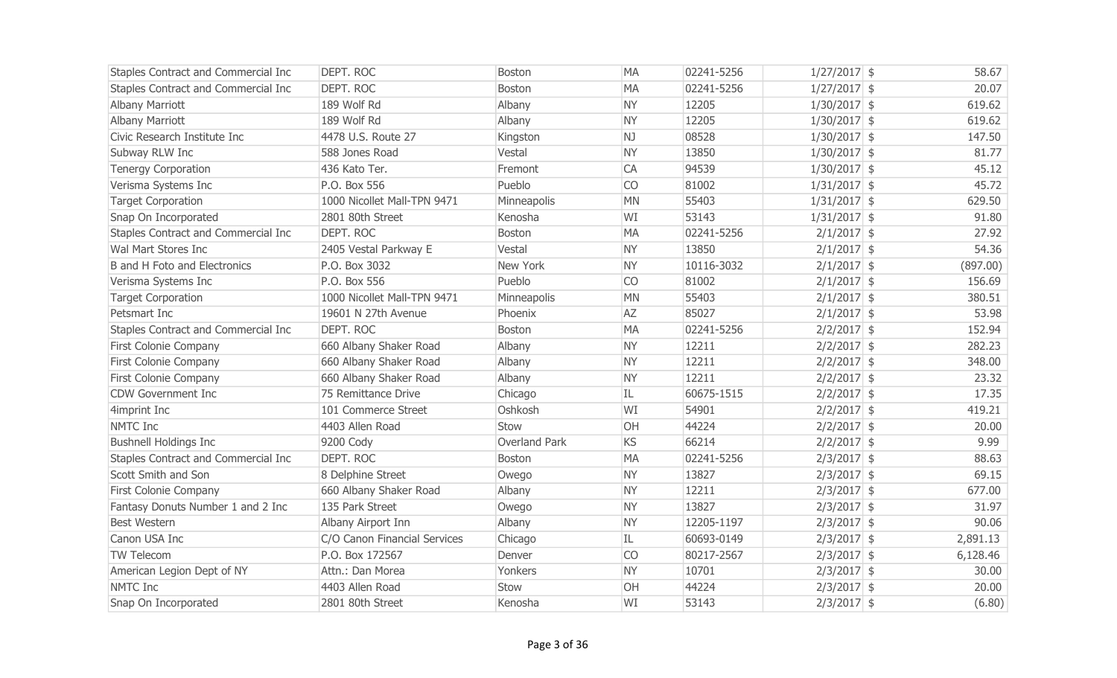| Staples Contract and Commercial Inc | DEPT. ROC                    | <b>Boston</b> | <b>MA</b> | 02241-5256 | $1/27/2017$ \$ | 58.67    |
|-------------------------------------|------------------------------|---------------|-----------|------------|----------------|----------|
| Staples Contract and Commercial Inc | DEPT. ROC                    | Boston        | <b>MA</b> | 02241-5256 | $1/27/2017$ \$ | 20.07    |
| <b>Albany Marriott</b>              | 189 Wolf Rd                  | Albany        | <b>NY</b> | 12205      | $1/30/2017$ \$ | 619.62   |
| <b>Albany Marriott</b>              | 189 Wolf Rd                  | Albany        | <b>NY</b> | 12205      | $1/30/2017$ \$ | 619.62   |
| Civic Research Institute Inc        | 4478 U.S. Route 27           | Kingston      | NJ        | 08528      | $1/30/2017$ \$ | 147.50   |
| Subway RLW Inc                      | 588 Jones Road               | Vestal        | <b>NY</b> | 13850      | $1/30/2017$ \$ | 81.77    |
| <b>Tenergy Corporation</b>          | 436 Kato Ter.                | Fremont       | CA        | 94539      | $1/30/2017$ \$ | 45.12    |
| Verisma Systems Inc                 | P.O. Box 556                 | Pueblo        | <b>CO</b> | 81002      | $1/31/2017$ \$ | 45.72    |
| <b>Target Corporation</b>           | 1000 Nicollet Mall-TPN 9471  | Minneapolis   | <b>MN</b> | 55403      | $1/31/2017$ \$ | 629.50   |
| Snap On Incorporated                | 2801 80th Street             | Kenosha       | WI        | 53143      | $1/31/2017$ \$ | 91.80    |
| Staples Contract and Commercial Inc | DEPT. ROC                    | Boston        | <b>MA</b> | 02241-5256 | $2/1/2017$ \$  | 27.92    |
| Wal Mart Stores Inc                 | 2405 Vestal Parkway E        | Vestal        | <b>NY</b> | 13850      | $2/1/2017$ \$  | 54.36    |
| B and H Foto and Electronics        | P.O. Box 3032                | New York      | <b>NY</b> | 10116-3032 | $2/1/2017$ \$  | (897.00) |
| Verisma Systems Inc                 | P.O. Box 556                 | Pueblo        | <b>CO</b> | 81002      | $2/1/2017$ \$  | 156.69   |
| <b>Target Corporation</b>           | 1000 Nicollet Mall-TPN 9471  | Minneapolis   | <b>MN</b> | 55403      | $2/1/2017$ \$  | 380.51   |
| Petsmart Inc                        | 19601 N 27th Avenue          | Phoenix       | <b>AZ</b> | 85027      | $2/1/2017$ \$  | 53.98    |
| Staples Contract and Commercial Inc | DEPT. ROC                    | <b>Boston</b> | <b>MA</b> | 02241-5256 | $2/2/2017$ \$  | 152.94   |
| <b>First Colonie Company</b>        | 660 Albany Shaker Road       | Albany        | <b>NY</b> | 12211      | $2/2/2017$ \$  | 282.23   |
| <b>First Colonie Company</b>        | 660 Albany Shaker Road       | Albany        | <b>NY</b> | 12211      | $2/2/2017$ \$  | 348.00   |
| First Colonie Company               | 660 Albany Shaker Road       | Albany        | <b>NY</b> | 12211      | $2/2/2017$ \$  | 23.32    |
| <b>CDW Government Inc</b>           | 75 Remittance Drive          | Chicago       | IL        | 60675-1515 | $2/2/2017$ \$  | 17.35    |
| 4imprint Inc                        | 101 Commerce Street          | Oshkosh       | WI        | 54901      | $2/2/2017$ \$  | 419.21   |
| NMTC Inc                            | 4403 Allen Road              | Stow          | OH        | 44224      | $2/2/2017$ \$  | 20.00    |
| <b>Bushnell Holdings Inc</b>        | 9200 Cody                    | Overland Park | <b>KS</b> | 66214      | $2/2/2017$ \$  | 9.99     |
| Staples Contract and Commercial Inc | DEPT. ROC                    | <b>Boston</b> | <b>MA</b> | 02241-5256 | $2/3/2017$ \$  | 88.63    |
| Scott Smith and Son                 | 8 Delphine Street            | Owego         | <b>NY</b> | 13827      | $2/3/2017$ \$  | 69.15    |
| <b>First Colonie Company</b>        | 660 Albany Shaker Road       | Albany        | <b>NY</b> | 12211      | $2/3/2017$ \$  | 677.00   |
| Fantasy Donuts Number 1 and 2 Inc   | 135 Park Street              | Owego         | <b>NY</b> | 13827      | $2/3/2017$ \$  | 31.97    |
| <b>Best Western</b>                 | Albany Airport Inn           | Albany        | <b>NY</b> | 12205-1197 | $2/3/2017$ \$  | 90.06    |
| Canon USA Inc                       | C/O Canon Financial Services | Chicago       | IL        | 60693-0149 | $2/3/2017$ \$  | 2,891.13 |
| TW Telecom                          | P.O. Box 172567              | Denver        | CO        | 80217-2567 | $2/3/2017$ \$  | 6,128.46 |
| American Legion Dept of NY          | Attn.: Dan Morea             | Yonkers       | <b>NY</b> | 10701      | $2/3/2017$ \$  | 30.00    |
| <b>NMTC</b> Inc                     | 4403 Allen Road              | Stow          | OH        | 44224      | $2/3/2017$ \$  | 20.00    |
| Snap On Incorporated                | 2801 80th Street             | Kenosha       | WI        | 53143      | $2/3/2017$ \$  | (6.80)   |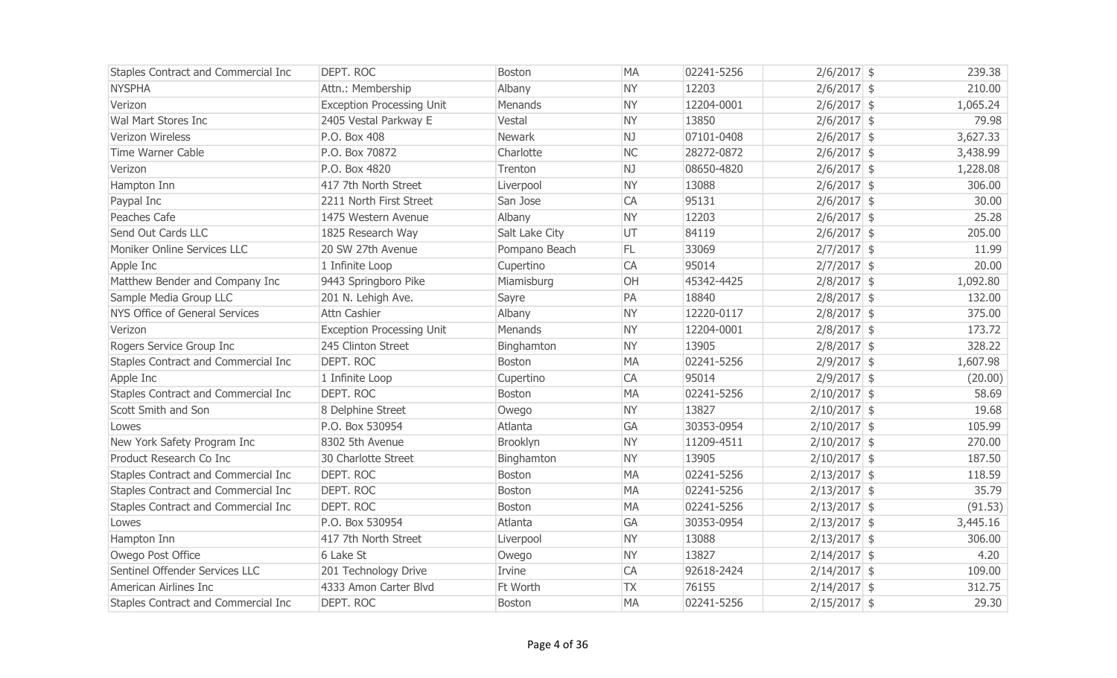| Staples Contract and Commercial Inc | DEPT. ROC                        | <b>Boston</b>  | <b>MA</b> | 02241-5256 | $2/6/2017$ \$  | 239.38   |
|-------------------------------------|----------------------------------|----------------|-----------|------------|----------------|----------|
| <b>NYSPHA</b>                       | Attn.: Membership                | Albany         | <b>NY</b> | 12203      | $2/6/2017$ \$  | 210.00   |
| Verizon                             | <b>Exception Processing Unit</b> | Menands        | <b>NY</b> | 12204-0001 | $2/6/2017$ \$  | 1,065.24 |
| Wal Mart Stores Inc                 | 2405 Vestal Parkway E            | Vestal         | <b>NY</b> | 13850      | $2/6/2017$ \$  | 79.98    |
| Verizon Wireless                    | P.O. Box 408                     | Newark         | NJ        | 07101-0408 | $2/6/2017$ \$  | 3,627.33 |
| <b>Time Warner Cable</b>            | P.O. Box 70872                   | Charlotte      | <b>NC</b> | 28272-0872 | $2/6/2017$ \$  | 3,438.99 |
| Verizon                             | P.O. Box 4820                    | Trenton        | NJ        | 08650-4820 | $2/6/2017$ \$  | 1,228.08 |
| Hampton Inn                         | 417 7th North Street             | Liverpool      | <b>NY</b> | 13088      | $2/6/2017$ \$  | 306.00   |
| Paypal Inc                          | 2211 North First Street          | San Jose       | CA        | 95131      | $2/6/2017$ \$  | 30.00    |
| Peaches Cafe                        | 1475 Western Avenue              | Albany         | <b>NY</b> | 12203      | $2/6/2017$ \$  | 25.28    |
| Send Out Cards LLC                  | 1825 Research Way                | Salt Lake City | UT        | 84119      | $2/6/2017$ \$  | 205.00   |
| Moniker Online Services LLC         | 20 SW 27th Avenue                | Pompano Beach  | FL.       | 33069      | $2/7/2017$ \$  | 11.99    |
| Apple Inc                           | 1 Infinite Loop                  | Cupertino      | <b>CA</b> | 95014      | $2/7/2017$ \$  | 20.00    |
| Matthew Bender and Company Inc      | 9443 Springboro Pike             | Miamisburg     | OH        | 45342-4425 | $2/8/2017$ \$  | 1,092.80 |
| Sample Media Group LLC              | 201 N. Lehigh Ave.               | Sayre          | PA        | 18840      | $2/8/2017$ \$  | 132.00   |
| NYS Office of General Services      | Attn Cashier                     | Albany         | <b>NY</b> | 12220-0117 | $2/8/2017$ \$  | 375.00   |
| Verizon                             | <b>Exception Processing Unit</b> | Menands        | <b>NY</b> | 12204-0001 | $2/8/2017$ \$  | 173.72   |
| Rogers Service Group Inc            | 245 Clinton Street               | Binghamton     | <b>NY</b> | 13905      | $2/8/2017$ \$  | 328.22   |
| Staples Contract and Commercial Inc | DEPT. ROC                        | Boston         | <b>MA</b> | 02241-5256 | $2/9/2017$ \$  | 1,607.98 |
| Apple Inc                           | 1 Infinite Loop                  | Cupertino      | CA        | 95014      | $2/9/2017$ \$  | (20.00)  |
| Staples Contract and Commercial Inc | DEPT. ROC                        | Boston         | <b>MA</b> | 02241-5256 | $2/10/2017$ \$ | 58.69    |
| Scott Smith and Son                 | 8 Delphine Street                | Owego          | <b>NY</b> | 13827      | $2/10/2017$ \$ | 19.68    |
| Lowes                               | P.O. Box 530954                  | Atlanta        | <b>GA</b> | 30353-0954 | $2/10/2017$ \$ | 105.99   |
| New York Safety Program Inc         | 8302 5th Avenue                  | Brooklyn       | <b>NY</b> | 11209-4511 | $2/10/2017$ \$ | 270.00   |
| Product Research Co Inc             | 30 Charlotte Street              | Binghamton     | <b>NY</b> | 13905      | $2/10/2017$ \$ | 187.50   |
| Staples Contract and Commercial Inc | <b>DEPT. ROC</b>                 | <b>Boston</b>  | <b>MA</b> | 02241-5256 | $2/13/2017$ \$ | 118.59   |
| Staples Contract and Commercial Inc | <b>DEPT. ROC</b>                 | Boston         | <b>MA</b> | 02241-5256 | $2/13/2017$ \$ | 35.79    |
| Staples Contract and Commercial Inc | <b>DEPT, ROC</b>                 | <b>Boston</b>  | <b>MA</b> | 02241-5256 | $2/13/2017$ \$ | (91.53)  |
| Lowes                               | P.O. Box 530954                  | Atlanta        | GA        | 30353-0954 | $2/13/2017$ \$ | 3,445.16 |
| Hampton Inn                         | 417 7th North Street             | Liverpool      | <b>NY</b> | 13088      | $2/13/2017$ \$ | 306.00   |
| Owego Post Office                   | 6 Lake St                        | Owego          | <b>NY</b> | 13827      | $2/14/2017$ \$ | 4.20     |
| Sentinel Offender Services LLC      | 201 Technology Drive             | Irvine         | CA        | 92618-2424 | $2/14/2017$ \$ | 109.00   |
| American Airlines Inc               | 4333 Amon Carter Blvd            | Ft Worth       | <b>TX</b> | 76155      | $2/14/2017$ \$ | 312.75   |
| Staples Contract and Commercial Inc | DEPT. ROC                        | <b>Boston</b>  | <b>MA</b> | 02241-5256 | $2/15/2017$ \$ | 29.30    |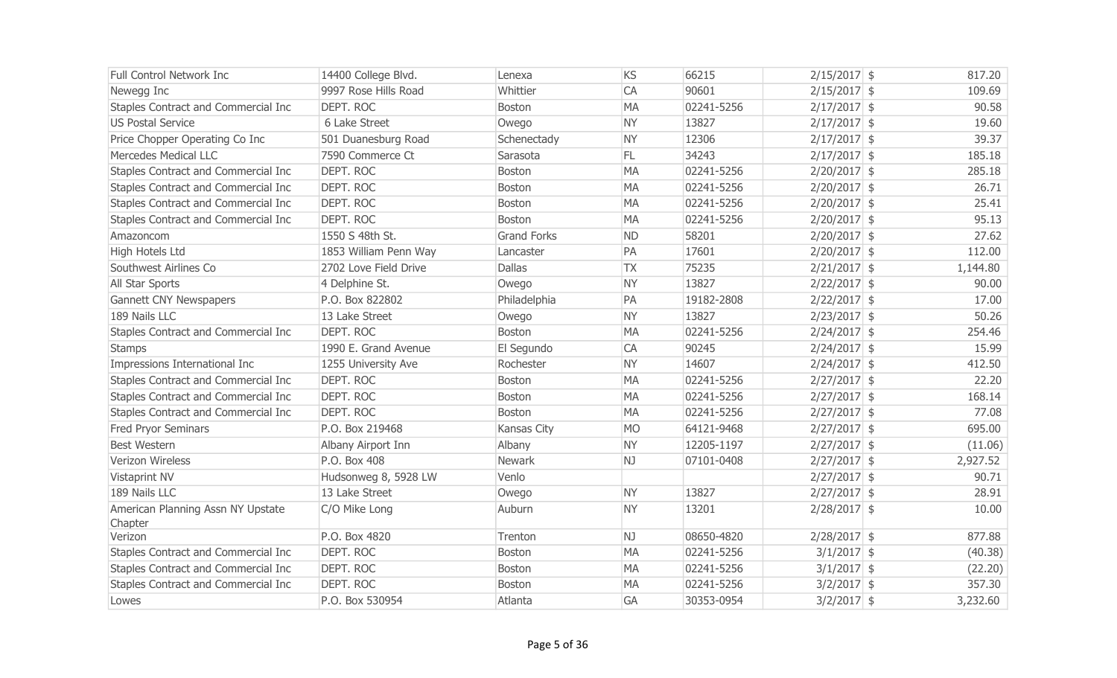| <b>Full Control Network Inc.</b>    | 14400 College Blvd.   | Lenexa             | KS        | 66215      | $2/15/2017$ \$ | 817.20   |
|-------------------------------------|-----------------------|--------------------|-----------|------------|----------------|----------|
| Newegg Inc                          | 9997 Rose Hills Road  | Whittier           | CA        | 90601      | $2/15/2017$ \$ | 109.69   |
| Staples Contract and Commercial Inc | DEPT. ROC             | <b>Boston</b>      | <b>MA</b> | 02241-5256 | $2/17/2017$ \$ | 90.58    |
| <b>US Postal Service</b>            | 6 Lake Street         | Owego              | <b>NY</b> | 13827      | $2/17/2017$ \$ | 19.60    |
| Price Chopper Operating Co Inc      | 501 Duanesburg Road   | Schenectady        | <b>NY</b> | 12306      | $2/17/2017$ \$ | 39.37    |
| Mercedes Medical LLC                | 7590 Commerce Ct      | Sarasota           | FL.       | 34243      | $2/17/2017$ \$ | 185.18   |
| Staples Contract and Commercial Inc | DEPT. ROC             | <b>Boston</b>      | <b>MA</b> | 02241-5256 | $2/20/2017$ \$ | 285.18   |
| Staples Contract and Commercial Inc | DEPT. ROC             | Boston             | <b>MA</b> | 02241-5256 | $2/20/2017$ \$ | 26.71    |
| Staples Contract and Commercial Inc | DEPT. ROC             | <b>Boston</b>      | <b>MA</b> | 02241-5256 | $2/20/2017$ \$ | 25.41    |
| Staples Contract and Commercial Inc | DEPT. ROC             | <b>Boston</b>      | <b>MA</b> | 02241-5256 | $2/20/2017$ \$ | 95.13    |
| Amazoncom                           | 1550 S 48th St.       | <b>Grand Forks</b> | <b>ND</b> | 58201      | $2/20/2017$ \$ | 27.62    |
| High Hotels Ltd                     | 1853 William Penn Way | Lancaster          | PA        | 17601      | $2/20/2017$ \$ | 112.00   |
| Southwest Airlines Co               | 2702 Love Field Drive | <b>Dallas</b>      | <b>TX</b> | 75235      | $2/21/2017$ \$ | 1,144.80 |
| All Star Sports                     | 4 Delphine St.        | Owego              | <b>NY</b> | 13827      | $2/22/2017$ \$ | 90.00    |
| <b>Gannett CNY Newspapers</b>       | P.O. Box 822802       | Philadelphia       | PA        | 19182-2808 | $2/22/2017$ \$ | 17.00    |
| 189 Nails LLC                       | 13 Lake Street        | Owego              | <b>NY</b> | 13827      | $2/23/2017$ \$ | 50.26    |
| Staples Contract and Commercial Inc | DEPT. ROC             | <b>Boston</b>      | <b>MA</b> | 02241-5256 | $2/24/2017$ \$ | 254.46   |
| <b>Stamps</b>                       | 1990 E. Grand Avenue  | El Segundo         | CA        | 90245      | $2/24/2017$ \$ | 15.99    |
| Impressions International Inc       | 1255 University Ave   | Rochester          | <b>NY</b> | 14607      | $2/24/2017$ \$ | 412.50   |
| Staples Contract and Commercial Inc | DEPT. ROC             | Boston             | <b>MA</b> | 02241-5256 | $2/27/2017$ \$ | 22.20    |
| Staples Contract and Commercial Inc | DEPT. ROC             | <b>Boston</b>      | <b>MA</b> | 02241-5256 | $2/27/2017$ \$ | 168.14   |
| Staples Contract and Commercial Inc | DEPT. ROC             | <b>Boston</b>      | <b>MA</b> | 02241-5256 | $2/27/2017$ \$ | 77.08    |
| <b>Fred Pryor Seminars</b>          | P.O. Box 219468       | Kansas City        | <b>MO</b> | 64121-9468 | $2/27/2017$ \$ | 695.00   |
| <b>Best Western</b>                 | Albany Airport Inn    | Albany             | <b>NY</b> | 12205-1197 | $2/27/2017$ \$ | (11.06)  |
| Verizon Wireless                    | P.O. Box 408          | Newark             | NJ        | 07101-0408 | $2/27/2017$ \$ | 2,927.52 |
| Vistaprint NV                       | Hudsonweg 8, 5928 LW  | Venlo              |           |            | $2/27/2017$ \$ | 90.71    |
| 189 Nails LLC                       | 13 Lake Street        | Owego              | <b>NY</b> | 13827      | $2/27/2017$ \$ | 28.91    |
| American Planning Assn NY Upstate   | C/O Mike Long         | Auburn             | <b>NY</b> | 13201      | $2/28/2017$ \$ | 10.00    |
| Chapter                             |                       |                    |           |            |                |          |
| Verizon                             | P.O. Box 4820         | Trenton            | NJ        | 08650-4820 | $2/28/2017$ \$ | 877.88   |
| Staples Contract and Commercial Inc | DEPT. ROC             | <b>Boston</b>      | <b>MA</b> | 02241-5256 | $3/1/2017$ \$  | (40.38)  |
| Staples Contract and Commercial Inc | <b>DEPT. ROC</b>      | Boston             | <b>MA</b> | 02241-5256 | $3/1/2017$ \$  | (22.20)  |
| Staples Contract and Commercial Inc | DEPT. ROC             | <b>Boston</b>      | <b>MA</b> | 02241-5256 | $3/2/2017$ \$  | 357.30   |
| Lowes                               | P.O. Box 530954       | Atlanta            | GA        | 30353-0954 | $3/2/2017$ \$  | 3,232.60 |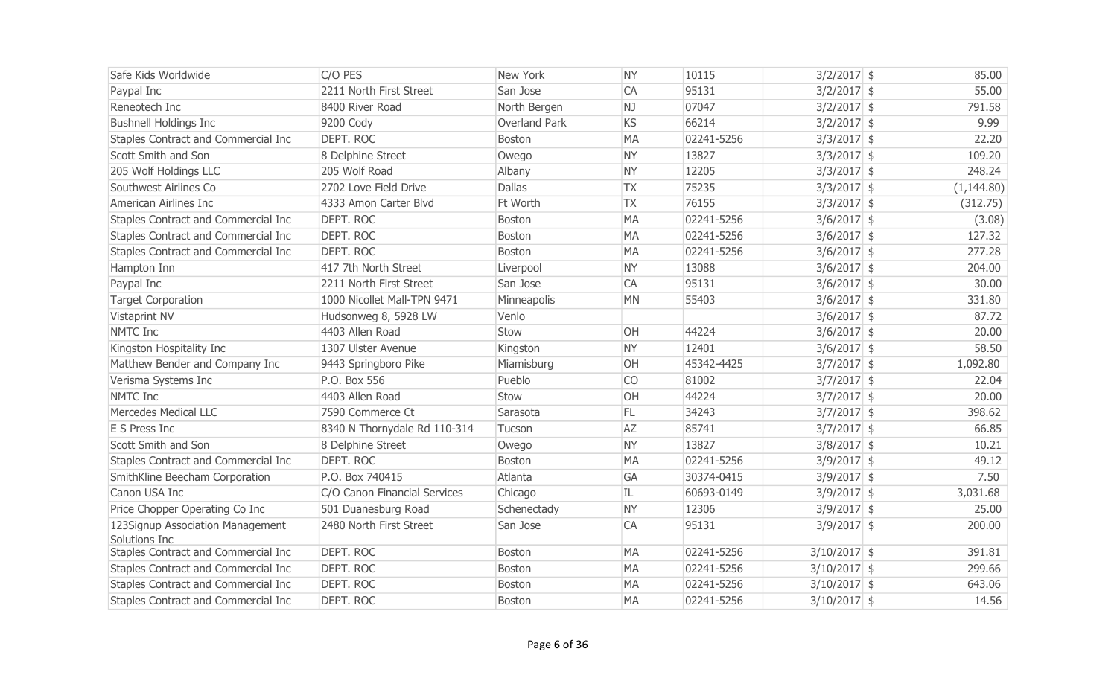| Safe Kids Worldwide                               | C/O PES                      | <b>New York</b> | <b>NY</b> | 10115      | $3/2/2017$ \$  | 85.00       |
|---------------------------------------------------|------------------------------|-----------------|-----------|------------|----------------|-------------|
| Paypal Inc                                        | 2211 North First Street      | San Jose        | CA        | 95131      | $3/2/2017$ \$  | 55.00       |
| Reneotech Inc                                     | 8400 River Road              | North Bergen    | NJ        | 07047      | $3/2/2017$ \$  | 791.58      |
| <b>Bushnell Holdings Inc</b>                      | 9200 Cody                    | Overland Park   | KS        | 66214      | $3/2/2017$ \$  | 9.99        |
| Staples Contract and Commercial Inc               | <b>DEPT. ROC</b>             | Boston          | <b>MA</b> | 02241-5256 | $3/3/2017$ \$  | 22.20       |
| Scott Smith and Son                               | 8 Delphine Street            | Owego           | <b>NY</b> | 13827      | $3/3/2017$ \$  | 109.20      |
| 205 Wolf Holdings LLC                             | 205 Wolf Road                | Albany          | <b>NY</b> | 12205      | $3/3/2017$ \$  | 248.24      |
| Southwest Airlines Co                             | 2702 Love Field Drive        | <b>Dallas</b>   | <b>TX</b> | 75235      | $3/3/2017$ \$  | (1, 144.80) |
| American Airlines Inc                             | 4333 Amon Carter Blvd        | Ft Worth        | <b>TX</b> | 76155      | $3/3/2017$ \$  | (312.75)    |
| Staples Contract and Commercial Inc               | <b>DEPT. ROC</b>             | Boston          | <b>MA</b> | 02241-5256 | $3/6/2017$ \$  | (3.08)      |
| Staples Contract and Commercial Inc               | <b>DEPT. ROC</b>             | Boston          | <b>MA</b> | 02241-5256 | $3/6/2017$ \$  | 127.32      |
| Staples Contract and Commercial Inc               | <b>DEPT. ROC</b>             | Boston          | <b>MA</b> | 02241-5256 | $3/6/2017$ \$  | 277.28      |
| Hampton Inn                                       | 417 7th North Street         | Liverpool       | <b>NY</b> | 13088      | $3/6/2017$ \$  | 204.00      |
| Paypal Inc                                        | 2211 North First Street      | San Jose        | CA        | 95131      | $3/6/2017$ \$  | 30.00       |
| <b>Target Corporation</b>                         | 1000 Nicollet Mall-TPN 9471  | Minneapolis     | <b>MN</b> | 55403      | $3/6/2017$ \$  | 331.80      |
| Vistaprint NV                                     | Hudsonweg 8, 5928 LW         | Venlo           |           |            | $3/6/2017$ \$  | 87.72       |
| <b>NMTC Inc</b>                                   | 4403 Allen Road              | Stow            | OH        | 44224      | $3/6/2017$ \$  | 20.00       |
| Kingston Hospitality Inc                          | 1307 Ulster Avenue           | Kingston        | <b>NY</b> | 12401      | $3/6/2017$ \$  | 58.50       |
| Matthew Bender and Company Inc                    | 9443 Springboro Pike         | Miamisburg      | OH        | 45342-4425 | $3/7/2017$ \$  | 1,092.80    |
| Verisma Systems Inc                               | P.O. Box 556                 | Pueblo          | CO        | 81002      | $3/7/2017$ \$  | 22.04       |
| NMTC Inc                                          | 4403 Allen Road              | Stow            | OH        | 44224      | $3/7/2017$ \$  | 20.00       |
| <b>Mercedes Medical LLC</b>                       | 7590 Commerce Ct             | Sarasota        | FL.       | 34243      | $3/7/2017$ \$  | 398.62      |
| E S Press Inc                                     | 8340 N Thornydale Rd 110-314 | Tucson          | <b>AZ</b> | 85741      | $3/7/2017$ \$  | 66.85       |
| Scott Smith and Son                               | 8 Delphine Street            | Owego           | <b>NY</b> | 13827      | $3/8/2017$ \$  | 10.21       |
| Staples Contract and Commercial Inc               | <b>DEPT. ROC</b>             | Boston          | <b>MA</b> | 02241-5256 | $3/9/2017$ \$  | 49.12       |
| SmithKline Beecham Corporation                    | P.O. Box 740415              | Atlanta         | <b>GA</b> | 30374-0415 | $3/9/2017$ \$  | 7.50        |
| Canon USA Inc                                     | C/O Canon Financial Services | Chicago         | IL        | 60693-0149 | $3/9/2017$ \$  | 3,031.68    |
| Price Chopper Operating Co Inc                    | 501 Duanesburg Road          | Schenectady     | <b>NY</b> | 12306      | $3/9/2017$ \$  | 25.00       |
| 123Signup Association Management<br>Solutions Inc | 2480 North First Street      | San Jose        | CA        | 95131      | $3/9/2017$ \$  | 200.00      |
| Staples Contract and Commercial Inc               | <b>DEPT. ROC</b>             | Boston          | <b>MA</b> | 02241-5256 | $3/10/2017$ \$ | 391.81      |
| Staples Contract and Commercial Inc               | <b>DEPT. ROC</b>             | Boston          | <b>MA</b> | 02241-5256 | $3/10/2017$ \$ | 299.66      |
| Staples Contract and Commercial Inc               | <b>DEPT. ROC</b>             | Boston          | <b>MA</b> | 02241-5256 | $3/10/2017$ \$ | 643.06      |
| Staples Contract and Commercial Inc               | <b>DEPT. ROC</b>             | <b>Boston</b>   | <b>MA</b> | 02241-5256 | $3/10/2017$ \$ | 14.56       |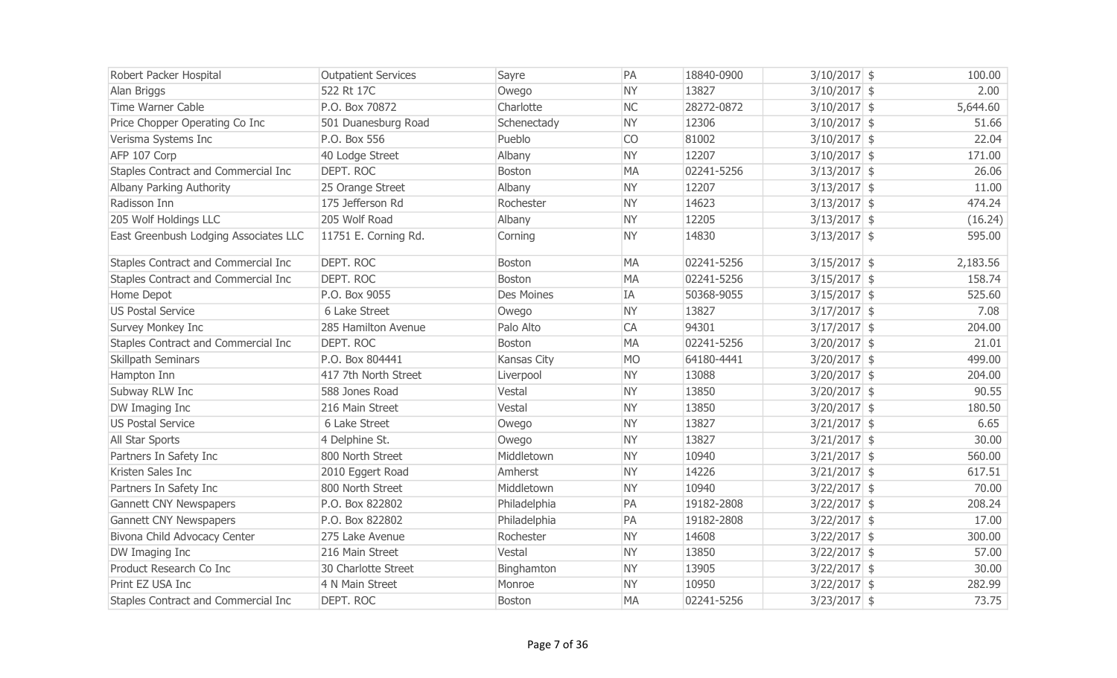| Robert Packer Hospital                | <b>Outpatient Services</b> | Sayre             | PA        | 18840-0900 | $3/10/2017$ \$ | 100.00   |
|---------------------------------------|----------------------------|-------------------|-----------|------------|----------------|----------|
| Alan Briggs                           | 522 Rt 17C                 | Owego             | <b>NY</b> | 13827      | $3/10/2017$ \$ | 2.00     |
| Time Warner Cable                     | P.O. Box 70872             | Charlotte         | <b>NC</b> | 28272-0872 | $3/10/2017$ \$ | 5,644.60 |
| Price Chopper Operating Co Inc        | 501 Duanesburg Road        | Schenectady       | <b>NY</b> | 12306      | $3/10/2017$ \$ | 51.66    |
| Verisma Systems Inc                   | P.O. Box 556               | Pueblo            | <b>CO</b> | 81002      | $3/10/2017$ \$ | 22.04    |
| AFP 107 Corp                          | 40 Lodge Street            | Albany            | <b>NY</b> | 12207      | $3/10/2017$ \$ | 171.00   |
| Staples Contract and Commercial Inc   | DEPT. ROC                  | <b>Boston</b>     | <b>MA</b> | 02241-5256 | $3/13/2017$ \$ | 26.06    |
| Albany Parking Authority              | 25 Orange Street           | Albany            | <b>NY</b> | 12207      | $3/13/2017$ \$ | 11.00    |
| Radisson Inn                          | 175 Jefferson Rd           | Rochester         | <b>NY</b> | 14623      | $3/13/2017$ \$ | 474.24   |
| 205 Wolf Holdings LLC                 | 205 Wolf Road              | Albany            | <b>NY</b> | 12205      | $3/13/2017$ \$ | (16.24)  |
| East Greenbush Lodging Associates LLC | 11751 E. Corning Rd.       | Corning           | <b>NY</b> | 14830      | $3/13/2017$ \$ | 595.00   |
| Staples Contract and Commercial Inc   | <b>DEPT. ROC</b>           | Boston            | <b>MA</b> | 02241-5256 | $3/15/2017$ \$ | 2,183.56 |
| Staples Contract and Commercial Inc   | DEPT. ROC                  | <b>Boston</b>     | <b>MA</b> | 02241-5256 | $3/15/2017$ \$ | 158.74   |
| Home Depot                            | P.O. Box 9055              | <b>Des Moines</b> | IA        | 50368-9055 | $3/15/2017$ \$ | 525.60   |
| <b>US Postal Service</b>              | 6 Lake Street              | Owego             | <b>NY</b> | 13827      | $3/17/2017$ \$ | 7.08     |
| Survey Monkey Inc                     | 285 Hamilton Avenue        | Palo Alto         | CA        | 94301      | $3/17/2017$ \$ | 204.00   |
| Staples Contract and Commercial Inc   | DEPT. ROC                  | <b>Boston</b>     | <b>MA</b> | 02241-5256 | $3/20/2017$ \$ | 21.01    |
| Skillpath Seminars                    | P.O. Box 804441            | Kansas City       | <b>MO</b> | 64180-4441 | $3/20/2017$ \$ | 499.00   |
| Hampton Inn                           | 417 7th North Street       | Liverpool         | <b>NY</b> | 13088      | $3/20/2017$ \$ | 204.00   |
| Subway RLW Inc                        | 588 Jones Road             | Vestal            | <b>NY</b> | 13850      | $3/20/2017$ \$ | 90.55    |
| DW Imaging Inc                        | 216 Main Street            | Vestal            | <b>NY</b> | 13850      | $3/20/2017$ \$ | 180.50   |
| <b>US Postal Service</b>              | 6 Lake Street              | Owego             | <b>NY</b> | 13827      | $3/21/2017$ \$ | 6.65     |
| All Star Sports                       | 4 Delphine St.             | Owego             | <b>NY</b> | 13827      | $3/21/2017$ \$ | 30.00    |
| Partners In Safety Inc                | 800 North Street           | Middletown        | <b>NY</b> | 10940      | $3/21/2017$ \$ | 560.00   |
| Kristen Sales Inc                     | 2010 Eggert Road           | Amherst           | <b>NY</b> | 14226      | $3/21/2017$ \$ | 617.51   |
| Partners In Safety Inc                | 800 North Street           | Middletown        | <b>NY</b> | 10940      | $3/22/2017$ \$ | 70.00    |
| <b>Gannett CNY Newspapers</b>         | P.O. Box 822802            | Philadelphia      | PA        | 19182-2808 | $3/22/2017$ \$ | 208.24   |
| <b>Gannett CNY Newspapers</b>         | P.O. Box 822802            | Philadelphia      | PA        | 19182-2808 | $3/22/2017$ \$ | 17.00    |
| Bivona Child Advocacy Center          | 275 Lake Avenue            | Rochester         | <b>NY</b> | 14608      | $3/22/2017$ \$ | 300.00   |
| DW Imaging Inc                        | 216 Main Street            | Vestal            | <b>NY</b> | 13850      | $3/22/2017$ \$ | 57.00    |
| Product Research Co Inc               | 30 Charlotte Street        | Binghamton        | <b>NY</b> | 13905      | $3/22/2017$ \$ | 30.00    |
| Print EZ USA Inc                      | 4 N Main Street            | Monroe            | <b>NY</b> | 10950      | $3/22/2017$ \$ | 282.99   |
| Staples Contract and Commercial Inc   | DEPT. ROC                  | <b>Boston</b>     | <b>MA</b> | 02241-5256 | $3/23/2017$ \$ | 73.75    |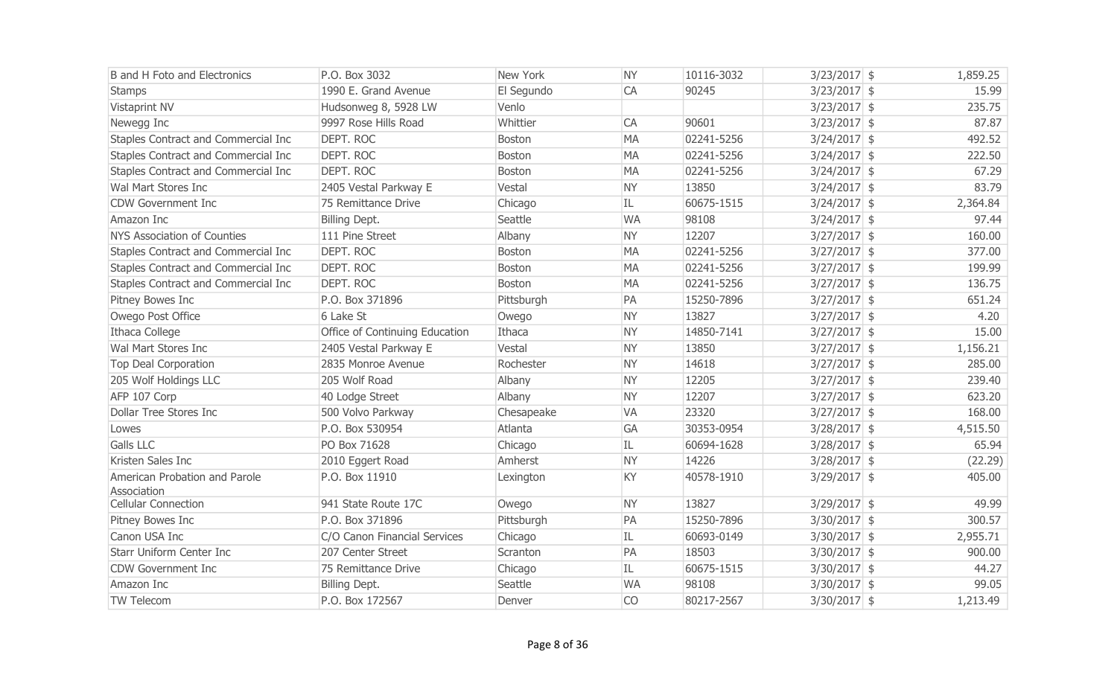| <b>B</b> and H Foto and Electronics          | P.O. Box 3032                  | New York      | <b>NY</b> | 10116-3032 | $3/23/2017$ \$ | 1,859.25 |
|----------------------------------------------|--------------------------------|---------------|-----------|------------|----------------|----------|
| <b>Stamps</b>                                | 1990 E. Grand Avenue           | El Segundo    | CA        | 90245      | $3/23/2017$ \$ | 15.99    |
| Vistaprint NV                                | Hudsonweg 8, 5928 LW           | Venlo         |           |            | $3/23/2017$ \$ | 235.75   |
| Newegg Inc                                   | 9997 Rose Hills Road           | Whittier      | CA        | 90601      | $3/23/2017$ \$ | 87.87    |
| Staples Contract and Commercial Inc          | DEPT. ROC                      | <b>Boston</b> | <b>MA</b> | 02241-5256 | $3/24/2017$ \$ | 492.52   |
| Staples Contract and Commercial Inc          | <b>DEPT. ROC</b>               | <b>Boston</b> | <b>MA</b> | 02241-5256 | $3/24/2017$ \$ | 222.50   |
| Staples Contract and Commercial Inc          | <b>DEPT. ROC</b>               | Boston        | <b>MA</b> | 02241-5256 | $3/24/2017$ \$ | 67.29    |
| Wal Mart Stores Inc                          | 2405 Vestal Parkway E          | Vestal        | <b>NY</b> | 13850      | $3/24/2017$ \$ | 83.79    |
| <b>CDW Government Inc</b>                    | 75 Remittance Drive            | Chicago       | IL        | 60675-1515 | $3/24/2017$ \$ | 2,364.84 |
| Amazon Inc                                   | Billing Dept.                  | Seattle       | <b>WA</b> | 98108      | $3/24/2017$ \$ | 97.44    |
| <b>NYS Association of Counties</b>           | 111 Pine Street                | Albany        | <b>NY</b> | 12207      | $3/27/2017$ \$ | 160.00   |
| Staples Contract and Commercial Inc          | DEPT. ROC                      | <b>Boston</b> | <b>MA</b> | 02241-5256 | $3/27/2017$ \$ | 377.00   |
| Staples Contract and Commercial Inc          | <b>DEPT. ROC</b>               | <b>Boston</b> | <b>MA</b> | 02241-5256 | $3/27/2017$ \$ | 199.99   |
| Staples Contract and Commercial Inc          | DEPT. ROC                      | <b>Boston</b> | <b>MA</b> | 02241-5256 | $3/27/2017$ \$ | 136.75   |
| Pitney Bowes Inc                             | P.O. Box 371896                | Pittsburgh    | PA        | 15250-7896 | $3/27/2017$ \$ | 651.24   |
| Owego Post Office                            | 6 Lake St                      | Owego         | <b>NY</b> | 13827      | $3/27/2017$ \$ | 4.20     |
| Ithaca College                               | Office of Continuing Education | Ithaca        | <b>NY</b> | 14850-7141 | $3/27/2017$ \$ | 15.00    |
| Wal Mart Stores Inc                          | 2405 Vestal Parkway E          | Vestal        | <b>NY</b> | 13850      | $3/27/2017$ \$ | 1,156.21 |
| <b>Top Deal Corporation</b>                  | 2835 Monroe Avenue             | Rochester     | <b>NY</b> | 14618      | $3/27/2017$ \$ | 285.00   |
| 205 Wolf Holdings LLC                        | 205 Wolf Road                  | Albany        | <b>NY</b> | 12205      | $3/27/2017$ \$ | 239.40   |
| AFP 107 Corp                                 | 40 Lodge Street                | Albany        | <b>NY</b> | 12207      | $3/27/2017$ \$ | 623.20   |
| <b>Dollar Tree Stores Inc</b>                | 500 Volvo Parkway              | Chesapeake    | <b>VA</b> | 23320      | $3/27/2017$ \$ | 168.00   |
| Lowes                                        | P.O. Box 530954                | Atlanta       | GA        | 30353-0954 | $3/28/2017$ \$ | 4,515.50 |
| <b>Galls LLC</b>                             | PO Box 71628                   | Chicago       | IL        | 60694-1628 | $3/28/2017$ \$ | 65.94    |
| Kristen Sales Inc                            | 2010 Eggert Road               | Amherst       | <b>NY</b> | 14226      | $3/28/2017$ \$ | (22.29)  |
| American Probation and Parole<br>Association | P.O. Box 11910                 | Lexington     | KY        | 40578-1910 | $3/29/2017$ \$ | 405.00   |
| <b>Cellular Connection</b>                   | 941 State Route 17C            | Owego         | <b>NY</b> | 13827      | $3/29/2017$ \$ | 49.99    |
| Pitney Bowes Inc                             | P.O. Box 371896                | Pittsburgh    | PA        | 15250-7896 | $3/30/2017$ \$ | 300.57   |
| Canon USA Inc                                | C/O Canon Financial Services   | Chicago       | IL        | 60693-0149 | $3/30/2017$ \$ | 2,955.71 |
| <b>Starr Uniform Center Inc</b>              | 207 Center Street              | Scranton      | PA        | 18503      | $3/30/2017$ \$ | 900.00   |
| <b>CDW Government Inc</b>                    | 75 Remittance Drive            | Chicago       | IL        | 60675-1515 | $3/30/2017$ \$ | 44.27    |
| Amazon Inc                                   | Billing Dept.                  | Seattle       | <b>WA</b> | 98108      | $3/30/2017$ \$ | 99.05    |
| <b>TW Telecom</b>                            | P.O. Box 172567                | Denver        | <b>CO</b> | 80217-2567 | $3/30/2017$ \$ | 1,213.49 |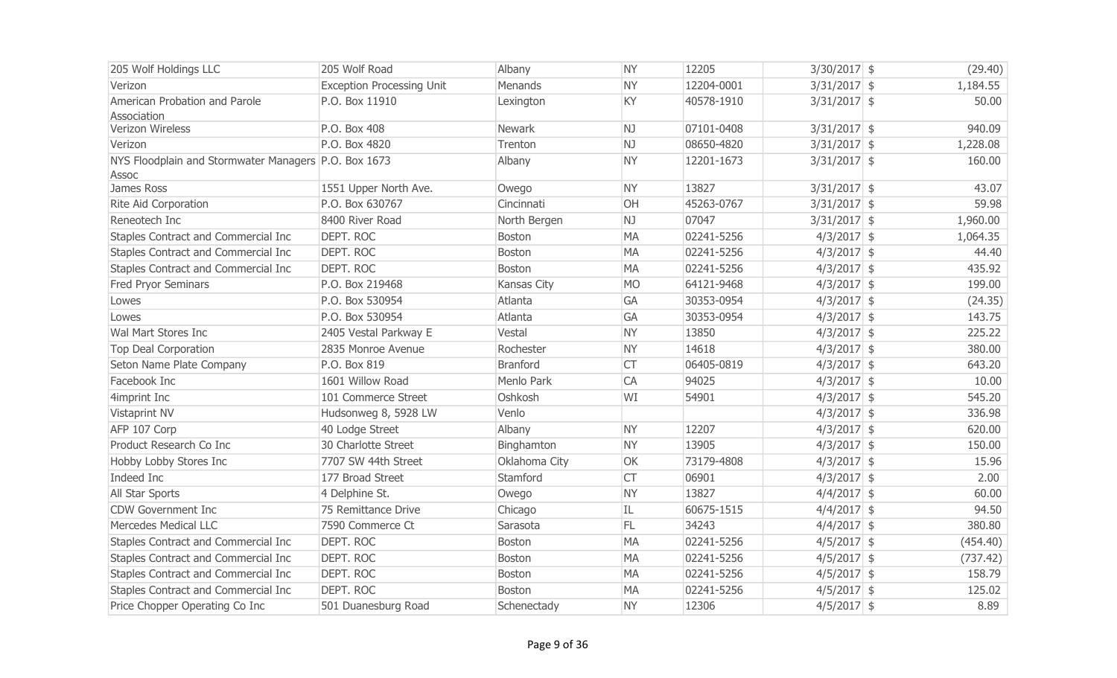| 205 Wolf Holdings LLC                                | 205 Wolf Road                    | Albany        | <b>NY</b> | 12205      | $3/30/2017$ \$ | (29.40)  |
|------------------------------------------------------|----------------------------------|---------------|-----------|------------|----------------|----------|
| Verizon                                              | <b>Exception Processing Unit</b> | Menands       | <b>NY</b> | 12204-0001 | $3/31/2017$ \$ | 1,184.55 |
| American Probation and Parole                        | P.O. Box 11910                   | Lexington     | KY        | 40578-1910 | $3/31/2017$ \$ | 50.00    |
| Association                                          |                                  |               |           |            |                |          |
| Verizon Wireless                                     | P.O. Box 408                     | Newark        | NJ        | 07101-0408 | $3/31/2017$ \$ | 940.09   |
| Verizon                                              | P.O. Box 4820                    | Trenton       | NJ        | 08650-4820 | $3/31/2017$ \$ | 1,228.08 |
| NYS Floodplain and Stormwater Managers P.O. Box 1673 |                                  | Albany        | <b>NY</b> | 12201-1673 | $3/31/2017$ \$ | 160.00   |
| Assoc                                                |                                  |               |           |            |                |          |
| James Ross                                           | 1551 Upper North Ave.            | Owego         | <b>NY</b> | 13827      | $3/31/2017$ \$ | 43.07    |
| Rite Aid Corporation                                 | P.O. Box 630767                  | Cincinnati    | OH        | 45263-0767 | $3/31/2017$ \$ | 59.98    |
| Reneotech Inc                                        | 8400 River Road                  | North Bergen  | NJ        | 07047      | $3/31/2017$ \$ | 1,960.00 |
| Staples Contract and Commercial Inc                  | DEPT. ROC                        | Boston        | <b>MA</b> | 02241-5256 | $4/3/2017$ \$  | 1,064.35 |
| Staples Contract and Commercial Inc                  | <b>DEPT. ROC</b>                 | Boston        | <b>MA</b> | 02241-5256 | $4/3/2017$ \$  | 44.40    |
| Staples Contract and Commercial Inc                  | DEPT. ROC                        | Boston        | <b>MA</b> | 02241-5256 | $4/3/2017$ \$  | 435.92   |
| Fred Pryor Seminars                                  | P.O. Box 219468                  | Kansas City   | <b>MO</b> | 64121-9468 | $4/3/2017$ \$  | 199.00   |
| Lowes                                                | P.O. Box 530954                  | Atlanta       | GA        | 30353-0954 | $4/3/2017$ \$  | (24.35)  |
| Lowes                                                | P.O. Box 530954                  | Atlanta       | <b>GA</b> | 30353-0954 | $4/3/2017$ \$  | 143.75   |
| Wal Mart Stores Inc                                  | 2405 Vestal Parkway E            | Vestal        | <b>NY</b> | 13850      | $4/3/2017$ \$  | 225.22   |
| <b>Top Deal Corporation</b>                          | 2835 Monroe Avenue               | Rochester     | <b>NY</b> | 14618      | $4/3/2017$ \$  | 380.00   |
| Seton Name Plate Company                             | P.O. Box 819                     | Branford      | <b>CT</b> | 06405-0819 | $4/3/2017$ \$  | 643.20   |
| Facebook Inc                                         | 1601 Willow Road                 | Menlo Park    | <b>CA</b> | 94025      | $4/3/2017$ \$  | 10.00    |
| 4imprint Inc                                         | 101 Commerce Street              | Oshkosh       | WI        | 54901      | $4/3/2017$ \$  | 545.20   |
| Vistaprint NV                                        | Hudsonweg 8, 5928 LW             | Venlo         |           |            | $4/3/2017$ \$  | 336.98   |
| AFP 107 Corp                                         | 40 Lodge Street                  | Albany        | <b>NY</b> | 12207      | $4/3/2017$ \$  | 620.00   |
| Product Research Co Inc                              | 30 Charlotte Street              | Binghamton    | <b>NY</b> | 13905      | $4/3/2017$ \$  | 150.00   |
| Hobby Lobby Stores Inc                               | 7707 SW 44th Street              | Oklahoma City | OK        | 73179-4808 | $4/3/2017$ \$  | 15.96    |
| Indeed Inc                                           | 177 Broad Street                 | Stamford      | <b>CT</b> | 06901      | $4/3/2017$ \$  | 2.00     |
| All Star Sports                                      | 4 Delphine St.                   | Owego         | <b>NY</b> | 13827      | $4/4/2017$ \$  | 60.00    |
| <b>CDW Government Inc</b>                            | 75 Remittance Drive              | Chicago       | IL        | 60675-1515 | $4/4/2017$ \$  | 94.50    |
| Mercedes Medical LLC                                 | 7590 Commerce Ct                 | Sarasota      | FL.       | 34243      | $4/4/2017$ \$  | 380.80   |
| Staples Contract and Commercial Inc                  | <b>DEPT. ROC</b>                 | <b>Boston</b> | <b>MA</b> | 02241-5256 | $4/5/2017$ \$  | (454.40) |
| Staples Contract and Commercial Inc                  | DEPT. ROC                        | Boston        | <b>MA</b> | 02241-5256 | $4/5/2017$ \$  | (737.42) |
| Staples Contract and Commercial Inc                  | <b>DEPT. ROC</b>                 | Boston        | MA        | 02241-5256 | $4/5/2017$ \$  | 158.79   |
| Staples Contract and Commercial Inc                  | <b>DEPT, ROC</b>                 | Boston        | <b>MA</b> | 02241-5256 | $4/5/2017$ \$  | 125.02   |
| Price Chopper Operating Co Inc                       | 501 Duanesburg Road              | Schenectady   | <b>NY</b> | 12306      | $4/5/2017$ \$  | 8.89     |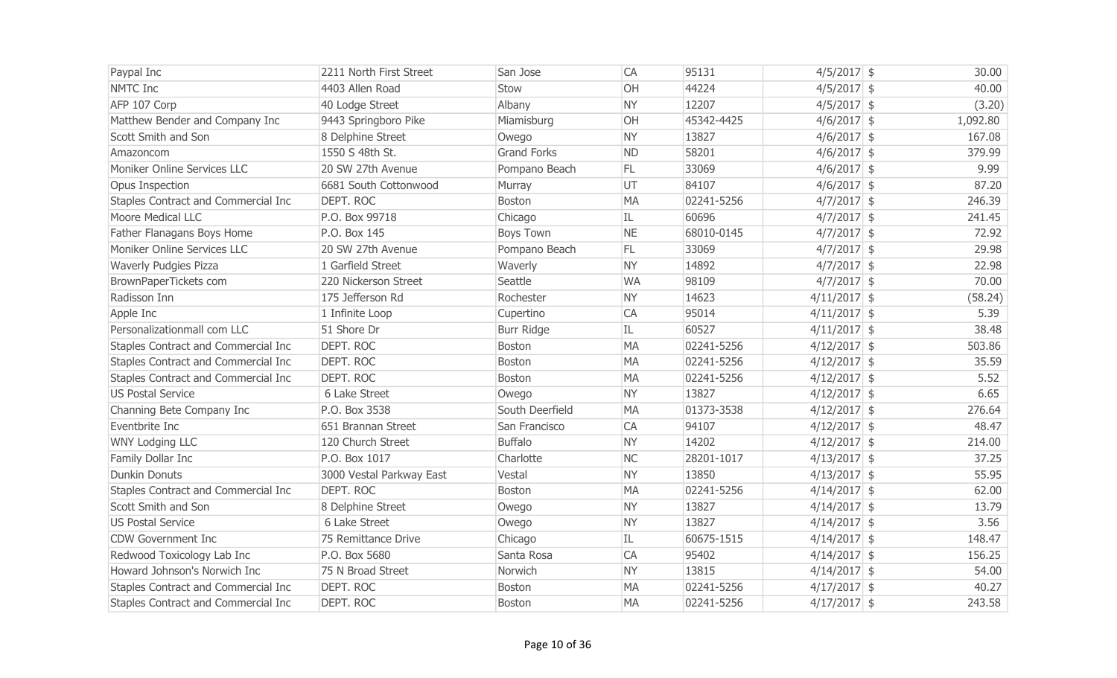| Paypal Inc                          | 2211 North First Street  | San Jose           | CA        | 95131      | $4/5/2017$ \$  | 30.00    |
|-------------------------------------|--------------------------|--------------------|-----------|------------|----------------|----------|
| NMTC Inc                            | 4403 Allen Road          | Stow               | OH        | 44224      | $4/5/2017$ \$  | 40.00    |
| AFP 107 Corp                        | 40 Lodge Street          | Albany             | <b>NY</b> | 12207      | $4/5/2017$ \$  | (3.20)   |
| Matthew Bender and Company Inc      | 9443 Springboro Pike     | Miamisburg         | OH        | 45342-4425 | $4/6/2017$ \$  | 1,092.80 |
| Scott Smith and Son                 | 8 Delphine Street        | Owego              | <b>NY</b> | 13827      | $4/6/2017$ \$  | 167.08   |
| Amazoncom                           | 1550 S 48th St.          | <b>Grand Forks</b> | <b>ND</b> | 58201      | $4/6/2017$ \$  | 379.99   |
| Moniker Online Services LLC         | 20 SW 27th Avenue        | Pompano Beach      | FL.       | 33069      | $4/6/2017$ \$  | 9.99     |
| Opus Inspection                     | 6681 South Cottonwood    | Murray             | UT        | 84107      | $4/6/2017$ \$  | 87.20    |
| Staples Contract and Commercial Inc | DEPT. ROC                | Boston             | <b>MA</b> | 02241-5256 | $4/7/2017$ \$  | 246.39   |
| Moore Medical LLC                   | P.O. Box 99718           | Chicago            | IL.       | 60696      | $4/7/2017$ \$  | 241.45   |
| Father Flanagans Boys Home          | P.O. Box 145             | <b>Boys Town</b>   | <b>NE</b> | 68010-0145 | $4/7/2017$ \$  | 72.92    |
| Moniker Online Services LLC         | 20 SW 27th Avenue        | Pompano Beach      | FL.       | 33069      | $4/7/2017$ \$  | 29.98    |
| <b>Waverly Pudgies Pizza</b>        | 1 Garfield Street        | Waverly            | <b>NY</b> | 14892      | $4/7/2017$ \$  | 22.98    |
| BrownPaperTickets com               | 220 Nickerson Street     | Seattle            | <b>WA</b> | 98109      | $4/7/2017$ \$  | 70.00    |
| Radisson Inn                        | 175 Jefferson Rd         | Rochester          | <b>NY</b> | 14623      | $4/11/2017$ \$ | (58.24)  |
| Apple Inc                           | 1 Infinite Loop          | Cupertino          | CA        | 95014      | $4/11/2017$ \$ | 5.39     |
| Personalizationmall com LLC         | 51 Shore Dr              | <b>Burr Ridge</b>  | IL        | 60527      | $4/11/2017$ \$ | 38.48    |
| Staples Contract and Commercial Inc | DEPT. ROC                | Boston             | <b>MA</b> | 02241-5256 | $4/12/2017$ \$ | 503.86   |
| Staples Contract and Commercial Inc | DEPT. ROC                | Boston             | <b>MA</b> | 02241-5256 | $4/12/2017$ \$ | 35.59    |
| Staples Contract and Commercial Inc | DEPT. ROC                | Boston             | <b>MA</b> | 02241-5256 | $4/12/2017$ \$ | 5.52     |
| <b>US Postal Service</b>            | 6 Lake Street            | Owego              | <b>NY</b> | 13827      | $4/12/2017$ \$ | 6.65     |
| Channing Bete Company Inc           | P.O. Box 3538            | South Deerfield    | <b>MA</b> | 01373-3538 | $4/12/2017$ \$ | 276.64   |
| Eventbrite Inc                      | 651 Brannan Street       | San Francisco      | CA        | 94107      | $4/12/2017$ \$ | 48.47    |
| <b>WNY Lodging LLC</b>              | 120 Church Street        | <b>Buffalo</b>     | <b>NY</b> | 14202      | $4/12/2017$ \$ | 214.00   |
| Family Dollar Inc                   | P.O. Box 1017            | Charlotte          | <b>NC</b> | 28201-1017 | $4/13/2017$ \$ | 37.25    |
| <b>Dunkin Donuts</b>                | 3000 Vestal Parkway East | Vestal             | <b>NY</b> | 13850      | $4/13/2017$ \$ | 55.95    |
| Staples Contract and Commercial Inc | DEPT. ROC                | Boston             | <b>MA</b> | 02241-5256 | $4/14/2017$ \$ | 62.00    |
| Scott Smith and Son                 | 8 Delphine Street        | Owego              | <b>NY</b> | 13827      | $4/14/2017$ \$ | 13.79    |
| <b>US Postal Service</b>            | 6 Lake Street            | Owego              | <b>NY</b> | 13827      | $4/14/2017$ \$ | 3.56     |
| <b>CDW Government Inc</b>           | 75 Remittance Drive      | Chicago            | IL        | 60675-1515 | $4/14/2017$ \$ | 148.47   |
| Redwood Toxicology Lab Inc          | P.O. Box 5680            | Santa Rosa         | CA        | 95402      | $4/14/2017$ \$ | 156.25   |
| Howard Johnson's Norwich Inc        | 75 N Broad Street        | Norwich            | <b>NY</b> | 13815      | $4/14/2017$ \$ | 54.00    |
| Staples Contract and Commercial Inc | <b>DEPT. ROC</b>         | Boston             | <b>MA</b> | 02241-5256 | $4/17/2017$ \$ | 40.27    |
| Staples Contract and Commercial Inc | DEPT. ROC                | Boston             | <b>MA</b> | 02241-5256 | $4/17/2017$ \$ | 243.58   |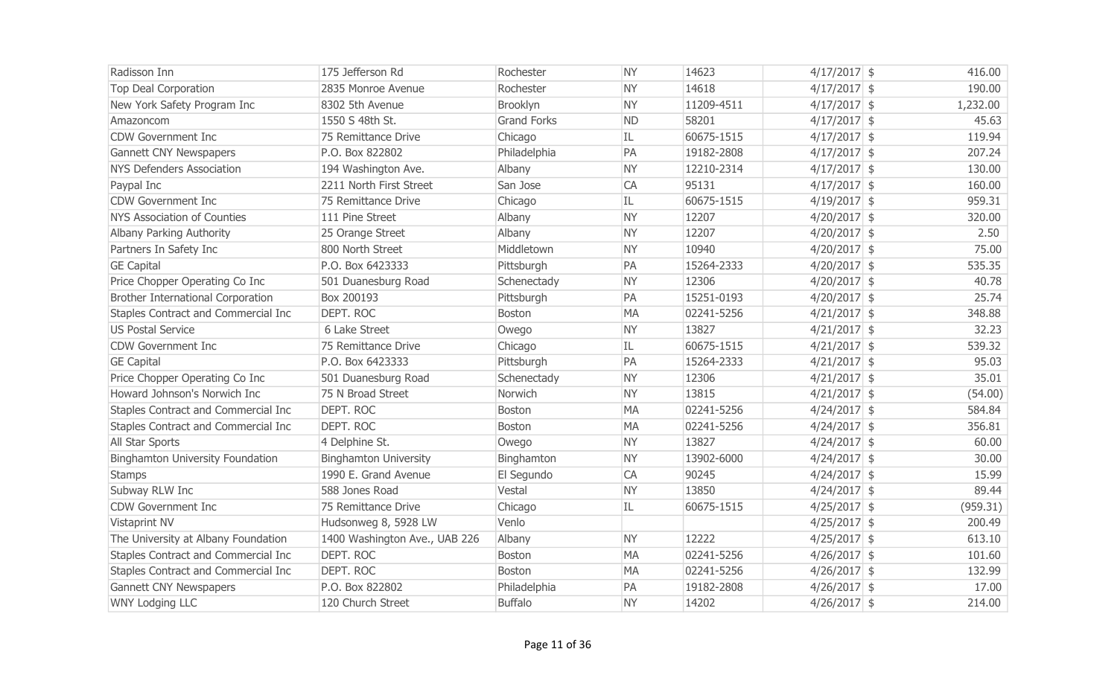| Radisson Inn                            | 175 Jefferson Rd              | Rochester          | <b>NY</b> | 14623      | $4/17/2017$ \$ | 416.00   |
|-----------------------------------------|-------------------------------|--------------------|-----------|------------|----------------|----------|
| <b>Top Deal Corporation</b>             | 2835 Monroe Avenue            | Rochester          | <b>NY</b> | 14618      | $4/17/2017$ \$ | 190.00   |
| New York Safety Program Inc             | 8302 5th Avenue               | Brooklyn           | <b>NY</b> | 11209-4511 | $4/17/2017$ \$ | 1,232.00 |
| Amazoncom                               | 1550 S 48th St.               | <b>Grand Forks</b> | <b>ND</b> | 58201      | $4/17/2017$ \$ | 45.63    |
| CDW Government Inc                      | 75 Remittance Drive           | Chicago            | IL        | 60675-1515 | $4/17/2017$ \$ | 119.94   |
| <b>Gannett CNY Newspapers</b>           | P.O. Box 822802               | Philadelphia       | PA        | 19182-2808 | $4/17/2017$ \$ | 207.24   |
| <b>NYS Defenders Association</b>        | 194 Washington Ave.           | Albany             | <b>NY</b> | 12210-2314 | $4/17/2017$ \$ | 130.00   |
| Paypal Inc                              | 2211 North First Street       | San Jose           | CA        | 95131      | $4/17/2017$ \$ | 160.00   |
| <b>CDW Government Inc</b>               | 75 Remittance Drive           | Chicago            | IL        | 60675-1515 | $4/19/2017$ \$ | 959.31   |
| <b>NYS Association of Counties</b>      | 111 Pine Street               | Albany             | <b>NY</b> | 12207      | $4/20/2017$ \$ | 320.00   |
| Albany Parking Authority                | 25 Orange Street              | Albany             | <b>NY</b> | 12207      | $4/20/2017$ \$ | 2.50     |
| Partners In Safety Inc                  | 800 North Street              | Middletown         | <b>NY</b> | 10940      | $4/20/2017$ \$ | 75.00    |
| <b>GE Capital</b>                       | P.O. Box 6423333              | Pittsburgh         | PA        | 15264-2333 | $4/20/2017$ \$ | 535.35   |
| Price Chopper Operating Co Inc          | 501 Duanesburg Road           | Schenectady        | <b>NY</b> | 12306      | $4/20/2017$ \$ | 40.78    |
| Brother International Corporation       | Box 200193                    | Pittsburgh         | PA        | 15251-0193 | $4/20/2017$ \$ | 25.74    |
| Staples Contract and Commercial Inc     | DEPT. ROC                     | Boston             | <b>MA</b> | 02241-5256 | $4/21/2017$ \$ | 348.88   |
| <b>US Postal Service</b>                | 6 Lake Street                 | Owego              | <b>NY</b> | 13827      | $4/21/2017$ \$ | 32.23    |
| CDW Government Inc                      | 75 Remittance Drive           | Chicago            | IL        | 60675-1515 | $4/21/2017$ \$ | 539.32   |
| <b>GE Capital</b>                       | P.O. Box 6423333              | Pittsburgh         | PA        | 15264-2333 | $4/21/2017$ \$ | 95.03    |
| Price Chopper Operating Co Inc          | 501 Duanesburg Road           | Schenectady        | <b>NY</b> | 12306      | $4/21/2017$ \$ | 35.01    |
| Howard Johnson's Norwich Inc            | 75 N Broad Street             | Norwich            | <b>NY</b> | 13815      | $4/21/2017$ \$ | (54.00)  |
| Staples Contract and Commercial Inc     | <b>DEPT. ROC</b>              | Boston             | <b>MA</b> | 02241-5256 | $4/24/2017$ \$ | 584.84   |
| Staples Contract and Commercial Inc     | <b>DEPT, ROC</b>              | Boston             | <b>MA</b> | 02241-5256 | $4/24/2017$ \$ | 356.81   |
| All Star Sports                         | 4 Delphine St.                | Owego              | <b>NY</b> | 13827      | $4/24/2017$ \$ | 60.00    |
| <b>Binghamton University Foundation</b> | <b>Binghamton University</b>  | Binghamton         | <b>NY</b> | 13902-6000 | $4/24/2017$ \$ | 30.00    |
| <b>Stamps</b>                           | 1990 E. Grand Avenue          | El Segundo         | CA        | 90245      | $4/24/2017$ \$ | 15.99    |
| Subway RLW Inc                          | 588 Jones Road                | Vestal             | <b>NY</b> | 13850      | $4/24/2017$ \$ | 89.44    |
| CDW Government Inc                      | 75 Remittance Drive           | Chicago            | IL        | 60675-1515 | $4/25/2017$ \$ | (959.31) |
| Vistaprint NV                           | Hudsonweg 8, 5928 LW          | Venlo              |           |            | $4/25/2017$ \$ | 200.49   |
| The University at Albany Foundation     | 1400 Washington Ave., UAB 226 | Albany             | <b>NY</b> | 12222      | $4/25/2017$ \$ | 613.10   |
| Staples Contract and Commercial Inc     | DEPT. ROC                     | Boston             | <b>MA</b> | 02241-5256 | $4/26/2017$ \$ | 101.60   |
| Staples Contract and Commercial Inc     | <b>DEPT. ROC</b>              | Boston             | <b>MA</b> | 02241-5256 | $4/26/2017$ \$ | 132.99   |
| <b>Gannett CNY Newspapers</b>           | P.O. Box 822802               | Philadelphia       | PA        | 19182-2808 | $4/26/2017$ \$ | 17.00    |
| <b>WNY Lodging LLC</b>                  | 120 Church Street             | <b>Buffalo</b>     | <b>NY</b> | 14202      | $4/26/2017$ \$ | 214.00   |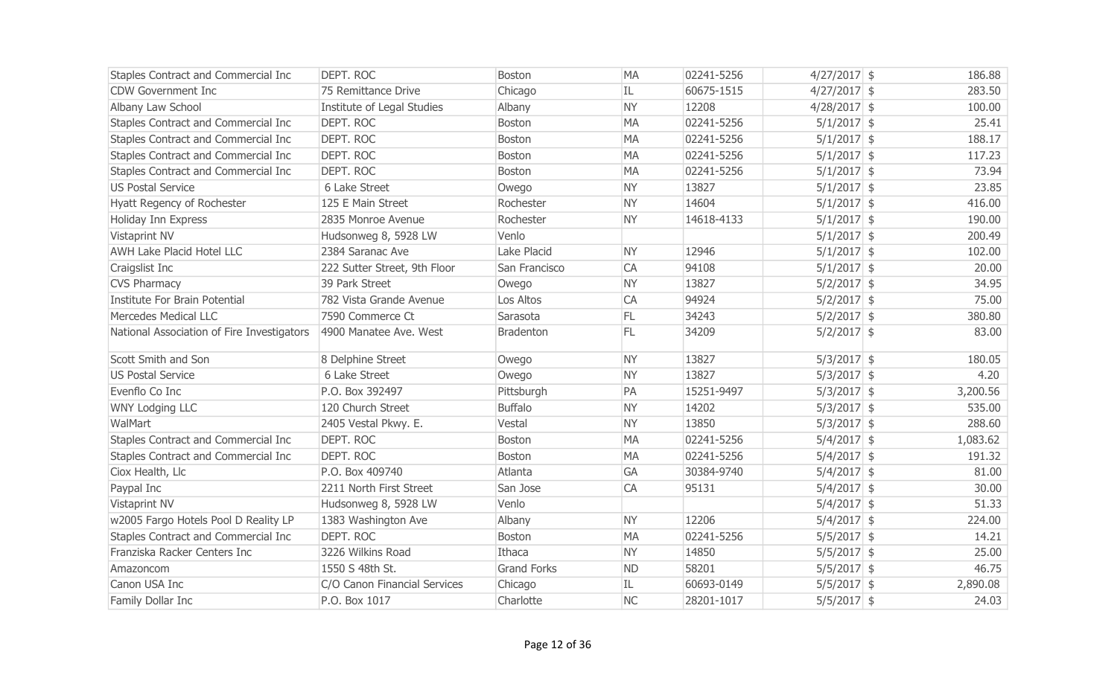| Staples Contract and Commercial Inc        | DEPT. ROC                    | <b>Boston</b>      | <b>MA</b> | 02241-5256 | $4/27/2017$ \$ | 186.88   |
|--------------------------------------------|------------------------------|--------------------|-----------|------------|----------------|----------|
| <b>CDW Government Inc</b>                  | 75 Remittance Drive          | Chicago            | IL        | 60675-1515 | $4/27/2017$ \$ | 283.50   |
| Albany Law School                          | Institute of Legal Studies   | Albany             | <b>NY</b> | 12208      | 4/28/2017 \$   | 100.00   |
| Staples Contract and Commercial Inc        | <b>DEPT. ROC</b>             | Boston             | <b>MA</b> | 02241-5256 | $5/1/2017$ \$  | 25.41    |
| Staples Contract and Commercial Inc        | <b>DEPT. ROC</b>             | <b>Boston</b>      | <b>MA</b> | 02241-5256 | $5/1/2017$ \$  | 188.17   |
| Staples Contract and Commercial Inc        | <b>DEPT. ROC</b>             | Boston             | <b>MA</b> | 02241-5256 | $5/1/2017$ \$  | 117.23   |
| Staples Contract and Commercial Inc        | DEPT. ROC                    | <b>Boston</b>      | <b>MA</b> | 02241-5256 | $5/1/2017$ \$  | 73.94    |
| <b>US Postal Service</b>                   | 6 Lake Street                | Owego              | <b>NY</b> | 13827      | $5/1/2017$ \$  | 23.85    |
| Hyatt Regency of Rochester                 | 125 E Main Street            | Rochester          | <b>NY</b> | 14604      | $5/1/2017$ \$  | 416.00   |
| Holiday Inn Express                        | 2835 Monroe Avenue           | Rochester          | <b>NY</b> | 14618-4133 | $5/1/2017$ \$  | 190.00   |
| Vistaprint NV                              | Hudsonweg 8, 5928 LW         | Venlo              |           |            | $5/1/2017$ \$  | 200.49   |
| <b>AWH Lake Placid Hotel LLC</b>           | 2384 Saranac Ave             | Lake Placid        | <b>NY</b> | 12946      | $5/1/2017$ \$  | 102.00   |
| Craigslist Inc                             | 222 Sutter Street, 9th Floor | San Francisco      | CA        | 94108      | $5/1/2017$ \$  | 20.00    |
| <b>CVS Pharmacy</b>                        | 39 Park Street               | Owego              | <b>NY</b> | 13827      | $5/2/2017$ \$  | 34.95    |
| Institute For Brain Potential              | 782 Vista Grande Avenue      | Los Altos          | CA        | 94924      | $5/2/2017$ \$  | 75.00    |
| <b>Mercedes Medical LLC</b>                | 7590 Commerce Ct             | Sarasota           | <b>FL</b> | 34243      | $5/2/2017$ \$  | 380.80   |
| National Association of Fire Investigators | 4900 Manatee Ave. West       | <b>Bradenton</b>   | FL        | 34209      | $5/2/2017$ \$  | 83.00    |
| Scott Smith and Son                        | 8 Delphine Street            | Owego              | <b>NY</b> | 13827      | $5/3/2017$ \$  | 180.05   |
| <b>US Postal Service</b>                   | 6 Lake Street                | Owego              | <b>NY</b> | 13827      | $5/3/2017$ \$  | 4.20     |
| Evenflo Co Inc                             | P.O. Box 392497              | Pittsburgh         | PA        | 15251-9497 | $5/3/2017$ \$  | 3,200.56 |
| <b>WNY Lodging LLC</b>                     | 120 Church Street            | <b>Buffalo</b>     | <b>NY</b> | 14202      | $5/3/2017$ \$  | 535.00   |
| WalMart                                    | 2405 Vestal Pkwy. E.         | Vestal             | <b>NY</b> | 13850      | $5/3/2017$ \$  | 288.60   |
| Staples Contract and Commercial Inc        | DEPT. ROC                    | <b>Boston</b>      | <b>MA</b> | 02241-5256 | $5/4/2017$ \$  | 1,083.62 |
| Staples Contract and Commercial Inc        | DEPT. ROC                    | <b>Boston</b>      | <b>MA</b> | 02241-5256 | $5/4/2017$ \$  | 191.32   |
| Ciox Health, Llc                           | P.O. Box 409740              | Atlanta            | GA        | 30384-9740 | $5/4/2017$ \$  | 81.00    |
| Paypal Inc                                 | 2211 North First Street      | San Jose           | CA        | 95131      | $5/4/2017$ \$  | 30.00    |
| Vistaprint NV                              | Hudsonweg 8, 5928 LW         | Venlo              |           |            | $5/4/2017$ \$  | 51.33    |
| w2005 Fargo Hotels Pool D Reality LP       | 1383 Washington Ave          | Albany             | <b>NY</b> | 12206      | $5/4/2017$ \$  | 224.00   |
| Staples Contract and Commercial Inc        | DEPT. ROC                    | Boston             | <b>MA</b> | 02241-5256 | $5/5/2017$ \$  | 14.21    |
| Franziska Racker Centers Inc               | 3226 Wilkins Road            | Ithaca             | <b>NY</b> | 14850      | $5/5/2017$ \$  | 25.00    |
| Amazoncom                                  | 1550 S 48th St.              | <b>Grand Forks</b> | <b>ND</b> | 58201      | $5/5/2017$ \$  | 46.75    |
| Canon USA Inc                              | C/O Canon Financial Services | Chicago            | IL        | 60693-0149 | $5/5/2017$ \$  | 2,890.08 |
| Family Dollar Inc                          | P.O. Box 1017                | Charlotte          | <b>NC</b> | 28201-1017 | $5/5/2017$ \$  | 24.03    |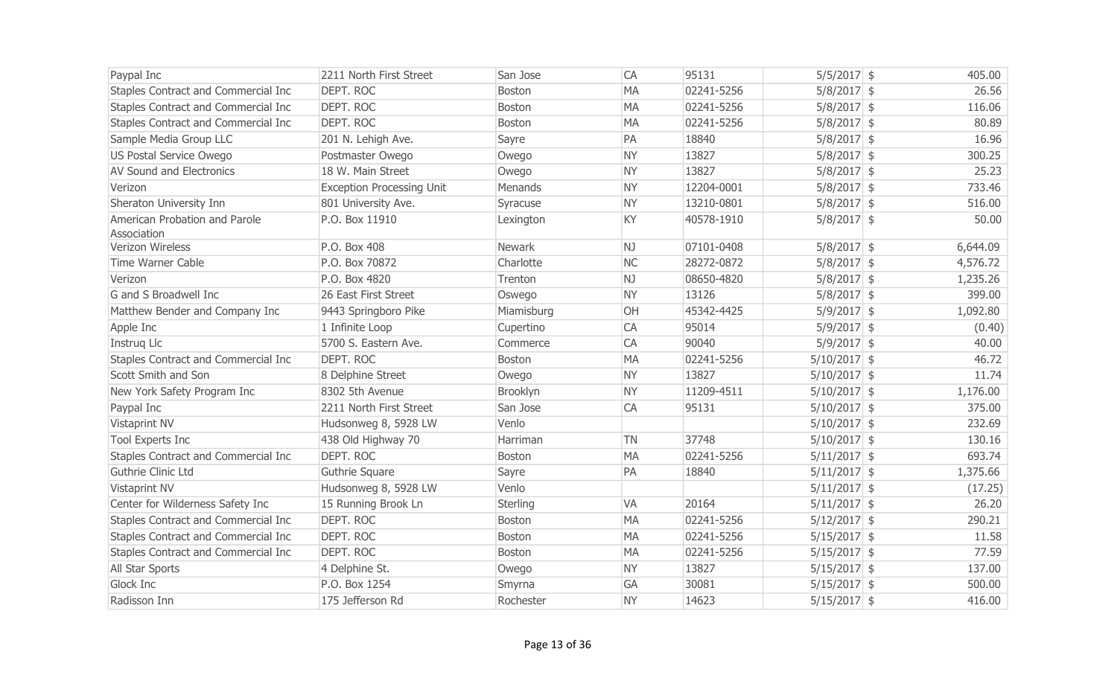| Paypal Inc                                   | 2211 North First Street          | San Jose      | CA        | 95131      | $5/5/2017$ \$  | 405.00   |
|----------------------------------------------|----------------------------------|---------------|-----------|------------|----------------|----------|
| Staples Contract and Commercial Inc          | <b>DEPT. ROC</b>                 | Boston        | <b>MA</b> | 02241-5256 | $5/8/2017$ \$  | 26.56    |
| Staples Contract and Commercial Inc          | <b>DEPT. ROC</b>                 | Boston        | <b>MA</b> | 02241-5256 | $5/8/2017$ \$  | 116.06   |
| Staples Contract and Commercial Inc          | <b>DEPT. ROC</b>                 | Boston        | <b>MA</b> | 02241-5256 | $5/8/2017$ \$  | 80.89    |
| Sample Media Group LLC                       | 201 N. Lehigh Ave.               | Sayre         | PA        | 18840      | $5/8/2017$ \$  | 16.96    |
| US Postal Service Owego                      | Postmaster Owego                 | Owego         | <b>NY</b> | 13827      | $5/8/2017$ \$  | 300.25   |
| <b>AV Sound and Electronics</b>              | 18 W. Main Street                | Owego         | <b>NY</b> | 13827      | $5/8/2017$ \$  | 25.23    |
| Verizon                                      | <b>Exception Processing Unit</b> | Menands       | <b>NY</b> | 12204-0001 | $5/8/2017$ \$  | 733.46   |
| Sheraton University Inn                      | 801 University Ave.              | Syracuse      | <b>NY</b> | 13210-0801 | $5/8/2017$ \$  | 516.00   |
| American Probation and Parole<br>Association | P.O. Box 11910                   | Lexington     | KY        | 40578-1910 | $5/8/2017$ \$  | 50.00    |
| Verizon Wireless                             | P.O. Box 408                     | Newark        | NJ        | 07101-0408 | $5/8/2017$ \$  | 6,644.09 |
| <b>Time Warner Cable</b>                     | P.O. Box 70872                   | Charlotte     | <b>NC</b> | 28272-0872 | $5/8/2017$ \$  | 4,576.72 |
| Verizon                                      | P.O. Box 4820                    | Trenton       | NJ        | 08650-4820 | $5/8/2017$ \$  | 1,235.26 |
| G and S Broadwell Inc                        | 26 East First Street             | Oswego        | <b>NY</b> | 13126      | $5/8/2017$ \$  | 399.00   |
| Matthew Bender and Company Inc               | 9443 Springboro Pike             | Miamisburg    | OH        | 45342-4425 | $5/9/2017$ \$  | 1,092.80 |
| Apple Inc                                    | 1 Infinite Loop                  | Cupertino     | CA        | 95014      | $5/9/2017$ \$  | (0.40)   |
| Instrug Llc                                  | 5700 S. Eastern Ave.             | Commerce      | CA        | 90040      | $5/9/2017$ \$  | 40.00    |
| Staples Contract and Commercial Inc          | <b>DEPT, ROC</b>                 | Boston        | <b>MA</b> | 02241-5256 | $5/10/2017$ \$ | 46.72    |
| Scott Smith and Son                          | 8 Delphine Street                | Owego         | <b>NY</b> | 13827      | $5/10/2017$ \$ | 11.74    |
| New York Safety Program Inc                  | 8302 5th Avenue                  | Brooklyn      | <b>NY</b> | 11209-4511 | $5/10/2017$ \$ | 1,176.00 |
| Paypal Inc                                   | 2211 North First Street          | San Jose      | CA        | 95131      | $5/10/2017$ \$ | 375.00   |
| Vistaprint NV                                | Hudsonweg 8, 5928 LW             | Venlo         |           |            | $5/10/2017$ \$ | 232.69   |
| <b>Tool Experts Inc</b>                      | 438 Old Highway 70               | Harriman      | <b>TN</b> | 37748      | $5/10/2017$ \$ | 130.16   |
| Staples Contract and Commercial Inc          | <b>DEPT, ROC</b>                 | Boston        | <b>MA</b> | 02241-5256 | $5/11/2017$ \$ | 693.74   |
| Guthrie Clinic Ltd                           | Guthrie Square                   | Sayre         | PA        | 18840      | $5/11/2017$ \$ | 1,375.66 |
| Vistaprint NV                                | Hudsonweg 8, 5928 LW             | Venlo         |           |            | $5/11/2017$ \$ | (17.25)  |
| Center for Wilderness Safety Inc             | 15 Running Brook Ln              | Sterling      | <b>VA</b> | 20164      | $5/11/2017$ \$ | 26.20    |
| Staples Contract and Commercial Inc          | <b>DEPT. ROC</b>                 | Boston        | <b>MA</b> | 02241-5256 | $5/12/2017$ \$ | 290.21   |
| Staples Contract and Commercial Inc          | <b>DEPT. ROC</b>                 | Boston        | <b>MA</b> | 02241-5256 | $5/15/2017$ \$ | 11.58    |
| <b>Staples Contract and Commercial Inc</b>   | <b>DEPT, ROC</b>                 | <b>Boston</b> | <b>MA</b> | 02241-5256 | $5/15/2017$ \$ | 77.59    |
| All Star Sports                              | 4 Delphine St.                   | Owego         | <b>NY</b> | 13827      | $5/15/2017$ \$ | 137.00   |
| Glock Inc                                    | P.O. Box 1254                    | Smyrna        | GA        | 30081      | $5/15/2017$ \$ | 500.00   |
| Radisson Inn                                 | 175 Jefferson Rd                 | Rochester     | <b>NY</b> | 14623      | $5/15/2017$ \$ | 416.00   |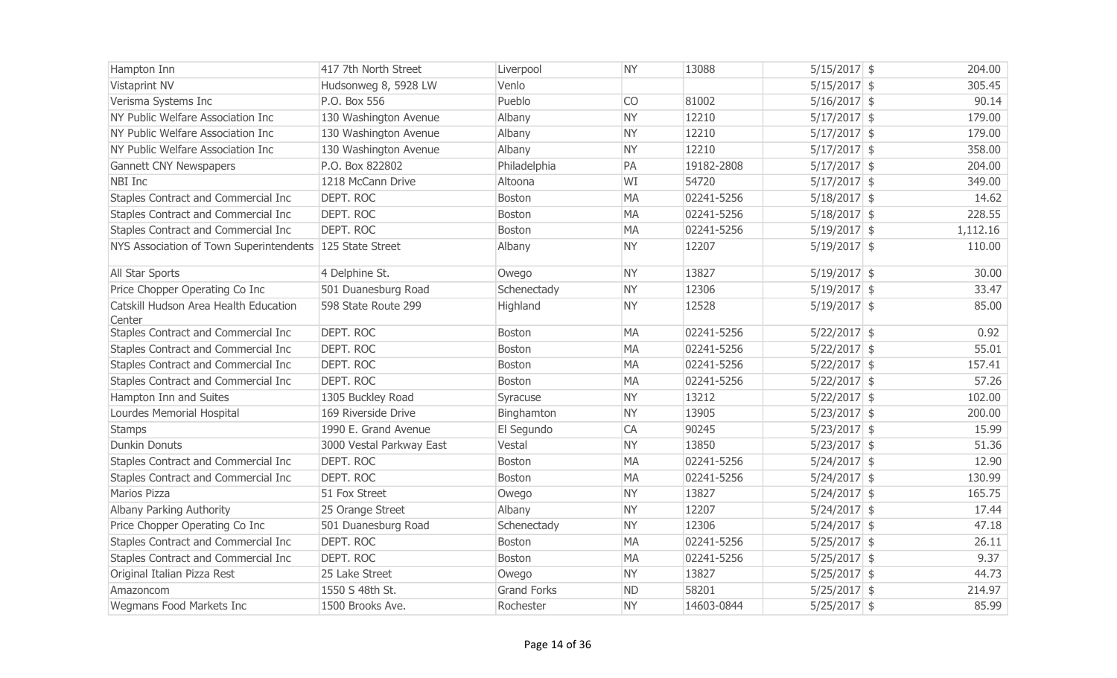| Hampton Inn                                              | 417 7th North Street     | Liverpool          | <b>NY</b> | 13088      | $5/15/2017$ \$ | 204.00   |
|----------------------------------------------------------|--------------------------|--------------------|-----------|------------|----------------|----------|
| Vistaprint NV                                            | Hudsonweg 8, 5928 LW     | Venlo              |           |            | $5/15/2017$ \$ | 305.45   |
| Verisma Systems Inc                                      | P.O. Box 556             | Pueblo             | <b>CO</b> | 81002      | $5/16/2017$ \$ | 90.14    |
| NY Public Welfare Association Inc                        | 130 Washington Avenue    | Albany             | <b>NY</b> | 12210      | $5/17/2017$ \$ | 179.00   |
| NY Public Welfare Association Inc                        | 130 Washington Avenue    | Albany             | <b>NY</b> | 12210      | $5/17/2017$ \$ | 179.00   |
| NY Public Welfare Association Inc                        | 130 Washington Avenue    | Albany             | <b>NY</b> | 12210      | $5/17/2017$ \$ | 358.00   |
| Gannett CNY Newspapers                                   | P.O. Box 822802          | Philadelphia       | PA        | 19182-2808 | $5/17/2017$ \$ | 204.00   |
| NBI Inc                                                  | 1218 McCann Drive        | Altoona            | WI        | 54720      | $5/17/2017$ \$ | 349.00   |
| Staples Contract and Commercial Inc                      | DEPT. ROC                | <b>Boston</b>      | <b>MA</b> | 02241-5256 | $5/18/2017$ \$ | 14.62    |
| Staples Contract and Commercial Inc                      | <b>DEPT. ROC</b>         | <b>Boston</b>      | <b>MA</b> | 02241-5256 | $5/18/2017$ \$ | 228.55   |
| Staples Contract and Commercial Inc                      | <b>DEPT. ROC</b>         | <b>Boston</b>      | <b>MA</b> | 02241-5256 | $5/19/2017$ \$ | 1,112.16 |
| NYS Association of Town Superintendents 125 State Street |                          | Albany             | <b>NY</b> | 12207      | $5/19/2017$ \$ | 110.00   |
| All Star Sports                                          | 4 Delphine St.           | Owego              | <b>NY</b> | 13827      | $5/19/2017$ \$ | 30.00    |
| Price Chopper Operating Co Inc                           | 501 Duanesburg Road      | Schenectady        | <b>NY</b> | 12306      | $5/19/2017$ \$ | 33.47    |
| Catskill Hudson Area Health Education<br>Center          | 598 State Route 299      | Highland           | <b>NY</b> | 12528      | $5/19/2017$ \$ | 85.00    |
| Staples Contract and Commercial Inc                      | <b>DEPT. ROC</b>         | <b>Boston</b>      | <b>MA</b> | 02241-5256 | $5/22/2017$ \$ | 0.92     |
| Staples Contract and Commercial Inc                      | DEPT. ROC                | <b>Boston</b>      | <b>MA</b> | 02241-5256 | $5/22/2017$ \$ | 55.01    |
| Staples Contract and Commercial Inc                      | <b>DEPT. ROC</b>         | <b>Boston</b>      | <b>MA</b> | 02241-5256 | $5/22/2017$ \$ | 157.41   |
| Staples Contract and Commercial Inc                      | <b>DEPT. ROC</b>         | Boston             | <b>MA</b> | 02241-5256 | $5/22/2017$ \$ | 57.26    |
| Hampton Inn and Suites                                   | 1305 Buckley Road        | Syracuse           | <b>NY</b> | 13212      | $5/22/2017$ \$ | 102.00   |
| Lourdes Memorial Hospital                                | 169 Riverside Drive      | Binghamton         | <b>NY</b> | 13905      | $5/23/2017$ \$ | 200.00   |
| <b>Stamps</b>                                            | 1990 E. Grand Avenue     | El Segundo         | CA        | 90245      | $5/23/2017$ \$ | 15.99    |
| <b>Dunkin Donuts</b>                                     | 3000 Vestal Parkway East | Vestal             | <b>NY</b> | 13850      | $5/23/2017$ \$ | 51.36    |
| Staples Contract and Commercial Inc                      | <b>DEPT. ROC</b>         | <b>Boston</b>      | <b>MA</b> | 02241-5256 | $5/24/2017$ \$ | 12.90    |
| Staples Contract and Commercial Inc                      | DEPT. ROC                | <b>Boston</b>      | <b>MA</b> | 02241-5256 | $5/24/2017$ \$ | 130.99   |
| Marios Pizza                                             | 51 Fox Street            | Owego              | <b>NY</b> | 13827      | $5/24/2017$ \$ | 165.75   |
| Albany Parking Authority                                 | 25 Orange Street         | Albany             | <b>NY</b> | 12207      | $5/24/2017$ \$ | 17.44    |
| Price Chopper Operating Co Inc                           | 501 Duanesburg Road      | Schenectady        | <b>NY</b> | 12306      | $5/24/2017$ \$ | 47.18    |
| Staples Contract and Commercial Inc                      | <b>DEPT. ROC</b>         | <b>Boston</b>      | <b>MA</b> | 02241-5256 | $5/25/2017$ \$ | 26.11    |
| Staples Contract and Commercial Inc                      | <b>DEPT. ROC</b>         | Boston             | <b>MA</b> | 02241-5256 | $5/25/2017$ \$ | 9.37     |
| Original Italian Pizza Rest                              | 25 Lake Street           | Owego              | <b>NY</b> | 13827      | $5/25/2017$ \$ | 44.73    |
| Amazoncom                                                | 1550 S 48th St.          | <b>Grand Forks</b> | <b>ND</b> | 58201      | $5/25/2017$ \$ | 214.97   |
| Wegmans Food Markets Inc                                 | 1500 Brooks Ave.         | Rochester          | <b>NY</b> | 14603-0844 | $5/25/2017$ \$ | 85.99    |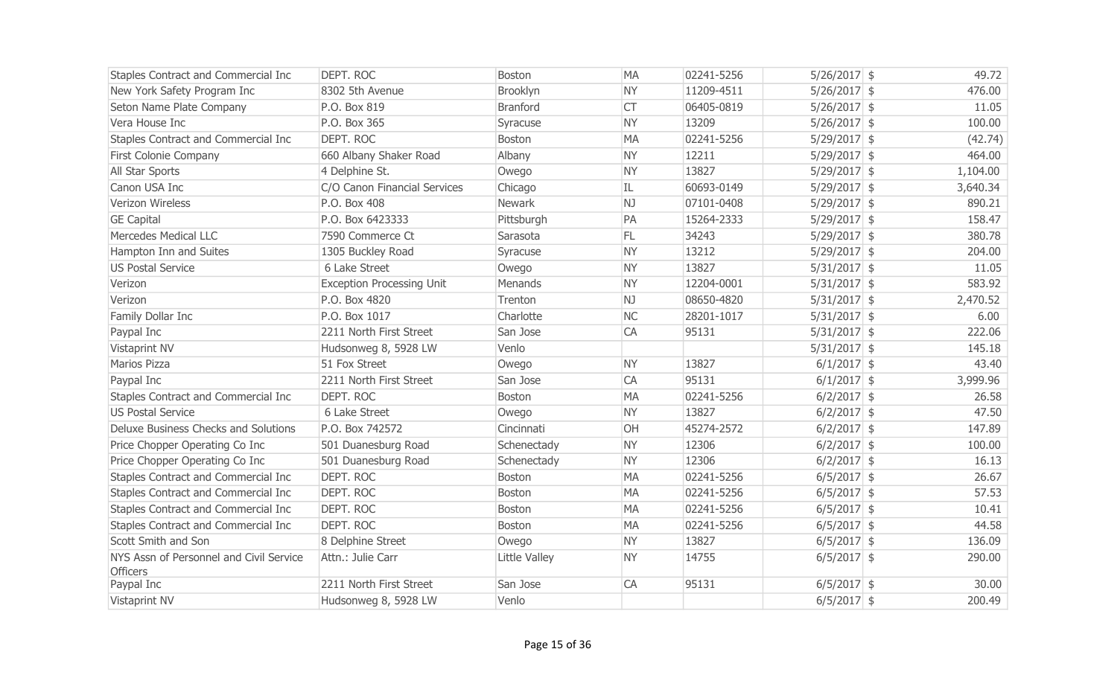| Staples Contract and Commercial Inc                        | DEPT. ROC                        | <b>Boston</b>   | <b>MA</b> | 02241-5256 | $5/26/2017$ \$ | 49.72    |
|------------------------------------------------------------|----------------------------------|-----------------|-----------|------------|----------------|----------|
| New York Safety Program Inc                                | 8302 5th Avenue                  | Brooklyn        | <b>NY</b> | 11209-4511 | $5/26/2017$ \$ | 476.00   |
| Seton Name Plate Company                                   | P.O. Box 819                     | <b>Branford</b> | <b>CT</b> | 06405-0819 | $5/26/2017$ \$ | 11.05    |
| Vera House Inc                                             | P.O. Box 365                     | Syracuse        | <b>NY</b> | 13209      | $5/26/2017$ \$ | 100.00   |
| Staples Contract and Commercial Inc                        | DEPT. ROC                        | Boston          | <b>MA</b> | 02241-5256 | $5/29/2017$ \$ | (42.74)  |
| First Colonie Company                                      | 660 Albany Shaker Road           | Albany          | <b>NY</b> | 12211      | $5/29/2017$ \$ | 464.00   |
| All Star Sports                                            | 4 Delphine St.                   | Owego           | <b>NY</b> | 13827      | $5/29/2017$ \$ | 1,104.00 |
| Canon USA Inc                                              | C/O Canon Financial Services     | Chicago         | IL        | 60693-0149 | $5/29/2017$ \$ | 3,640.34 |
| Verizon Wireless                                           | P.O. Box 408                     | Newark          | NJ        | 07101-0408 | $5/29/2017$ \$ | 890.21   |
| <b>GE Capital</b>                                          | P.O. Box 6423333                 | Pittsburgh      | PA        | 15264-2333 | $5/29/2017$ \$ | 158.47   |
| Mercedes Medical LLC                                       | 7590 Commerce Ct                 | Sarasota        | FL.       | 34243      | $5/29/2017$ \$ | 380.78   |
| Hampton Inn and Suites                                     | 1305 Buckley Road                | Syracuse        | <b>NY</b> | 13212      | $5/29/2017$ \$ | 204.00   |
| <b>US Postal Service</b>                                   | 6 Lake Street                    | Owego           | <b>NY</b> | 13827      | $5/31/2017$ \$ | 11.05    |
| Verizon                                                    | <b>Exception Processing Unit</b> | Menands         | <b>NY</b> | 12204-0001 | $5/31/2017$ \$ | 583.92   |
| Verizon                                                    | P.O. Box 4820                    | Trenton         | NJ        | 08650-4820 | $5/31/2017$ \$ | 2,470.52 |
| Family Dollar Inc                                          | P.O. Box 1017                    | Charlotte       | <b>NC</b> | 28201-1017 | $5/31/2017$ \$ | 6.00     |
| Paypal Inc                                                 | 2211 North First Street          | San Jose        | CA        | 95131      | $5/31/2017$ \$ | 222.06   |
| Vistaprint NV                                              | Hudsonweg 8, 5928 LW             | Venlo           |           |            | $5/31/2017$ \$ | 145.18   |
| Marios Pizza                                               | 51 Fox Street                    | Owego           | <b>NY</b> | 13827      | $6/1/2017$ \$  | 43.40    |
| Paypal Inc                                                 | 2211 North First Street          | San Jose        | <b>CA</b> | 95131      | $6/1/2017$ \$  | 3,999.96 |
| Staples Contract and Commercial Inc                        | DEPT. ROC                        | <b>Boston</b>   | <b>MA</b> | 02241-5256 | $6/2/2017$ \$  | 26.58    |
| <b>US Postal Service</b>                                   | 6 Lake Street                    | Owego           | <b>NY</b> | 13827      | $6/2/2017$ \$  | 47.50    |
| Deluxe Business Checks and Solutions                       | P.O. Box 742572                  | Cincinnati      | OH        | 45274-2572 | $6/2/2017$ \$  | 147.89   |
| Price Chopper Operating Co Inc                             | 501 Duanesburg Road              | Schenectady     | <b>NY</b> | 12306      | $6/2/2017$ \$  | 100.00   |
| Price Chopper Operating Co Inc                             | 501 Duanesburg Road              | Schenectady     | <b>NY</b> | 12306      | $6/2/2017$ \$  | 16.13    |
| Staples Contract and Commercial Inc                        | DEPT. ROC                        | <b>Boston</b>   | <b>MA</b> | 02241-5256 | $6/5/2017$ \$  | 26.67    |
| Staples Contract and Commercial Inc                        | <b>DEPT. ROC</b>                 | <b>Boston</b>   | <b>MA</b> | 02241-5256 | $6/5/2017$ \$  | 57.53    |
| Staples Contract and Commercial Inc                        | DEPT. ROC                        | <b>Boston</b>   | <b>MA</b> | 02241-5256 | $6/5/2017$ \$  | 10.41    |
| Staples Contract and Commercial Inc                        | DEPT. ROC                        | Boston          | <b>MA</b> | 02241-5256 | $6/5/2017$ \$  | 44.58    |
| Scott Smith and Son                                        | 8 Delphine Street                | Owego           | <b>NY</b> | 13827      | $6/5/2017$ \$  | 136.09   |
| NYS Assn of Personnel and Civil Service<br><b>Officers</b> | Attn.: Julie Carr                | Little Valley   | <b>NY</b> | 14755      | $6/5/2017$ \$  | 290.00   |
| Paypal Inc                                                 | 2211 North First Street          | San Jose        | CA        | 95131      | $6/5/2017$ \$  | 30.00    |
| <b>Vistaprint NV</b>                                       | Hudsonweg 8, 5928 LW             | Venlo           |           |            | $6/5/2017$ \$  | 200.49   |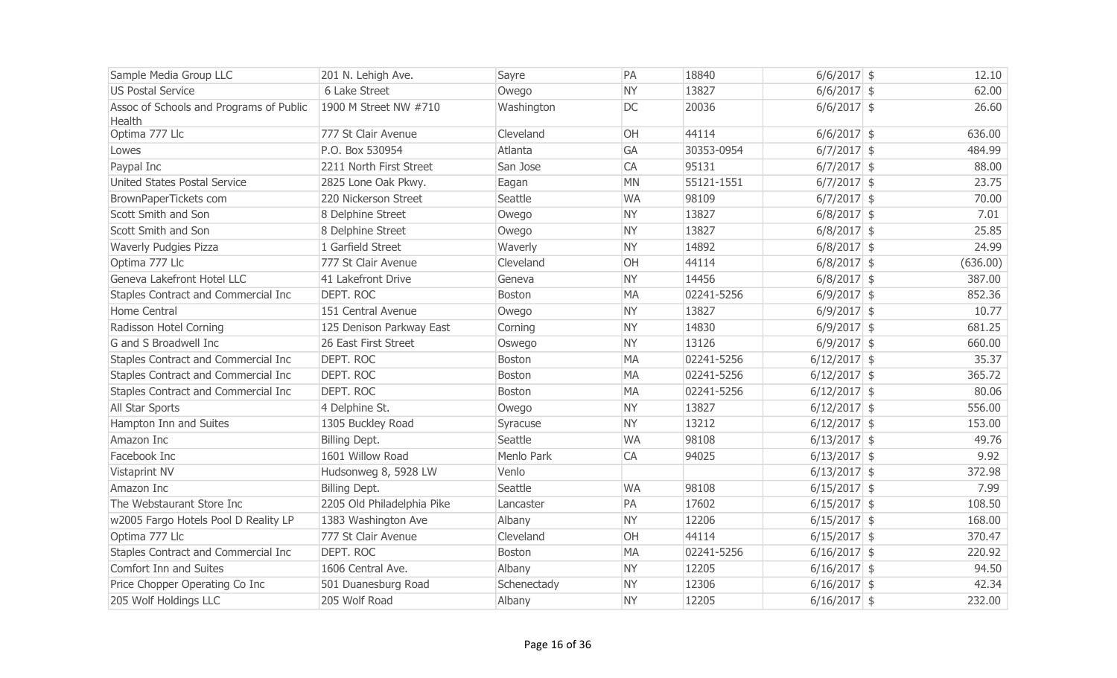| Sample Media Group LLC                            | 201 N. Lehigh Ave.         | Sayre       | PA        | 18840      | $6/6/2017$ \$  | 12.10    |
|---------------------------------------------------|----------------------------|-------------|-----------|------------|----------------|----------|
| <b>US Postal Service</b>                          | 6 Lake Street              | Owego       | <b>NY</b> | 13827      | $6/6/2017$ \$  | 62.00    |
| Assoc of Schools and Programs of Public<br>Health | 1900 M Street NW #710      | Washington  | <b>DC</b> | 20036      | $6/6/2017$ \$  | 26.60    |
| Optima 777 Llc                                    | 777 St Clair Avenue        | Cleveland   | OH        | 44114      | $6/6/2017$ \$  | 636.00   |
| Lowes                                             | P.O. Box 530954            | Atlanta     | <b>GA</b> | 30353-0954 | $6/7/2017$ \$  | 484.99   |
| Paypal Inc                                        | 2211 North First Street    | San Jose    | CA        | 95131      | $6/7/2017$ \$  | 88.00    |
| <b>United States Postal Service</b>               | 2825 Lone Oak Pkwy.        | Eagan       | <b>MN</b> | 55121-1551 | $6/7/2017$ \$  | 23.75    |
| BrownPaperTickets com                             | 220 Nickerson Street       | Seattle     | <b>WA</b> | 98109      | $6/7/2017$ \$  | 70.00    |
| Scott Smith and Son                               | 8 Delphine Street          | Owego       | <b>NY</b> | 13827      | $6/8/2017$ \$  | 7.01     |
| Scott Smith and Son                               | 8 Delphine Street          | Owego       | <b>NY</b> | 13827      | $6/8/2017$ \$  | 25.85    |
| Waverly Pudgies Pizza                             | 1 Garfield Street          | Waverly     | <b>NY</b> | 14892      | $6/8/2017$ \$  | 24.99    |
| Optima 777 Llc                                    | 777 St Clair Avenue        | Cleveland   | OH        | 44114      | $6/8/2017$ \$  | (636.00) |
| Geneva Lakefront Hotel LLC                        | 41 Lakefront Drive         | Geneva      | <b>NY</b> | 14456      | $6/8/2017$ \$  | 387.00   |
| Staples Contract and Commercial Inc               | DEPT. ROC                  | Boston      | <b>MA</b> | 02241-5256 | $6/9/2017$ \$  | 852.36   |
| Home Central                                      | 151 Central Avenue         | Owego       | <b>NY</b> | 13827      | $6/9/2017$ \$  | 10.77    |
| Radisson Hotel Corning                            | 125 Denison Parkway East   | Corning     | <b>NY</b> | 14830      | $6/9/2017$ \$  | 681.25   |
| G and S Broadwell Inc                             | 26 East First Street       | Oswego      | <b>NY</b> | 13126      | $6/9/2017$ \$  | 660.00   |
| Staples Contract and Commercial Inc               | <b>DEPT. ROC</b>           | Boston      | <b>MA</b> | 02241-5256 | $6/12/2017$ \$ | 35.37    |
| Staples Contract and Commercial Inc               | DEPT. ROC                  | Boston      | <b>MA</b> | 02241-5256 | $6/12/2017$ \$ | 365.72   |
| Staples Contract and Commercial Inc               | DEPT. ROC                  | Boston      | <b>MA</b> | 02241-5256 | $6/12/2017$ \$ | 80.06    |
| All Star Sports                                   | 4 Delphine St.             | Owego       | <b>NY</b> | 13827      | $6/12/2017$ \$ | 556.00   |
| Hampton Inn and Suites                            | 1305 Buckley Road          | Syracuse    | <b>NY</b> | 13212      | $6/12/2017$ \$ | 153.00   |
| Amazon Inc                                        | Billing Dept.              | Seattle     | <b>WA</b> | 98108      | $6/13/2017$ \$ | 49.76    |
| Facebook Inc                                      | 1601 Willow Road           | Menlo Park  | CA        | 94025      | $6/13/2017$ \$ | 9.92     |
| Vistaprint NV                                     | Hudsonweg 8, 5928 LW       | Venlo       |           |            | $6/13/2017$ \$ | 372.98   |
| Amazon Inc                                        | Billing Dept.              | Seattle     | <b>WA</b> | 98108      | $6/15/2017$ \$ | 7.99     |
| The Webstaurant Store Inc                         | 2205 Old Philadelphia Pike | Lancaster   | PA        | 17602      | $6/15/2017$ \$ | 108.50   |
| w2005 Fargo Hotels Pool D Reality LP              | 1383 Washington Ave        | Albany      | <b>NY</b> | 12206      | $6/15/2017$ \$ | 168.00   |
| Optima 777 Llc                                    | 777 St Clair Avenue        | Cleveland   | OH        | 44114      | $6/15/2017$ \$ | 370.47   |
| Staples Contract and Commercial Inc               | DEPT. ROC                  | Boston      | <b>MA</b> | 02241-5256 | $6/16/2017$ \$ | 220.92   |
| Comfort Inn and Suites                            | 1606 Central Ave.          | Albany      | <b>NY</b> | 12205      | $6/16/2017$ \$ | 94.50    |
| Price Chopper Operating Co Inc                    | 501 Duanesburg Road        | Schenectady | <b>NY</b> | 12306      | $6/16/2017$ \$ | 42.34    |
| 205 Wolf Holdings LLC                             | 205 Wolf Road              | Albany      | <b>NY</b> | 12205      | $6/16/2017$ \$ | 232.00   |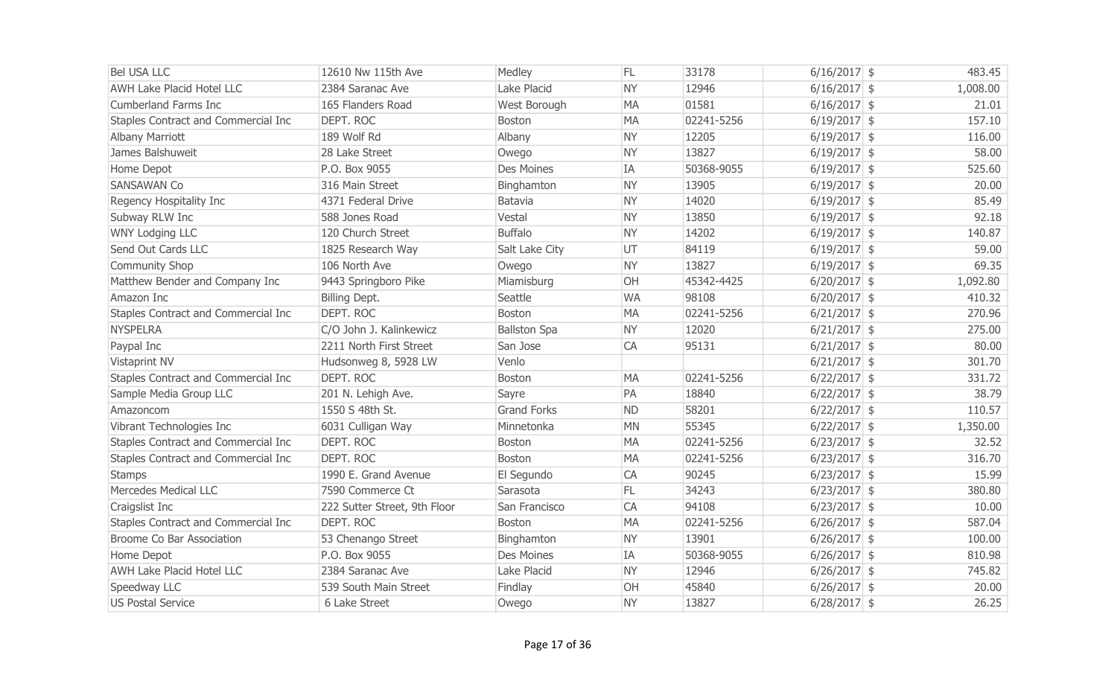| <b>Bel USA LLC</b>                  | 12610 Nw 115th Ave           | Medley              | FL.       | 33178      | $6/16/2017$ \$ | 483.45   |
|-------------------------------------|------------------------------|---------------------|-----------|------------|----------------|----------|
| <b>AWH Lake Placid Hotel LLC</b>    | 2384 Saranac Ave             | Lake Placid         | <b>NY</b> | 12946      | $6/16/2017$ \$ | 1,008.00 |
| Cumberland Farms Inc                | 165 Flanders Road            | West Borough        | <b>MA</b> | 01581      | $6/16/2017$ \$ | 21.01    |
| Staples Contract and Commercial Inc | DEPT. ROC                    | Boston              | <b>MA</b> | 02241-5256 | $6/19/2017$ \$ | 157.10   |
| <b>Albany Marriott</b>              | 189 Wolf Rd                  | Albany              | <b>NY</b> | 12205      | $6/19/2017$ \$ | 116.00   |
| James Balshuweit                    | 28 Lake Street               | Owego               | <b>NY</b> | 13827      | $6/19/2017$ \$ | 58.00    |
| Home Depot                          | P.O. Box 9055                | <b>Des Moines</b>   | <b>IA</b> | 50368-9055 | $6/19/2017$ \$ | 525.60   |
| <b>SANSAWAN Co</b>                  | 316 Main Street              | Binghamton          | <b>NY</b> | 13905      | $6/19/2017$ \$ | 20.00    |
| Regency Hospitality Inc             | 4371 Federal Drive           | Batavia             | <b>NY</b> | 14020      | $6/19/2017$ \$ | 85.49    |
| Subway RLW Inc                      | 588 Jones Road               | Vestal              | <b>NY</b> | 13850      | $6/19/2017$ \$ | 92.18    |
| <b>WNY Lodging LLC</b>              | 120 Church Street            | <b>Buffalo</b>      | <b>NY</b> | 14202      | $6/19/2017$ \$ | 140.87   |
| Send Out Cards LLC                  | 1825 Research Way            | Salt Lake City      | UT        | 84119      | $6/19/2017$ \$ | 59.00    |
| Community Shop                      | 106 North Ave                | Owego               | <b>NY</b> | 13827      | $6/19/2017$ \$ | 69.35    |
| Matthew Bender and Company Inc      | 9443 Springboro Pike         | Miamisburg          | OH        | 45342-4425 | $6/20/2017$ \$ | 1,092.80 |
| Amazon Inc                          | Billing Dept.                | Seattle             | <b>WA</b> | 98108      | $6/20/2017$ \$ | 410.32   |
| Staples Contract and Commercial Inc | DEPT. ROC                    | Boston              | <b>MA</b> | 02241-5256 | $6/21/2017$ \$ | 270.96   |
| <b>NYSPELRA</b>                     | C/O John J. Kalinkewicz      | <b>Ballston Spa</b> | <b>NY</b> | 12020      | $6/21/2017$ \$ | 275.00   |
| Paypal Inc                          | 2211 North First Street      | San Jose            | CA        | 95131      | $6/21/2017$ \$ | 80.00    |
| Vistaprint NV                       | Hudsonweg 8, 5928 LW         | Venlo               |           |            | $6/21/2017$ \$ | 301.70   |
| Staples Contract and Commercial Inc | DEPT. ROC                    | Boston              | <b>MA</b> | 02241-5256 | $6/22/2017$ \$ | 331.72   |
| Sample Media Group LLC              | 201 N. Lehigh Ave.           | Sayre               | PA        | 18840      | $6/22/2017$ \$ | 38.79    |
| Amazoncom                           | 1550 S 48th St.              | <b>Grand Forks</b>  | <b>ND</b> | 58201      | $6/22/2017$ \$ | 110.57   |
| Vibrant Technologies Inc            | 6031 Culligan Way            | Minnetonka          | <b>MN</b> | 55345      | $6/22/2017$ \$ | 1,350.00 |
| Staples Contract and Commercial Inc | DEPT. ROC                    | Boston              | <b>MA</b> | 02241-5256 | $6/23/2017$ \$ | 32.52    |
| Staples Contract and Commercial Inc | DEPT. ROC                    | Boston              | <b>MA</b> | 02241-5256 | $6/23/2017$ \$ | 316.70   |
| <b>Stamps</b>                       | 1990 E. Grand Avenue         | El Segundo          | CA        | 90245      | $6/23/2017$ \$ | 15.99    |
| <b>Mercedes Medical LLC</b>         | 7590 Commerce Ct             | Sarasota            | FL        | 34243      | $6/23/2017$ \$ | 380.80   |
| Craigslist Inc                      | 222 Sutter Street, 9th Floor | San Francisco       | CA        | 94108      | $6/23/2017$ \$ | 10.00    |
| Staples Contract and Commercial Inc | DEPT. ROC                    | Boston              | <b>MA</b> | 02241-5256 | $6/26/2017$ \$ | 587.04   |
| Broome Co Bar Association           | 53 Chenango Street           | Binghamton          | <b>NY</b> | 13901      | $6/26/2017$ \$ | 100.00   |
| Home Depot                          | P.O. Box 9055                | <b>Des Moines</b>   | <b>IA</b> | 50368-9055 | $6/26/2017$ \$ | 810.98   |
| <b>AWH Lake Placid Hotel LLC</b>    | 2384 Saranac Ave             | Lake Placid         | <b>NY</b> | 12946      | $6/26/2017$ \$ | 745.82   |
| Speedway LLC                        | 539 South Main Street        | Findlay             | OH        | 45840      | $6/26/2017$ \$ | 20.00    |
| <b>US Postal Service</b>            | 6 Lake Street                | Owego               | <b>NY</b> | 13827      | $6/28/2017$ \$ | 26.25    |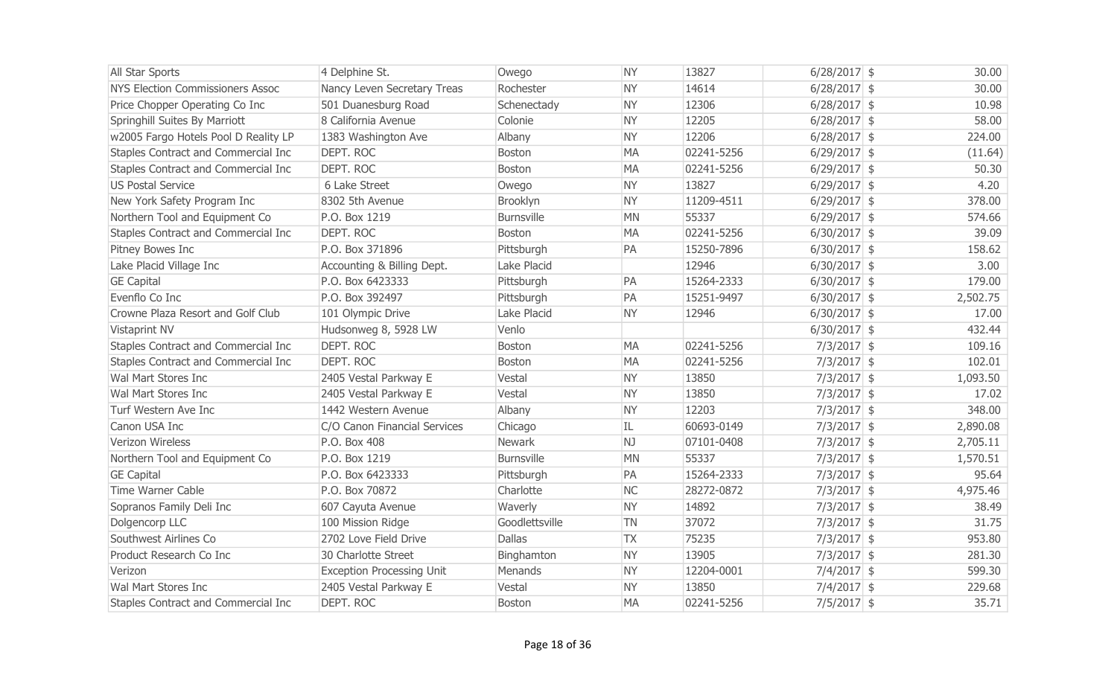| All Star Sports                         | 4 Delphine St.                   | Owego             | <b>NY</b> | 13827      | $6/28/2017$ \$ | 30.00    |
|-----------------------------------------|----------------------------------|-------------------|-----------|------------|----------------|----------|
| <b>NYS Election Commissioners Assoc</b> | Nancy Leven Secretary Treas      | Rochester         | <b>NY</b> | 14614      | $6/28/2017$ \$ | 30.00    |
| Price Chopper Operating Co Inc          | 501 Duanesburg Road              | Schenectady       | <b>NY</b> | 12306      | $6/28/2017$ \$ | 10.98    |
| Springhill Suites By Marriott           | 8 California Avenue              | Colonie           | <b>NY</b> | 12205      | $6/28/2017$ \$ | 58.00    |
| w2005 Fargo Hotels Pool D Reality LP    | 1383 Washington Ave              | Albany            | <b>NY</b> | 12206      | $6/28/2017$ \$ | 224.00   |
| Staples Contract and Commercial Inc     | DEPT. ROC                        | <b>Boston</b>     | <b>MA</b> | 02241-5256 | $6/29/2017$ \$ | (11.64)  |
| Staples Contract and Commercial Inc     | DEPT. ROC                        | <b>Boston</b>     | <b>MA</b> | 02241-5256 | $6/29/2017$ \$ | 50.30    |
| <b>US Postal Service</b>                | 6 Lake Street                    | Owego             | <b>NY</b> | 13827      | $6/29/2017$ \$ | 4.20     |
| New York Safety Program Inc             | 8302 5th Avenue                  | Brooklyn          | <b>NY</b> | 11209-4511 | $6/29/2017$ \$ | 378.00   |
| Northern Tool and Equipment Co          | P.O. Box 1219                    | <b>Burnsville</b> | <b>MN</b> | 55337      | $6/29/2017$ \$ | 574.66   |
| Staples Contract and Commercial Inc     | DEPT. ROC                        | <b>Boston</b>     | <b>MA</b> | 02241-5256 | $6/30/2017$ \$ | 39.09    |
| <b>Pitney Bowes Inc</b>                 | P.O. Box 371896                  | Pittsburgh        | PA        | 15250-7896 | $6/30/2017$ \$ | 158.62   |
| Lake Placid Village Inc                 | Accounting & Billing Dept.       | Lake Placid       |           | 12946      | $6/30/2017$ \$ | 3.00     |
| <b>GE Capital</b>                       | P.O. Box 6423333                 | Pittsburgh        | PA        | 15264-2333 | $6/30/2017$ \$ | 179.00   |
| Evenflo Co Inc                          | P.O. Box 392497                  | Pittsburgh        | PA        | 15251-9497 | $6/30/2017$ \$ | 2,502.75 |
| Crowne Plaza Resort and Golf Club       | 101 Olympic Drive                | Lake Placid       | <b>NY</b> | 12946      | $6/30/2017$ \$ | 17.00    |
| Vistaprint NV                           | Hudsonweg 8, 5928 LW             | Venlo             |           |            | $6/30/2017$ \$ | 432.44   |
| Staples Contract and Commercial Inc     | DEPT. ROC                        | <b>Boston</b>     | <b>MA</b> | 02241-5256 | $7/3/2017$ \$  | 109.16   |
| Staples Contract and Commercial Inc     | DEPT. ROC                        | <b>Boston</b>     | <b>MA</b> | 02241-5256 | $7/3/2017$ \$  | 102.01   |
| Wal Mart Stores Inc                     | 2405 Vestal Parkway E            | Vestal            | <b>NY</b> | 13850      | $7/3/2017$ \$  | 1,093.50 |
| Wal Mart Stores Inc                     | 2405 Vestal Parkway E            | Vestal            | <b>NY</b> | 13850      | $7/3/2017$ \$  | 17.02    |
| Turf Western Ave Inc                    | 1442 Western Avenue              | Albany            | <b>NY</b> | 12203      | $7/3/2017$ \$  | 348.00   |
| Canon USA Inc                           | C/O Canon Financial Services     | Chicago           | IL        | 60693-0149 | $7/3/2017$ \$  | 2,890.08 |
| Verizon Wireless                        | P.O. Box 408                     | <b>Newark</b>     | NJ        | 07101-0408 | $7/3/2017$ \$  | 2,705.11 |
| Northern Tool and Equipment Co          | P.O. Box 1219                    | <b>Burnsville</b> | <b>MN</b> | 55337      | $7/3/2017$ \$  | 1,570.51 |
| <b>GE Capital</b>                       | P.O. Box 6423333                 | Pittsburgh        | PA        | 15264-2333 | $7/3/2017$ \$  | 95.64    |
| Time Warner Cable                       | P.O. Box 70872                   | Charlotte         | <b>NC</b> | 28272-0872 | $7/3/2017$ \$  | 4,975.46 |
| Sopranos Family Deli Inc                | 607 Cayuta Avenue                | Waverly           | <b>NY</b> | 14892      | $7/3/2017$ \$  | 38.49    |
| Dolgencorp LLC                          | 100 Mission Ridge                | Goodlettsville    | <b>TN</b> | 37072      | $7/3/2017$ \$  | 31.75    |
| Southwest Airlines Co                   | 2702 Love Field Drive            | <b>Dallas</b>     | <b>TX</b> | 75235      | $7/3/2017$ \$  | 953.80   |
| Product Research Co Inc                 | 30 Charlotte Street              | Binghamton        | <b>NY</b> | 13905      | $7/3/2017$ \$  | 281.30   |
| Verizon                                 | <b>Exception Processing Unit</b> | Menands           | <b>NY</b> | 12204-0001 | $7/4/2017$ \$  | 599.30   |
| <b>Wal Mart Stores Inc</b>              | 2405 Vestal Parkway E            | Vestal            | <b>NY</b> | 13850      | $7/4/2017$ \$  | 229.68   |
| Staples Contract and Commercial Inc     | DEPT. ROC                        | <b>Boston</b>     | <b>MA</b> | 02241-5256 | $7/5/2017$ \$  | 35.71    |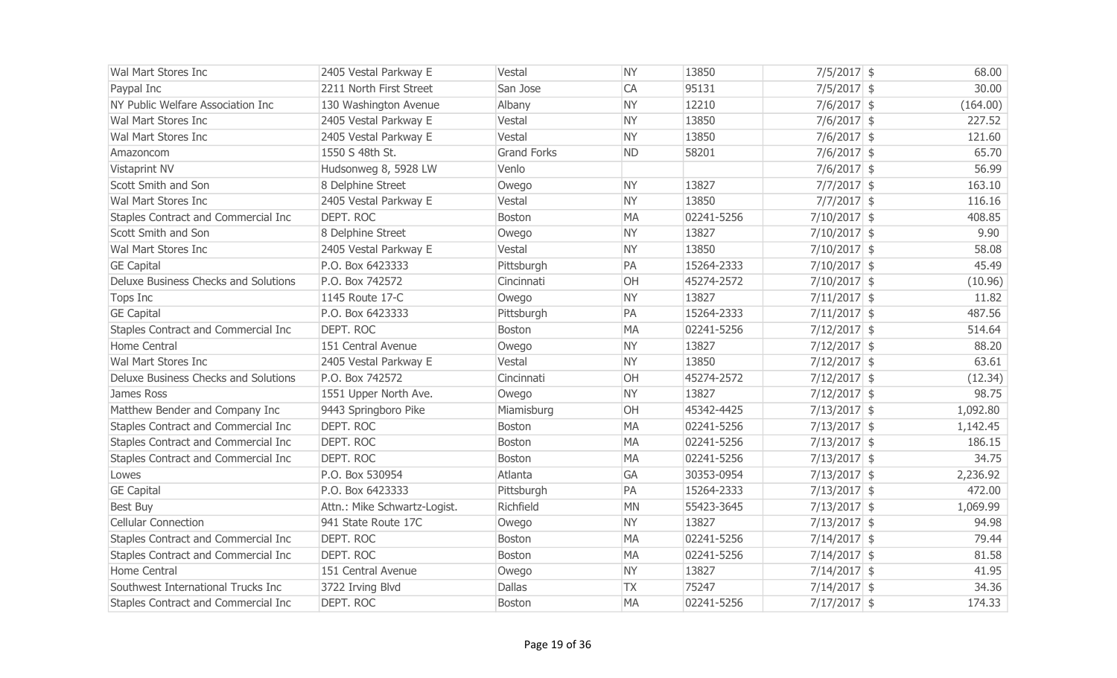| Wal Mart Stores Inc                        | 2405 Vestal Parkway E        | Vestal             | <b>NY</b> | 13850      | $7/5/2017$ \$  | 68.00    |
|--------------------------------------------|------------------------------|--------------------|-----------|------------|----------------|----------|
| Paypal Inc                                 | 2211 North First Street      | San Jose           | CA        | 95131      | $7/5/2017$ \$  | 30.00    |
| NY Public Welfare Association Inc          | 130 Washington Avenue        | Albany             | <b>NY</b> | 12210      | $7/6/2017$ \$  | (164.00) |
| Wal Mart Stores Inc                        | 2405 Vestal Parkway E        | Vestal             | <b>NY</b> | 13850      | $7/6/2017$ \$  | 227.52   |
| Wal Mart Stores Inc                        | 2405 Vestal Parkway E        | Vestal             | <b>NY</b> | 13850      | $7/6/2017$ \$  | 121.60   |
| Amazoncom                                  | 1550 S 48th St.              | <b>Grand Forks</b> | <b>ND</b> | 58201      | $7/6/2017$ \$  | 65.70    |
| Vistaprint NV                              | Hudsonweg 8, 5928 LW         | Venlo              |           |            | $7/6/2017$ \$  | 56.99    |
| Scott Smith and Son                        | 8 Delphine Street            | Owego              | <b>NY</b> | 13827      | $7/7/2017$ \$  | 163.10   |
| Wal Mart Stores Inc                        | 2405 Vestal Parkway E        | Vestal             | <b>NY</b> | 13850      | $7/7/2017$ \$  | 116.16   |
| <b>Staples Contract and Commercial Inc</b> | DEPT. ROC                    | Boston             | <b>MA</b> | 02241-5256 | $7/10/2017$ \$ | 408.85   |
| Scott Smith and Son                        | 8 Delphine Street            | Owego              | <b>NY</b> | 13827      | $7/10/2017$ \$ | 9.90     |
| Wal Mart Stores Inc                        | 2405 Vestal Parkway E        | Vestal             | <b>NY</b> | 13850      | $7/10/2017$ \$ | 58.08    |
| <b>GE Capital</b>                          | P.O. Box 6423333             | Pittsburgh         | PA        | 15264-2333 | $7/10/2017$ \$ | 45.49    |
| Deluxe Business Checks and Solutions       | P.O. Box 742572              | Cincinnati         | OH        | 45274-2572 | $7/10/2017$ \$ | (10.96)  |
| Tops Inc                                   | 1145 Route 17-C              | Owego              | <b>NY</b> | 13827      | $7/11/2017$ \$ | 11.82    |
| <b>GE Capital</b>                          | P.O. Box 6423333             | Pittsburgh         | PA        | 15264-2333 | $7/11/2017$ \$ | 487.56   |
| Staples Contract and Commercial Inc        | DEPT. ROC                    | Boston             | <b>MA</b> | 02241-5256 | $7/12/2017$ \$ | 514.64   |
| Home Central                               | 151 Central Avenue           | Owego              | <b>NY</b> | 13827      | $7/12/2017$ \$ | 88.20    |
| Wal Mart Stores Inc                        | 2405 Vestal Parkway E        | Vestal             | <b>NY</b> | 13850      | $7/12/2017$ \$ | 63.61    |
| Deluxe Business Checks and Solutions       | P.O. Box 742572              | Cincinnati         | OH        | 45274-2572 | $7/12/2017$ \$ | (12.34)  |
| James Ross                                 | 1551 Upper North Ave.        | Owego              | <b>NY</b> | 13827      | $7/12/2017$ \$ | 98.75    |
| Matthew Bender and Company Inc             | 9443 Springboro Pike         | Miamisburg         | OH        | 45342-4425 | $7/13/2017$ \$ | 1,092.80 |
| Staples Contract and Commercial Inc        | DEPT. ROC                    | <b>Boston</b>      | <b>MA</b> | 02241-5256 | $7/13/2017$ \$ | 1,142.45 |
| Staples Contract and Commercial Inc        | DEPT. ROC                    | Boston             | <b>MA</b> | 02241-5256 | $7/13/2017$ \$ | 186.15   |
| Staples Contract and Commercial Inc        | DEPT. ROC                    | Boston             | <b>MA</b> | 02241-5256 | $7/13/2017$ \$ | 34.75    |
| Lowes                                      | P.O. Box 530954              | Atlanta            | <b>GA</b> | 30353-0954 | $7/13/2017$ \$ | 2,236.92 |
| <b>GE Capital</b>                          | P.O. Box 6423333             | Pittsburgh         | PA        | 15264-2333 | $7/13/2017$ \$ | 472.00   |
| <b>Best Buy</b>                            | Attn.: Mike Schwartz-Logist. | Richfield          | <b>MN</b> | 55423-3645 | $7/13/2017$ \$ | 1,069.99 |
| <b>Cellular Connection</b>                 | 941 State Route 17C          | Owego              | <b>NY</b> | 13827      | $7/13/2017$ \$ | 94.98    |
| Staples Contract and Commercial Inc        | DEPT. ROC                    | Boston             | <b>MA</b> | 02241-5256 | $7/14/2017$ \$ | 79.44    |
| Staples Contract and Commercial Inc        | DEPT. ROC                    | <b>Boston</b>      | <b>MA</b> | 02241-5256 | $7/14/2017$ \$ | 81.58    |
| Home Central                               | 151 Central Avenue           | Owego              | <b>NY</b> | 13827      | $7/14/2017$ \$ | 41.95    |
| Southwest International Trucks Inc         | 3722 Irving Blvd             | <b>Dallas</b>      | <b>TX</b> | 75247      | $7/14/2017$ \$ | 34.36    |
| Staples Contract and Commercial Inc        | DEPT. ROC                    | Boston             | <b>MA</b> | 02241-5256 | $7/17/2017$ \$ | 174.33   |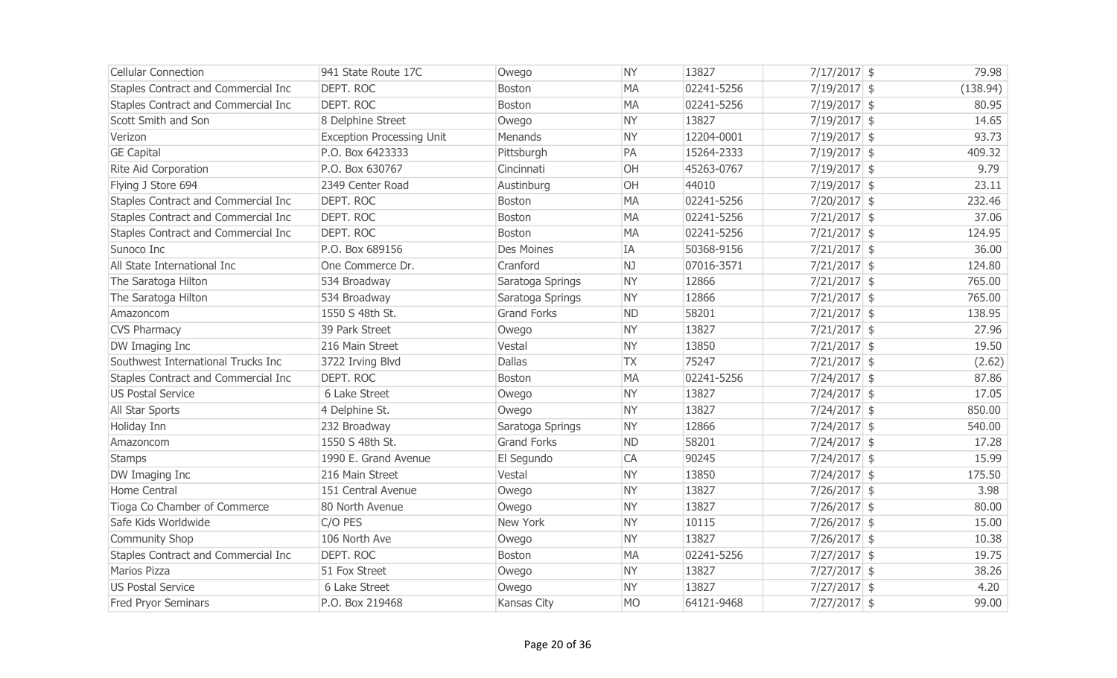| <b>Cellular Connection</b>          | 941 State Route 17C              | Owego              | <b>NY</b> | 13827      | $7/17/2017$ \$ | 79.98    |
|-------------------------------------|----------------------------------|--------------------|-----------|------------|----------------|----------|
| Staples Contract and Commercial Inc | <b>DEPT. ROC</b>                 | Boston             | <b>MA</b> | 02241-5256 | $7/19/2017$ \$ | (138.94) |
| Staples Contract and Commercial Inc | DEPT. ROC                        | <b>Boston</b>      | <b>MA</b> | 02241-5256 | $7/19/2017$ \$ | 80.95    |
| Scott Smith and Son                 | 8 Delphine Street                | Owego              | <b>NY</b> | 13827      | $7/19/2017$ \$ | 14.65    |
| Verizon                             | <b>Exception Processing Unit</b> | Menands            | <b>NY</b> | 12204-0001 | $7/19/2017$ \$ | 93.73    |
| <b>GE Capital</b>                   | P.O. Box 6423333                 | Pittsburgh         | PA        | 15264-2333 | $7/19/2017$ \$ | 409.32   |
| <b>Rite Aid Corporation</b>         | P.O. Box 630767                  | Cincinnati         | OH        | 45263-0767 | $7/19/2017$ \$ | 9.79     |
| Flying J Store 694                  | 2349 Center Road                 | Austinburg         | <b>OH</b> | 44010      | $7/19/2017$ \$ | 23.11    |
| Staples Contract and Commercial Inc | DEPT. ROC                        | Boston             | <b>MA</b> | 02241-5256 | $7/20/2017$ \$ | 232.46   |
| Staples Contract and Commercial Inc | DEPT. ROC                        | Boston             | <b>MA</b> | 02241-5256 | $7/21/2017$ \$ | 37.06    |
| Staples Contract and Commercial Inc | DEPT. ROC                        | Boston             | <b>MA</b> | 02241-5256 | $7/21/2017$ \$ | 124.95   |
| Sunoco Inc                          | P.O. Box 689156                  | <b>Des Moines</b>  | IA        | 50368-9156 | $7/21/2017$ \$ | 36.00    |
| All State International Inc         | One Commerce Dr.                 | Cranford           | NJ        | 07016-3571 | $7/21/2017$ \$ | 124.80   |
| The Saratoga Hilton                 | 534 Broadway                     | Saratoga Springs   | <b>NY</b> | 12866      | $7/21/2017$ \$ | 765.00   |
| The Saratoga Hilton                 | 534 Broadway                     | Saratoga Springs   | <b>NY</b> | 12866      | $7/21/2017$ \$ | 765.00   |
| Amazoncom                           | 1550 S 48th St.                  | <b>Grand Forks</b> | <b>ND</b> | 58201      | $7/21/2017$ \$ | 138.95   |
| <b>CVS Pharmacy</b>                 | 39 Park Street                   | Owego              | <b>NY</b> | 13827      | $7/21/2017$ \$ | 27.96    |
| DW Imaging Inc                      | 216 Main Street                  | Vestal             | <b>NY</b> | 13850      | $7/21/2017$ \$ | 19.50    |
| Southwest International Trucks Inc  | 3722 Irving Blvd                 | Dallas             | <b>TX</b> | 75247      | $7/21/2017$ \$ | (2.62)   |
| Staples Contract and Commercial Inc | DEPT. ROC                        | Boston             | <b>MA</b> | 02241-5256 | $7/24/2017$ \$ | 87.86    |
| <b>US Postal Service</b>            | 6 Lake Street                    | Owego              | <b>NY</b> | 13827      | $7/24/2017$ \$ | 17.05    |
| All Star Sports                     | 4 Delphine St.                   | Owego              | <b>NY</b> | 13827      | $7/24/2017$ \$ | 850.00   |
| Holiday Inn                         | 232 Broadway                     | Saratoga Springs   | <b>NY</b> | 12866      | $7/24/2017$ \$ | 540.00   |
| Amazoncom                           | 1550 S 48th St.                  | <b>Grand Forks</b> | <b>ND</b> | 58201      | $7/24/2017$ \$ | 17.28    |
| <b>Stamps</b>                       | 1990 E. Grand Avenue             | El Segundo         | CA        | 90245      | $7/24/2017$ \$ | 15.99    |
| DW Imaging Inc                      | 216 Main Street                  | Vestal             | <b>NY</b> | 13850      | $7/24/2017$ \$ | 175.50   |
| Home Central                        | 151 Central Avenue               | Owego              | <b>NY</b> | 13827      | $7/26/2017$ \$ | 3.98     |
| Tioga Co Chamber of Commerce        | 80 North Avenue                  | Owego              | <b>NY</b> | 13827      | $7/26/2017$ \$ | 80.00    |
| Safe Kids Worldwide                 | C/O PES                          | New York           | <b>NY</b> | 10115      | $7/26/2017$ \$ | 15.00    |
| <b>Community Shop</b>               | 106 North Ave                    | Owego              | <b>NY</b> | 13827      | $7/26/2017$ \$ | 10.38    |
| Staples Contract and Commercial Inc | DEPT. ROC                        | <b>Boston</b>      | <b>MA</b> | 02241-5256 | $7/27/2017$ \$ | 19.75    |
| <b>Marios Pizza</b>                 | 51 Fox Street                    | Owego              | <b>NY</b> | 13827      | $7/27/2017$ \$ | 38.26    |
| <b>US Postal Service</b>            | 6 Lake Street                    | Owego              | <b>NY</b> | 13827      | $7/27/2017$ \$ | 4.20     |
| Fred Pryor Seminars                 | P.O. Box 219468                  | Kansas City        | <b>MO</b> | 64121-9468 | $7/27/2017$ \$ | 99.00    |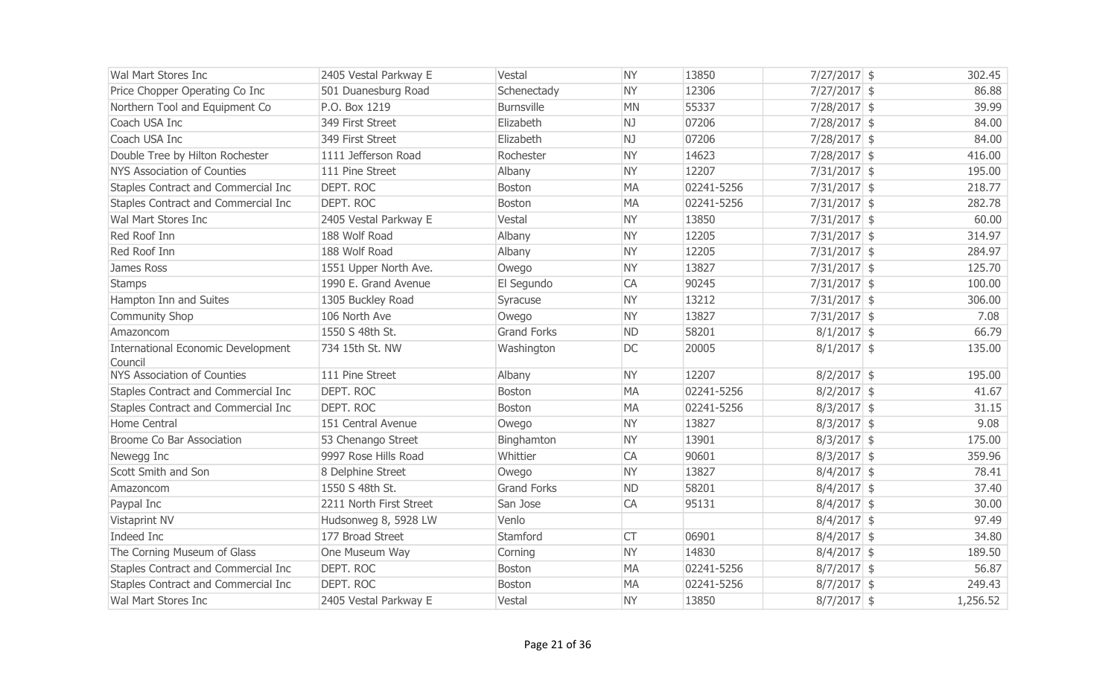| Wal Mart Stores Inc                           | 2405 Vestal Parkway E   | Vestal             | <b>NY</b> | 13850      | $7/27/2017$ \$ | 302.45   |
|-----------------------------------------------|-------------------------|--------------------|-----------|------------|----------------|----------|
| Price Chopper Operating Co Inc                | 501 Duanesburg Road     | Schenectady        | <b>NY</b> | 12306      | 7/27/2017 \$   | 86.88    |
| Northern Tool and Equipment Co                | P.O. Box 1219           | <b>Burnsville</b>  | <b>MN</b> | 55337      | 7/28/2017 \$   | 39.99    |
| Coach USA Inc                                 | 349 First Street        | Elizabeth          | NJ        | 07206      | 7/28/2017 \$   | 84.00    |
| Coach USA Inc                                 | 349 First Street        | Elizabeth          | NJ        | 07206      | 7/28/2017 \$   | 84.00    |
| Double Tree by Hilton Rochester               | 1111 Jefferson Road     | Rochester          | <b>NY</b> | 14623      | $7/28/2017$ \$ | 416.00   |
| NYS Association of Counties                   | 111 Pine Street         | Albany             | <b>NY</b> | 12207      | $7/31/2017$ \$ | 195.00   |
| Staples Contract and Commercial Inc           | DEPT. ROC               | <b>Boston</b>      | <b>MA</b> | 02241-5256 | $7/31/2017$ \$ | 218.77   |
| Staples Contract and Commercial Inc           | DEPT. ROC               | <b>Boston</b>      | <b>MA</b> | 02241-5256 | $7/31/2017$ \$ | 282.78   |
| Wal Mart Stores Inc                           | 2405 Vestal Parkway E   | Vestal             | <b>NY</b> | 13850      | $7/31/2017$ \$ | 60.00    |
| Red Roof Inn                                  | 188 Wolf Road           | Albany             | <b>NY</b> | 12205      | $7/31/2017$ \$ | 314.97   |
| Red Roof Inn                                  | 188 Wolf Road           | Albany             | <b>NY</b> | 12205      | $7/31/2017$ \$ | 284.97   |
| James Ross                                    | 1551 Upper North Ave.   | Owego              | <b>NY</b> | 13827      | $7/31/2017$ \$ | 125.70   |
| <b>Stamps</b>                                 | 1990 E. Grand Avenue    | El Segundo         | CA        | 90245      | $7/31/2017$ \$ | 100.00   |
| Hampton Inn and Suites                        | 1305 Buckley Road       | Syracuse           | <b>NY</b> | 13212      | $7/31/2017$ \$ | 306.00   |
| Community Shop                                | 106 North Ave           | Owego              | <b>NY</b> | 13827      | $7/31/2017$ \$ | 7.08     |
| Amazoncom                                     | 1550 S 48th St.         | <b>Grand Forks</b> | <b>ND</b> | 58201      | $8/1/2017$ \$  | 66.79    |
| International Economic Development<br>Council | 734 15th St. NW         | Washington         | DC        | 20005      | $8/1/2017$ \$  | 135.00   |
| NYS Association of Counties                   | 111 Pine Street         | Albany             | <b>NY</b> | 12207      | $8/2/2017$ \$  | 195.00   |
| Staples Contract and Commercial Inc           | DEPT. ROC               | Boston             | <b>MA</b> | 02241-5256 | $8/2/2017$ \$  | 41.67    |
| Staples Contract and Commercial Inc           | DEPT. ROC               | <b>Boston</b>      | <b>MA</b> | 02241-5256 | $8/3/2017$ \$  | 31.15    |
| Home Central                                  | 151 Central Avenue      | Owego              | <b>NY</b> | 13827      | $8/3/2017$ \$  | 9.08     |
| Broome Co Bar Association                     | 53 Chenango Street      | Binghamton         | <b>NY</b> | 13901      | $8/3/2017$ \$  | 175.00   |
| Newegg Inc                                    | 9997 Rose Hills Road    | Whittier           | CA        | 90601      | $8/3/2017$ \$  | 359.96   |
| Scott Smith and Son                           | 8 Delphine Street       | Owego              | <b>NY</b> | 13827      | $8/4/2017$ \$  | 78.41    |
| Amazoncom                                     | 1550 S 48th St.         | <b>Grand Forks</b> | <b>ND</b> | 58201      | $8/4/2017$ \$  | 37.40    |
| Paypal Inc                                    | 2211 North First Street | San Jose           | CA        | 95131      | $8/4/2017$ \$  | 30.00    |
| Vistaprint NV                                 | Hudsonweg 8, 5928 LW    | Venlo              |           |            | $8/4/2017$ \$  | 97.49    |
| Indeed Inc                                    | 177 Broad Street        | Stamford           | <b>CT</b> | 06901      | $8/4/2017$ \$  | 34.80    |
| The Corning Museum of Glass                   | One Museum Way          | Corning            | <b>NY</b> | 14830      | $8/4/2017$ \$  | 189.50   |
| Staples Contract and Commercial Inc           | <b>DEPT. ROC</b>        | <b>Boston</b>      | <b>MA</b> | 02241-5256 | $8/7/2017$ \$  | 56.87    |
| Staples Contract and Commercial Inc           | DEPT. ROC               | <b>Boston</b>      | <b>MA</b> | 02241-5256 | $8/7/2017$ \$  | 249.43   |
| Wal Mart Stores Inc                           | 2405 Vestal Parkway E   | Vestal             | <b>NY</b> | 13850      | $8/7/2017$ \$  | 1,256.52 |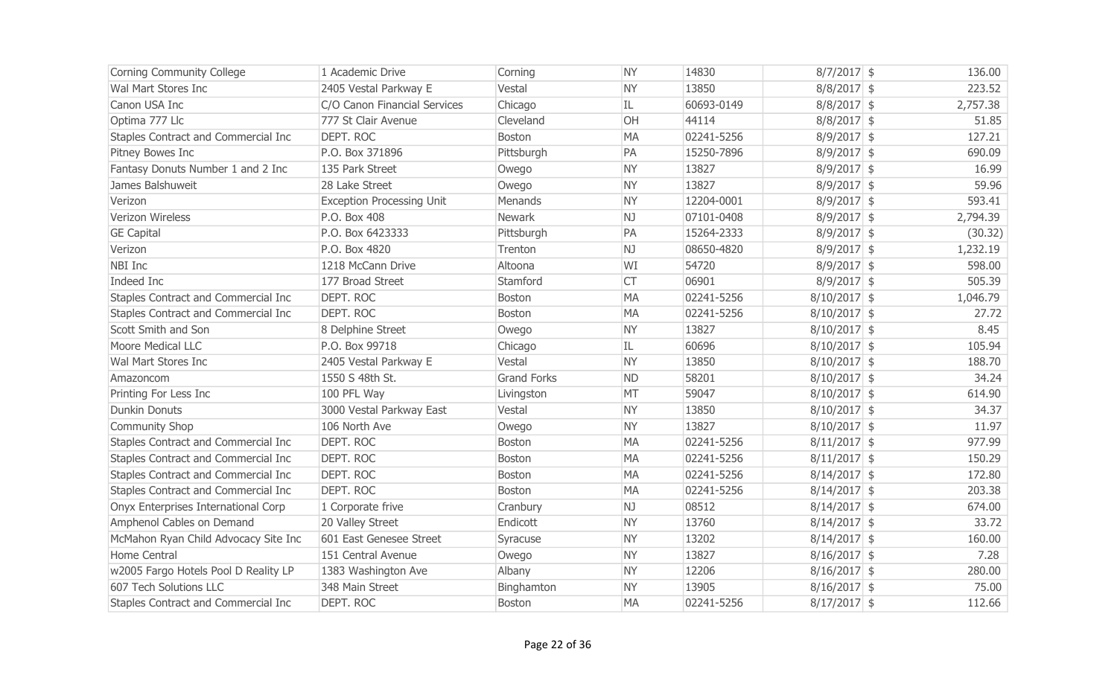| Corning Community College            | 1 Academic Drive                 | Corning            | <b>NY</b> | 14830      | $8/7/2017$ \$  | 136.00   |
|--------------------------------------|----------------------------------|--------------------|-----------|------------|----------------|----------|
| Wal Mart Stores Inc                  | 2405 Vestal Parkway E            | Vestal             | <b>NY</b> | 13850      | $8/8/2017$ \$  | 223.52   |
| Canon USA Inc                        | C/O Canon Financial Services     | Chicago            | IL        | 60693-0149 | $8/8/2017$ \$  | 2,757.38 |
| Optima 777 Llc                       | 777 St Clair Avenue              | Cleveland          | OH        | 44114      | $8/8/2017$ \$  | 51.85    |
| Staples Contract and Commercial Inc  | DEPT. ROC                        | <b>Boston</b>      | <b>MA</b> | 02241-5256 | $8/9/2017$ \$  | 127.21   |
| Pitney Bowes Inc                     | P.O. Box 371896                  | Pittsburgh         | PA        | 15250-7896 | $8/9/2017$ \$  | 690.09   |
| Fantasy Donuts Number 1 and 2 Inc    | 135 Park Street                  | Owego              | <b>NY</b> | 13827      | $8/9/2017$ \$  | 16.99    |
| James Balshuweit                     | 28 Lake Street                   | Owego              | <b>NY</b> | 13827      | $8/9/2017$ \$  | 59.96    |
| Verizon                              | <b>Exception Processing Unit</b> | Menands            | <b>NY</b> | 12204-0001 | $8/9/2017$ \$  | 593.41   |
| Verizon Wireless                     | P.O. Box 408                     | <b>Newark</b>      | NJ        | 07101-0408 | $8/9/2017$ \$  | 2,794.39 |
| <b>GE Capital</b>                    | P.O. Box 6423333                 | Pittsburgh         | PA        | 15264-2333 | $8/9/2017$ \$  | (30.32)  |
| Verizon                              | P.O. Box 4820                    | Trenton            | NJ        | 08650-4820 | $8/9/2017$ \$  | 1,232.19 |
| NBI Inc                              | 1218 McCann Drive                | Altoona            | WI        | 54720      | $8/9/2017$ \$  | 598.00   |
| Indeed Inc                           | 177 Broad Street                 | Stamford           | <b>CT</b> | 06901      | $8/9/2017$ \$  | 505.39   |
| Staples Contract and Commercial Inc  | DEPT. ROC                        | <b>Boston</b>      | <b>MA</b> | 02241-5256 | $8/10/2017$ \$ | 1,046.79 |
| Staples Contract and Commercial Inc  | DEPT. ROC                        | <b>Boston</b>      | <b>MA</b> | 02241-5256 | $8/10/2017$ \$ | 27.72    |
| Scott Smith and Son                  | 8 Delphine Street                | Owego              | <b>NY</b> | 13827      | $8/10/2017$ \$ | 8.45     |
| <b>Moore Medical LLC</b>             | P.O. Box 99718                   | Chicago            | IL        | 60696      | $8/10/2017$ \$ | 105.94   |
| Wal Mart Stores Inc                  | 2405 Vestal Parkway E            | Vestal             | <b>NY</b> | 13850      | $8/10/2017$ \$ | 188.70   |
| Amazoncom                            | 1550 S 48th St.                  | <b>Grand Forks</b> | <b>ND</b> | 58201      | $8/10/2017$ \$ | 34.24    |
| Printing For Less Inc                | 100 PFL Way                      | Livingston         | MT        | 59047      | $8/10/2017$ \$ | 614.90   |
| <b>Dunkin Donuts</b>                 | 3000 Vestal Parkway East         | Vestal             | <b>NY</b> | 13850      | $8/10/2017$ \$ | 34.37    |
| <b>Community Shop</b>                | 106 North Ave                    | Owego              | <b>NY</b> | 13827      | $8/10/2017$ \$ | 11.97    |
| Staples Contract and Commercial Inc  | DEPT. ROC                        | Boston             | <b>MA</b> | 02241-5256 | $8/11/2017$ \$ | 977.99   |
| Staples Contract and Commercial Inc  | DEPT. ROC                        | <b>Boston</b>      | <b>MA</b> | 02241-5256 | $8/11/2017$ \$ | 150.29   |
| Staples Contract and Commercial Inc  | <b>DEPT. ROC</b>                 | <b>Boston</b>      | <b>MA</b> | 02241-5256 | $8/14/2017$ \$ | 172.80   |
| Staples Contract and Commercial Inc  | DEPT. ROC                        | Boston             | <b>MA</b> | 02241-5256 | $8/14/2017$ \$ | 203.38   |
| Onyx Enterprises International Corp  | 1 Corporate frive                | Cranbury           | NJ        | 08512      | $8/14/2017$ \$ | 674.00   |
| Amphenol Cables on Demand            | 20 Valley Street                 | Endicott           | <b>NY</b> | 13760      | $8/14/2017$ \$ | 33.72    |
| McMahon Ryan Child Advocacy Site Inc | 601 East Genesee Street          | Syracuse           | <b>NY</b> | 13202      | $8/14/2017$ \$ | 160.00   |
| Home Central                         | 151 Central Avenue               | Owego              | <b>NY</b> | 13827      | $8/16/2017$ \$ | 7.28     |
| w2005 Fargo Hotels Pool D Reality LP | 1383 Washington Ave              | Albany             | <b>NY</b> | 12206      | $8/16/2017$ \$ | 280.00   |
| 607 Tech Solutions LLC               | 348 Main Street                  | Binghamton         | <b>NY</b> | 13905      | $8/16/2017$ \$ | 75.00    |
| Staples Contract and Commercial Inc  | DEPT. ROC                        | <b>Boston</b>      | <b>MA</b> | 02241-5256 | $8/17/2017$ \$ | 112.66   |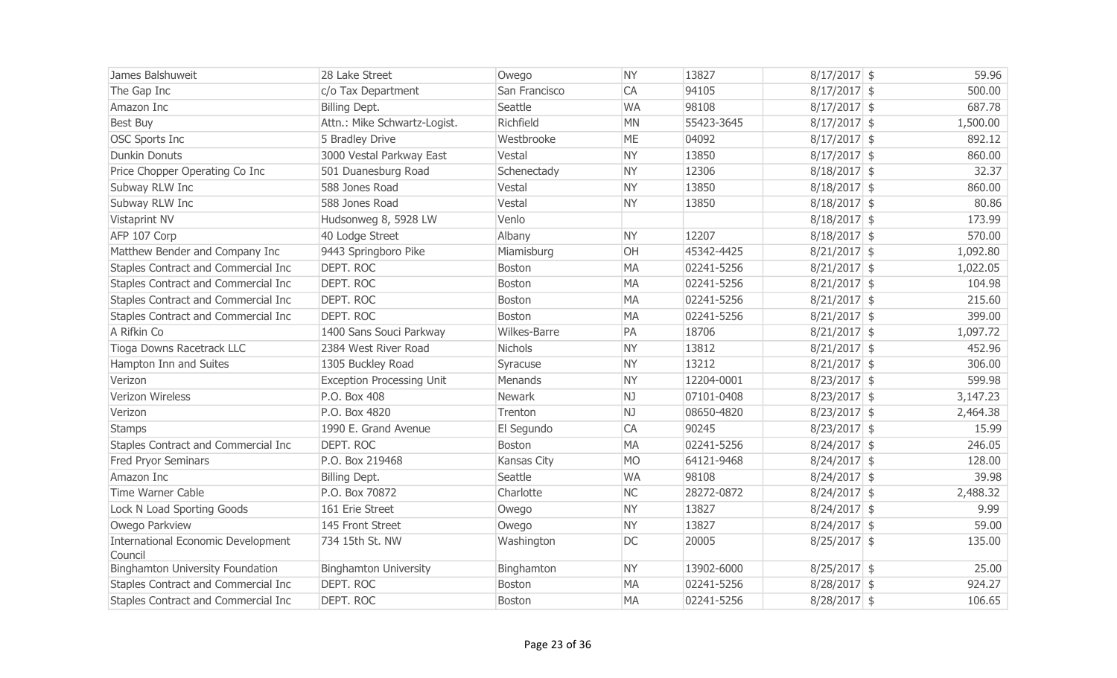| James Balshuweit                        | 28 Lake Street                   | Owego         | <b>NY</b> | 13827      | $8/17/2017$ \$ | 59.96    |
|-----------------------------------------|----------------------------------|---------------|-----------|------------|----------------|----------|
| The Gap Inc                             | c/o Tax Department               | San Francisco | CA        | 94105      | $8/17/2017$ \$ | 500.00   |
| Amazon Inc                              | Billing Dept.                    | Seattle       | <b>WA</b> | 98108      | $8/17/2017$ \$ | 687.78   |
| Best Buy                                | Attn.: Mike Schwartz-Logist.     | Richfield     | <b>MN</b> | 55423-3645 | $8/17/2017$ \$ | 1,500.00 |
| <b>OSC Sports Inc</b>                   | 5 Bradley Drive                  | Westbrooke    | <b>ME</b> | 04092      | $8/17/2017$ \$ | 892.12   |
| <b>Dunkin Donuts</b>                    | 3000 Vestal Parkway East         | Vestal        | <b>NY</b> | 13850      | $8/17/2017$ \$ | 860.00   |
| Price Chopper Operating Co Inc          | 501 Duanesburg Road              | Schenectady   | <b>NY</b> | 12306      | $8/18/2017$ \$ | 32.37    |
| Subway RLW Inc                          | 588 Jones Road                   | Vestal        | <b>NY</b> | 13850      | $8/18/2017$ \$ | 860.00   |
| Subway RLW Inc                          | 588 Jones Road                   | Vestal        | <b>NY</b> | 13850      | $8/18/2017$ \$ | 80.86    |
| Vistaprint NV                           | Hudsonweg 8, 5928 LW             | Venlo         |           |            | $8/18/2017$ \$ | 173.99   |
| AFP 107 Corp                            | 40 Lodge Street                  | Albany        | <b>NY</b> | 12207      | $8/18/2017$ \$ | 570.00   |
| Matthew Bender and Company Inc          | 9443 Springboro Pike             | Miamisburg    | OH        | 45342-4425 | $8/21/2017$ \$ | 1,092.80 |
| Staples Contract and Commercial Inc     | DEPT. ROC                        | Boston        | <b>MA</b> | 02241-5256 | $8/21/2017$ \$ | 1,022.05 |
| Staples Contract and Commercial Inc     | <b>DEPT. ROC</b>                 | Boston        | <b>MA</b> | 02241-5256 | $8/21/2017$ \$ | 104.98   |
| Staples Contract and Commercial Inc     | <b>DEPT. ROC</b>                 | Boston        | <b>MA</b> | 02241-5256 | $8/21/2017$ \$ | 215.60   |
| Staples Contract and Commercial Inc     | DEPT. ROC                        | Boston        | <b>MA</b> | 02241-5256 | $8/21/2017$ \$ | 399.00   |
| A Rifkin Co                             | 1400 Sans Souci Parkway          | Wilkes-Barre  | PA        | 18706      | $8/21/2017$ \$ | 1,097.72 |
| Tioga Downs Racetrack LLC               | 2384 West River Road             | Nichols       | <b>NY</b> | 13812      | $8/21/2017$ \$ | 452.96   |
| Hampton Inn and Suites                  | 1305 Buckley Road                | Syracuse      | <b>NY</b> | 13212      | $8/21/2017$ \$ | 306.00   |
| Verizon                                 | <b>Exception Processing Unit</b> | Menands       | <b>NY</b> | 12204-0001 | $8/23/2017$ \$ | 599.98   |
| Verizon Wireless                        | P.O. Box 408                     | Newark        | NJ        | 07101-0408 | $8/23/2017$ \$ | 3,147.23 |
| Verizon                                 | P.O. Box 4820                    | Trenton       | NJ        | 08650-4820 | $8/23/2017$ \$ | 2,464.38 |
| <b>Stamps</b>                           | 1990 E. Grand Avenue             | El Segundo    | CA        | 90245      | $8/23/2017$ \$ | 15.99    |
| Staples Contract and Commercial Inc     | DEPT. ROC                        | Boston        | <b>MA</b> | 02241-5256 | $8/24/2017$ \$ | 246.05   |
| Fred Pryor Seminars                     | P.O. Box 219468                  | Kansas City   | <b>MO</b> | 64121-9468 | $8/24/2017$ \$ | 128.00   |
| Amazon Inc                              | Billing Dept.                    | Seattle       | <b>WA</b> | 98108      | $8/24/2017$ \$ | 39.98    |
| <b>Time Warner Cable</b>                | P.O. Box 70872                   | Charlotte     | <b>NC</b> | 28272-0872 | $8/24/2017$ \$ | 2,488.32 |
| Lock N Load Sporting Goods              | 161 Erie Street                  | Owego         | <b>NY</b> | 13827      | $8/24/2017$ \$ | 9.99     |
| Owego Parkview                          | 145 Front Street                 | Owego         | <b>NY</b> | 13827      | $8/24/2017$ \$ | 59.00    |
| International Economic Development      | 734 15th St. NW                  | Washington    | DC        | 20005      | 8/25/2017 \$   | 135.00   |
| Council                                 |                                  |               |           |            |                |          |
| <b>Binghamton University Foundation</b> | <b>Binghamton University</b>     | Binghamton    | <b>NY</b> | 13902-6000 | $8/25/2017$ \$ | 25.00    |
| Staples Contract and Commercial Inc     | DEPT. ROC                        | Boston        | <b>MA</b> | 02241-5256 | $8/28/2017$ \$ | 924.27   |
| Staples Contract and Commercial Inc     | DEPT. ROC                        | Boston        | <b>MA</b> | 02241-5256 | 8/28/2017 \$   | 106.65   |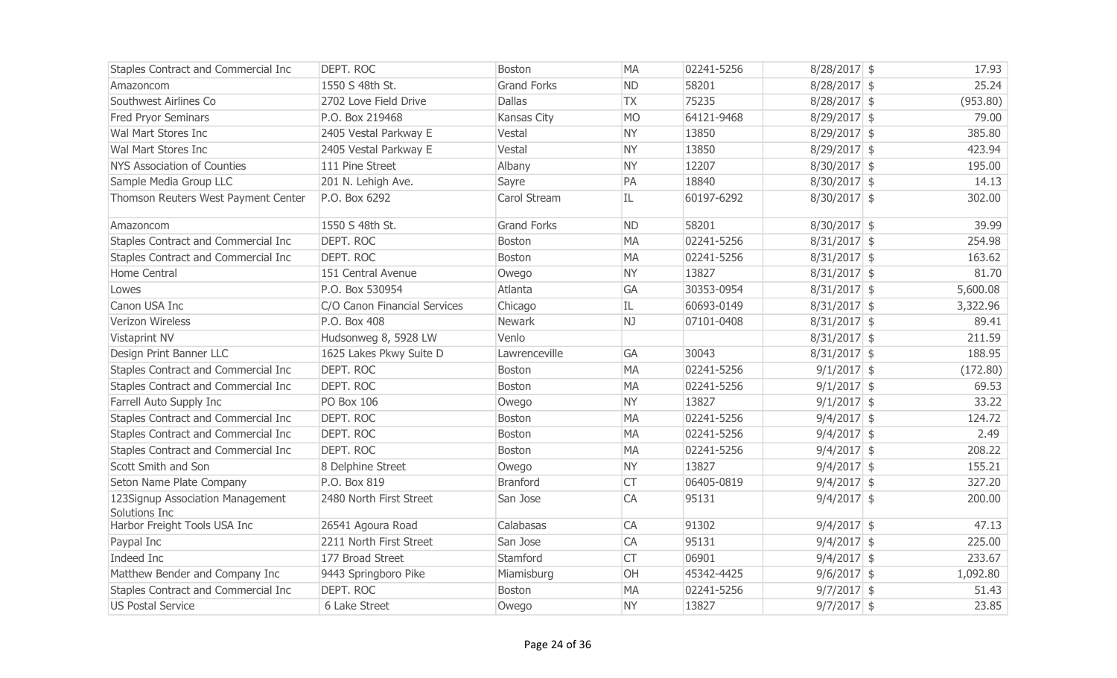| <b>Staples Contract and Commercial Inc</b> | <b>DEPT. ROC</b>             | <b>Boston</b>      | <b>MA</b> | 02241-5256 | $8/28/2017$ \$ | 17.93    |
|--------------------------------------------|------------------------------|--------------------|-----------|------------|----------------|----------|
| Amazoncom                                  | 1550 S 48th St.              | <b>Grand Forks</b> | <b>ND</b> | 58201      | $8/28/2017$ \$ | 25.24    |
| Southwest Airlines Co                      | 2702 Love Field Drive        | <b>Dallas</b>      | <b>TX</b> | 75235      | 8/28/2017 \$   | (953.80) |
| <b>Fred Pryor Seminars</b>                 | P.O. Box 219468              | Kansas City        | <b>MO</b> | 64121-9468 | $8/29/2017$ \$ | 79.00    |
| Wal Mart Stores Inc                        | 2405 Vestal Parkway E        | Vestal             | <b>NY</b> | 13850      | $8/29/2017$ \$ | 385.80   |
| Wal Mart Stores Inc                        | 2405 Vestal Parkway E        | Vestal             | <b>NY</b> | 13850      | $8/29/2017$ \$ | 423.94   |
| <b>NYS Association of Counties</b>         | 111 Pine Street              | Albany             | <b>NY</b> | 12207      | $8/30/2017$ \$ | 195.00   |
| Sample Media Group LLC                     | 201 N. Lehigh Ave.           | Sayre              | PA        | 18840      | $8/30/2017$ \$ | 14.13    |
| Thomson Reuters West Payment Center        | P.O. Box 6292                | Carol Stream       | IL        | 60197-6292 | $8/30/2017$ \$ | 302.00   |
| Amazoncom                                  | 1550 S 48th St.              | <b>Grand Forks</b> | <b>ND</b> | 58201      | $8/30/2017$ \$ | 39.99    |
| Staples Contract and Commercial Inc        | <b>DEPT. ROC</b>             | <b>Boston</b>      | <b>MA</b> | 02241-5256 | $8/31/2017$ \$ | 254.98   |
| Staples Contract and Commercial Inc        | <b>DEPT, ROC</b>             | Boston             | <b>MA</b> | 02241-5256 | $8/31/2017$ \$ | 163.62   |
| Home Central                               | 151 Central Avenue           | Owego              | <b>NY</b> | 13827      | $8/31/2017$ \$ | 81.70    |
| Lowes                                      | P.O. Box 530954              | Atlanta            | GA        | 30353-0954 | $8/31/2017$ \$ | 5,600.08 |
| Canon USA Inc                              | C/O Canon Financial Services | Chicago            | IL        | 60693-0149 | $8/31/2017$ \$ | 3,322.96 |
| Verizon Wireless                           | P.O. Box 408                 | Newark             | NJ        | 07101-0408 | $8/31/2017$ \$ | 89.41    |
| Vistaprint NV                              | Hudsonweg 8, 5928 LW         | Venlo              |           |            | $8/31/2017$ \$ | 211.59   |
| Design Print Banner LLC                    | 1625 Lakes Pkwy Suite D      | Lawrenceville      | <b>GA</b> | 30043      | $8/31/2017$ \$ | 188.95   |
| Staples Contract and Commercial Inc        | DEPT. ROC                    | <b>Boston</b>      | <b>MA</b> | 02241-5256 | $9/1/2017$ \$  | (172.80) |
| Staples Contract and Commercial Inc        | DEPT. ROC                    | <b>Boston</b>      | <b>MA</b> | 02241-5256 | $9/1/2017$ \$  | 69.53    |
| Farrell Auto Supply Inc                    | <b>PO Box 106</b>            | Owego              | <b>NY</b> | 13827      | $9/1/2017$ \$  | 33.22    |
| Staples Contract and Commercial Inc        | <b>DEPT. ROC</b>             | Boston             | <b>MA</b> | 02241-5256 | $9/4/2017$ \$  | 124.72   |
| Staples Contract and Commercial Inc        | <b>DEPT. ROC</b>             | <b>Boston</b>      | <b>MA</b> | 02241-5256 | $9/4/2017$ \$  | 2.49     |
| Staples Contract and Commercial Inc        | DEPT. ROC                    | Boston             | <b>MA</b> | 02241-5256 | $9/4/2017$ \$  | 208.22   |
| Scott Smith and Son                        | 8 Delphine Street            | Owego              | <b>NY</b> | 13827      | $9/4/2017$ \$  | 155.21   |
| Seton Name Plate Company                   | P.O. Box 819                 | <b>Branford</b>    | <b>CT</b> | 06405-0819 | $9/4/2017$ \$  | 327.20   |
| 123Signup Association Management           | 2480 North First Street      | San Jose           | CA        | 95131      | $9/4/2017$ \$  | 200.00   |
| Solutions Inc                              |                              |                    |           |            |                |          |
| Harbor Freight Tools USA Inc               | 26541 Agoura Road            | Calabasas          | <b>CA</b> | 91302      | $9/4/2017$ \$  | 47.13    |
| Paypal Inc                                 | 2211 North First Street      | San Jose           | <b>CA</b> | 95131      | $9/4/2017$ \$  | 225.00   |
| Indeed Inc                                 | 177 Broad Street             | Stamford           | <b>CT</b> | 06901      | $9/4/2017$ \$  | 233.67   |
| Matthew Bender and Company Inc             | 9443 Springboro Pike         | Miamisburg         | <b>OH</b> | 45342-4425 | $9/6/2017$ \$  | 1,092.80 |
| Staples Contract and Commercial Inc        | DEPT, ROC                    | <b>Boston</b>      | MA        | 02241-5256 | $9/7/2017$ \$  | 51.43    |
| <b>US Postal Service</b>                   | 6 Lake Street                | Owego              | <b>NY</b> | 13827      | $9/7/2017$ \$  | 23.85    |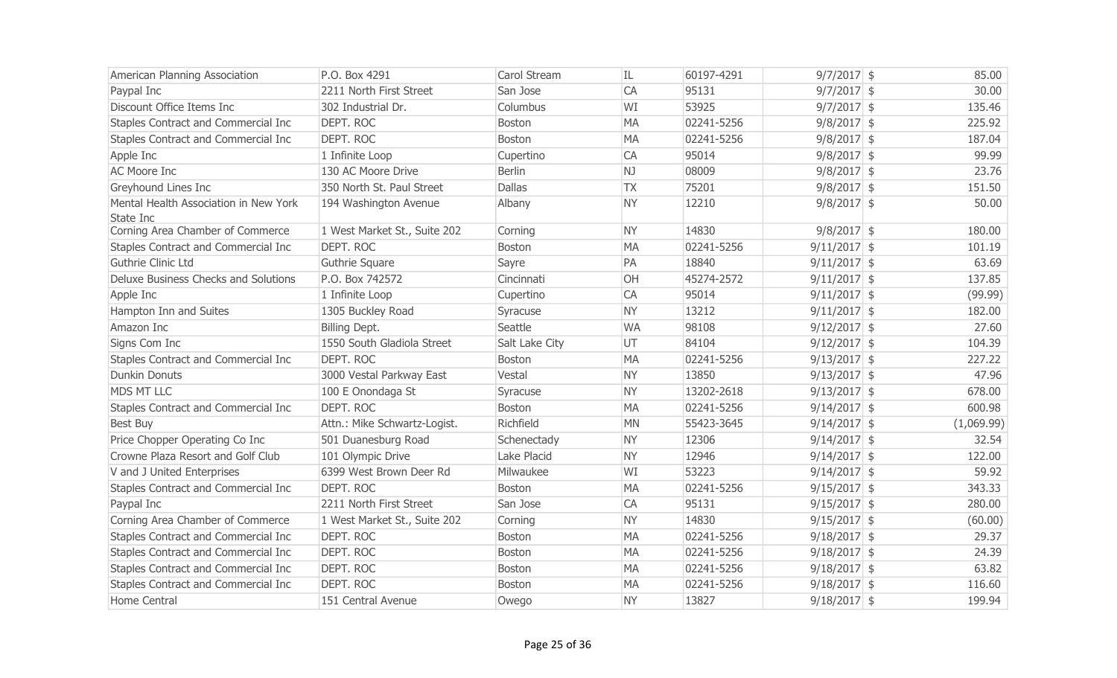| American Planning Association                      | P.O. Box 4291                | Carol Stream   | IL        | 60197-4291 | $9/7/2017$ \$  | 85.00      |
|----------------------------------------------------|------------------------------|----------------|-----------|------------|----------------|------------|
| Paypal Inc                                         | 2211 North First Street      | San Jose       | CA        | 95131      | $9/7/2017$ \$  | 30.00      |
| Discount Office Items Inc                          | 302 Industrial Dr.           | Columbus       | WI        | 53925      | $9/7/2017$ \$  | 135.46     |
| Staples Contract and Commercial Inc                | <b>DEPT. ROC</b>             | Boston         | <b>MA</b> | 02241-5256 | $9/8/2017$ \$  | 225.92     |
| Staples Contract and Commercial Inc                | <b>DEPT. ROC</b>             | <b>Boston</b>  | <b>MA</b> | 02241-5256 | $9/8/2017$ \$  | 187.04     |
| Apple Inc                                          | 1 Infinite Loop              | Cupertino      | CA        | 95014      | $9/8/2017$ \$  | 99.99      |
| <b>AC Moore Inc</b>                                | 130 AC Moore Drive           | <b>Berlin</b>  | NJ        | 08009      | $9/8/2017$ \$  | 23.76      |
| Greyhound Lines Inc                                | 350 North St. Paul Street    | <b>Dallas</b>  | <b>TX</b> | 75201      | $9/8/2017$ \$  | 151.50     |
| Mental Health Association in New York<br>State Inc | 194 Washington Avenue        | Albany         | <b>NY</b> | 12210      | $9/8/2017$ \$  | 50.00      |
| Corning Area Chamber of Commerce                   | 1 West Market St., Suite 202 | Corning        | <b>NY</b> | 14830      | $9/8/2017$ \$  | 180.00     |
| Staples Contract and Commercial Inc                | DEPT. ROC                    | <b>Boston</b>  | <b>MA</b> | 02241-5256 | $9/11/2017$ \$ | 101.19     |
| Guthrie Clinic Ltd                                 | Guthrie Square               | Sayre          | PA        | 18840      | $9/11/2017$ \$ | 63.69      |
| Deluxe Business Checks and Solutions               | P.O. Box 742572              | Cincinnati     | OH        | 45274-2572 | $9/11/2017$ \$ | 137.85     |
| Apple Inc                                          | 1 Infinite Loop              | Cupertino      | CA        | 95014      | $9/11/2017$ \$ | (99.99)    |
| Hampton Inn and Suites                             | 1305 Buckley Road            | Syracuse       | <b>NY</b> | 13212      | $9/11/2017$ \$ | 182.00     |
| Amazon Inc                                         | Billing Dept.                | Seattle        | <b>WA</b> | 98108      | $9/12/2017$ \$ | 27.60      |
| Signs Com Inc                                      | 1550 South Gladiola Street   | Salt Lake City | UT        | 84104      | $9/12/2017$ \$ | 104.39     |
| Staples Contract and Commercial Inc                | DEPT. ROC                    | <b>Boston</b>  | <b>MA</b> | 02241-5256 | $9/13/2017$ \$ | 227.22     |
| <b>Dunkin Donuts</b>                               | 3000 Vestal Parkway East     | Vestal         | <b>NY</b> | 13850      | $9/13/2017$ \$ | 47.96      |
| <b>MDS MT LLC</b>                                  | 100 E Onondaga St            | Syracuse       | <b>NY</b> | 13202-2618 | $9/13/2017$ \$ | 678.00     |
| Staples Contract and Commercial Inc                | <b>DEPT, ROC</b>             | Boston         | <b>MA</b> | 02241-5256 | $9/14/2017$ \$ | 600.98     |
| Best Buy                                           | Attn.: Mike Schwartz-Logist. | Richfield      | <b>MN</b> | 55423-3645 | $9/14/2017$ \$ | (1,069.99) |
| Price Chopper Operating Co Inc                     | 501 Duanesburg Road          | Schenectady    | <b>NY</b> | 12306      | $9/14/2017$ \$ | 32.54      |
| Crowne Plaza Resort and Golf Club                  | 101 Olympic Drive            | Lake Placid    | <b>NY</b> | 12946      | $9/14/2017$ \$ | 122.00     |
| V and J United Enterprises                         | 6399 West Brown Deer Rd      | Milwaukee      | WI        | 53223      | $9/14/2017$ \$ | 59.92      |
| Staples Contract and Commercial Inc                | DEPT. ROC                    | Boston         | <b>MA</b> | 02241-5256 | $9/15/2017$ \$ | 343.33     |
| Paypal Inc                                         | 2211 North First Street      | San Jose       | CA        | 95131      | $9/15/2017$ \$ | 280.00     |
| Corning Area Chamber of Commerce                   | 1 West Market St., Suite 202 | Corning        | <b>NY</b> | 14830      | $9/15/2017$ \$ | (60.00)    |
| Staples Contract and Commercial Inc                | <b>DEPT. ROC</b>             | Boston         | <b>MA</b> | 02241-5256 | $9/18/2017$ \$ | 29.37      |
| Staples Contract and Commercial Inc                | DEPT. ROC                    | <b>Boston</b>  | <b>MA</b> | 02241-5256 | $9/18/2017$ \$ | 24.39      |
| Staples Contract and Commercial Inc                | DEPT. ROC                    | <b>Boston</b>  | <b>MA</b> | 02241-5256 | $9/18/2017$ \$ | 63.82      |
| Staples Contract and Commercial Inc                | <b>DEPT, ROC</b>             | <b>Boston</b>  | <b>MA</b> | 02241-5256 | $9/18/2017$ \$ | 116.60     |
| Home Central                                       | 151 Central Avenue           | Owego          | <b>NY</b> | 13827      | $9/18/2017$ \$ | 199.94     |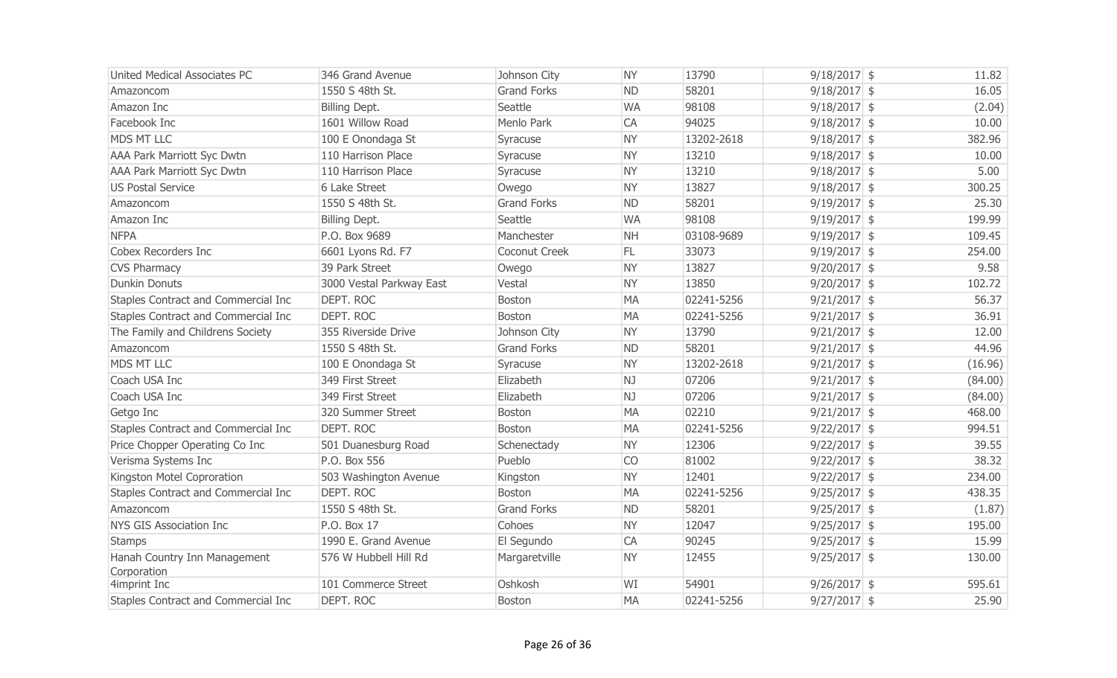| United Medical Associates PC        | 346 Grand Avenue         | Johnson City       | <b>NY</b> | 13790      | $9/18/2017$ \$ | 11.82   |
|-------------------------------------|--------------------------|--------------------|-----------|------------|----------------|---------|
| Amazoncom                           | 1550 S 48th St.          | <b>Grand Forks</b> | <b>ND</b> | 58201      | $9/18/2017$ \$ | 16.05   |
| Amazon Inc                          | Billing Dept.            | Seattle            | <b>WA</b> | 98108      | $9/18/2017$ \$ | (2.04)  |
| Facebook Inc                        | 1601 Willow Road         | Menlo Park         | CA        | 94025      | $9/18/2017$ \$ | 10.00   |
| <b>MDS MT LLC</b>                   | 100 E Onondaga St        | Syracuse           | <b>NY</b> | 13202-2618 | $9/18/2017$ \$ | 382.96  |
| <b>AAA Park Marriott Syc Dwtn</b>   | 110 Harrison Place       | Syracuse           | <b>NY</b> | 13210      | $9/18/2017$ \$ | 10.00   |
| <b>AAA Park Marriott Syc Dwtn</b>   | 110 Harrison Place       | Syracuse           | <b>NY</b> | 13210      | $9/18/2017$ \$ | 5.00    |
| <b>US Postal Service</b>            | 6 Lake Street            | Owego              | <b>NY</b> | 13827      | $9/18/2017$ \$ | 300.25  |
| Amazoncom                           | 1550 S 48th St.          | <b>Grand Forks</b> | <b>ND</b> | 58201      | $9/19/2017$ \$ | 25.30   |
| Amazon Inc                          | Billing Dept.            | Seattle            | <b>WA</b> | 98108      | $9/19/2017$ \$ | 199.99  |
| <b>NFPA</b>                         | P.O. Box 9689            | Manchester         | <b>NH</b> | 03108-9689 | $9/19/2017$ \$ | 109.45  |
| Cobex Recorders Inc                 | 6601 Lyons Rd. F7        | Coconut Creek      | FL.       | 33073      | $9/19/2017$ \$ | 254.00  |
| <b>CVS Pharmacy</b>                 | 39 Park Street           | Owego              | <b>NY</b> | 13827      | 9/20/2017 \$   | 9.58    |
| <b>Dunkin Donuts</b>                | 3000 Vestal Parkway East | Vestal             | <b>NY</b> | 13850      | $9/20/2017$ \$ | 102.72  |
| Staples Contract and Commercial Inc | <b>DEPT. ROC</b>         | Boston             | <b>MA</b> | 02241-5256 | $9/21/2017$ \$ | 56.37   |
| Staples Contract and Commercial Inc | <b>DEPT. ROC</b>         | Boston             | <b>MA</b> | 02241-5256 | $9/21/2017$ \$ | 36.91   |
| The Family and Childrens Society    | 355 Riverside Drive      | Johnson City       | <b>NY</b> | 13790      | $9/21/2017$ \$ | 12.00   |
| Amazoncom                           | 1550 S 48th St.          | <b>Grand Forks</b> | <b>ND</b> | 58201      | $9/21/2017$ \$ | 44.96   |
| <b>MDS MT LLC</b>                   | 100 E Onondaga St        | Syracuse           | <b>NY</b> | 13202-2618 | $9/21/2017$ \$ | (16.96) |
| Coach USA Inc                       | 349 First Street         | Elizabeth          | NJ        | 07206      | $9/21/2017$ \$ | (84.00) |
| Coach USA Inc                       | 349 First Street         | Elizabeth          | NJ.       | 07206      | $9/21/2017$ \$ | (84.00) |
| Getgo Inc                           | 320 Summer Street        | Boston             | <b>MA</b> | 02210      | $9/21/2017$ \$ | 468.00  |
| Staples Contract and Commercial Inc | DEPT. ROC                | Boston             | <b>MA</b> | 02241-5256 | $9/22/2017$ \$ | 994.51  |
| Price Chopper Operating Co Inc      | 501 Duanesburg Road      | Schenectady        | <b>NY</b> | 12306      | $9/22/2017$ \$ | 39.55   |
| Verisma Systems Inc                 | P.O. Box 556             | Pueblo             | <b>CO</b> | 81002      | $9/22/2017$ \$ | 38.32   |
| Kingston Motel Coproration          | 503 Washington Avenue    | Kingston           | <b>NY</b> | 12401      | $9/22/2017$ \$ | 234.00  |
| Staples Contract and Commercial Inc | DEPT. ROC                | Boston             | <b>MA</b> | 02241-5256 | $9/25/2017$ \$ | 438.35  |
| Amazoncom                           | 1550 S 48th St.          | <b>Grand Forks</b> | <b>ND</b> | 58201      | $9/25/2017$ \$ | (1.87)  |
| <b>NYS GIS Association Inc</b>      | P.O. Box 17              | Cohoes             | <b>NY</b> | 12047      | $9/25/2017$ \$ | 195.00  |
| <b>Stamps</b>                       | 1990 E. Grand Avenue     | El Segundo         | CA        | 90245      | $9/25/2017$ \$ | 15.99   |
| Hanah Country Inn Management        | 576 W Hubbell Hill Rd    | Margaretville      | <b>NY</b> | 12455      | $9/25/2017$ \$ | 130.00  |
| Corporation                         |                          |                    |           |            |                |         |
| 4imprint Inc                        | 101 Commerce Street      | Oshkosh            | WI        | 54901      | $9/26/2017$ \$ | 595.61  |
| Staples Contract and Commercial Inc | DEPT. ROC                | Boston             | <b>MA</b> | 02241-5256 | $9/27/2017$ \$ | 25.90   |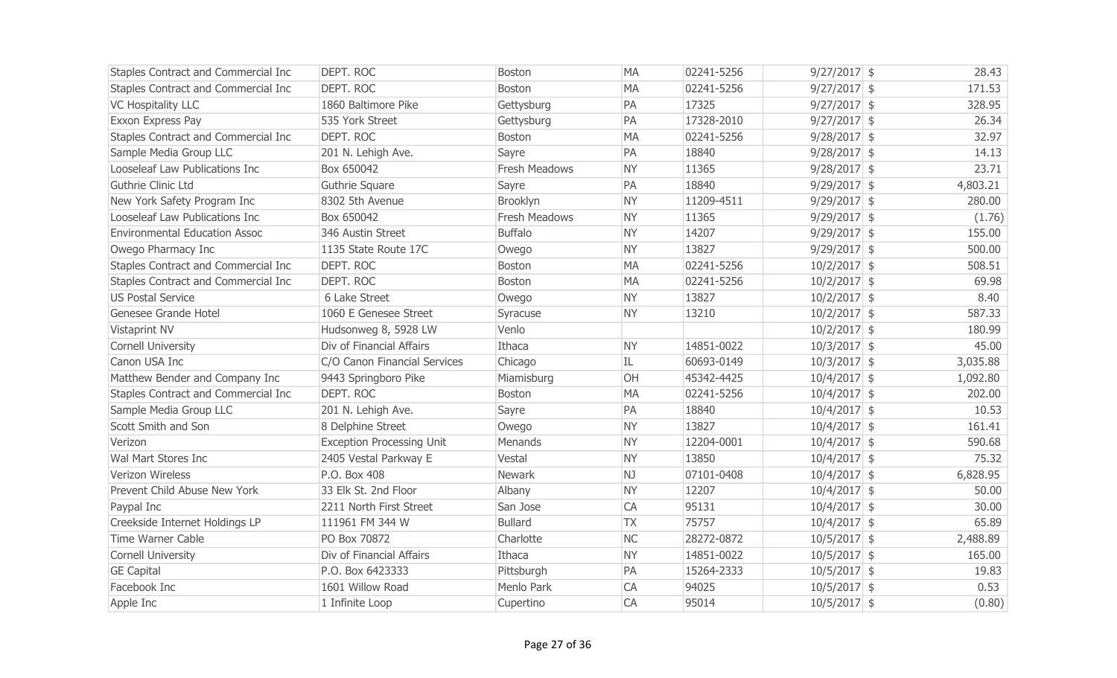| Staples Contract and Commercial Inc  | DEPT. ROC                        | Boston               | <b>MA</b> | 02241-5256 | $9/27/2017$ \$ | 28.43    |
|--------------------------------------|----------------------------------|----------------------|-----------|------------|----------------|----------|
| Staples Contract and Commercial Inc  | <b>DEPT, ROC</b>                 | Boston               | <b>MA</b> | 02241-5256 | $9/27/2017$ \$ | 171.53   |
| <b>VC Hospitality LLC</b>            | 1860 Baltimore Pike              | Gettysburg           | PA        | 17325      | $9/27/2017$ \$ | 328.95   |
| Exxon Express Pay                    | 535 York Street                  | Gettysburg           | PA        | 17328-2010 | $9/27/2017$ \$ | 26.34    |
| Staples Contract and Commercial Inc  | DEPT. ROC                        | Boston               | <b>MA</b> | 02241-5256 | $9/28/2017$ \$ | 32.97    |
| Sample Media Group LLC               | 201 N. Lehigh Ave.               | Sayre                | PA        | 18840      | $9/28/2017$ \$ | 14.13    |
| Looseleaf Law Publications Inc       | Box 650042                       | <b>Fresh Meadows</b> | <b>NY</b> | 11365      | $9/28/2017$ \$ | 23.71    |
| Guthrie Clinic Ltd                   | Guthrie Square                   | Sayre                | PA        | 18840      | $9/29/2017$ \$ | 4,803.21 |
| New York Safety Program Inc          | 8302 5th Avenue                  | Brooklyn             | <b>NY</b> | 11209-4511 | $9/29/2017$ \$ | 280.00   |
| Looseleaf Law Publications Inc       | Box 650042                       | Fresh Meadows        | <b>NY</b> | 11365      | $9/29/2017$ \$ | (1.76)   |
| <b>Environmental Education Assoc</b> | 346 Austin Street                | <b>Buffalo</b>       | <b>NY</b> | 14207      | $9/29/2017$ \$ | 155.00   |
| Owego Pharmacy Inc                   | 1135 State Route 17C             | Owego                | <b>NY</b> | 13827      | $9/29/2017$ \$ | 500.00   |
| Staples Contract and Commercial Inc  | <b>DEPT. ROC</b>                 | Boston               | <b>MA</b> | 02241-5256 | $10/2/2017$ \$ | 508.51   |
| Staples Contract and Commercial Inc  | <b>DEPT. ROC</b>                 | Boston               | <b>MA</b> | 02241-5256 | $10/2/2017$ \$ | 69.98    |
| <b>US Postal Service</b>             | 6 Lake Street                    | Owego                | <b>NY</b> | 13827      | $10/2/2017$ \$ | 8.40     |
| Genesee Grande Hotel                 | 1060 E Genesee Street            | Syracuse             | <b>NY</b> | 13210      | $10/2/2017$ \$ | 587.33   |
| Vistaprint NV                        | Hudsonweg 8, 5928 LW             | Venlo                |           |            | $10/2/2017$ \$ | 180.99   |
| <b>Cornell University</b>            | Div of Financial Affairs         | Ithaca               | <b>NY</b> | 14851-0022 | $10/3/2017$ \$ | 45.00    |
| Canon USA Inc                        | C/O Canon Financial Services     | Chicago              | IL.       | 60693-0149 | $10/3/2017$ \$ | 3,035.88 |
| Matthew Bender and Company Inc       | 9443 Springboro Pike             | Miamisburg           | OH        | 45342-4425 | $10/4/2017$ \$ | 1,092.80 |
| Staples Contract and Commercial Inc  | DEPT. ROC                        | <b>Boston</b>        | <b>MA</b> | 02241-5256 | $10/4/2017$ \$ | 202.00   |
| Sample Media Group LLC               | 201 N. Lehigh Ave.               | Sayre                | PA        | 18840      | $10/4/2017$ \$ | 10.53    |
| Scott Smith and Son                  | 8 Delphine Street                | Owego                | <b>NY</b> | 13827      | $10/4/2017$ \$ | 161.41   |
| Verizon                              | <b>Exception Processing Unit</b> | Menands              | <b>NY</b> | 12204-0001 | $10/4/2017$ \$ | 590.68   |
| Wal Mart Stores Inc                  | 2405 Vestal Parkway E            | Vestal               | <b>NY</b> | 13850      | $10/4/2017$ \$ | 75.32    |
| Verizon Wireless                     | P.O. Box 408                     | Newark               | NJ        | 07101-0408 | $10/4/2017$ \$ | 6,828.95 |
| Prevent Child Abuse New York         | 33 Elk St. 2nd Floor             | Albany               | <b>NY</b> | 12207      | $10/4/2017$ \$ | 50.00    |
| Paypal Inc                           | 2211 North First Street          | San Jose             | <b>CA</b> | 95131      | $10/4/2017$ \$ | 30.00    |
| Creekside Internet Holdings LP       | 111961 FM 344 W                  | <b>Bullard</b>       | <b>TX</b> | 75757      | $10/4/2017$ \$ | 65.89    |
| <b>Time Warner Cable</b>             | PO Box 70872                     | Charlotte            | <b>NC</b> | 28272-0872 | $10/5/2017$ \$ | 2,488.89 |
| <b>Cornell University</b>            | Div of Financial Affairs         | Ithaca               | <b>NY</b> | 14851-0022 | $10/5/2017$ \$ | 165.00   |
| <b>GE Capital</b>                    | P.O. Box 6423333                 | Pittsburgh           | PA        | 15264-2333 | $10/5/2017$ \$ | 19.83    |
| Facebook Inc                         | 1601 Willow Road                 | Menlo Park           | <b>CA</b> | 94025      | $10/5/2017$ \$ | 0.53     |
| Apple Inc                            | 1 Infinite Loop                  | Cupertino            | <b>CA</b> | 95014      | $10/5/2017$ \$ | (0.80)   |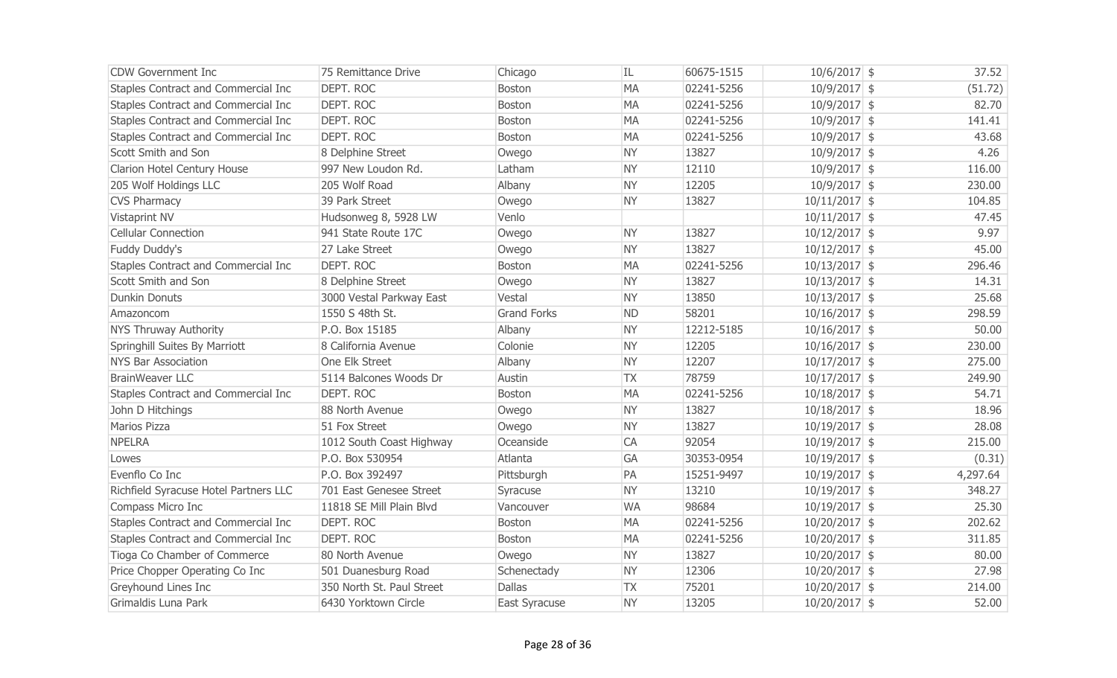| CDW Government Inc                    | 75 Remittance Drive       | Chicago            | IL        | 60675-1515 | $10/6/2017$ \$  | 37.52    |
|---------------------------------------|---------------------------|--------------------|-----------|------------|-----------------|----------|
| Staples Contract and Commercial Inc   | <b>DEPT. ROC</b>          | <b>Boston</b>      | <b>MA</b> | 02241-5256 | $10/9/2017$ \$  | (51.72)  |
| Staples Contract and Commercial Inc   | <b>DEPT. ROC</b>          | Boston             | <b>MA</b> | 02241-5256 | $10/9/2017$ \$  | 82.70    |
| Staples Contract and Commercial Inc   | <b>DEPT. ROC</b>          | <b>Boston</b>      | <b>MA</b> | 02241-5256 | $10/9/2017$ \$  | 141.41   |
| Staples Contract and Commercial Inc   | DEPT. ROC                 | <b>Boston</b>      | <b>MA</b> | 02241-5256 | $10/9/2017$ \$  | 43.68    |
| Scott Smith and Son                   | 8 Delphine Street         | Owego              | <b>NY</b> | 13827      | $10/9/2017$ \$  | 4.26     |
| Clarion Hotel Century House           | 997 New Loudon Rd.        | Latham             | <b>NY</b> | 12110      | $10/9/2017$ \$  | 116.00   |
| 205 Wolf Holdings LLC                 | 205 Wolf Road             | Albany             | <b>NY</b> | 12205      | $10/9/2017$ \$  | 230.00   |
| <b>CVS Pharmacy</b>                   | 39 Park Street            | Owego              | <b>NY</b> | 13827      | $10/11/2017$ \$ | 104.85   |
| Vistaprint NV                         | Hudsonweg 8, 5928 LW      | Venlo              |           |            | $10/11/2017$ \$ | 47.45    |
| <b>Cellular Connection</b>            | 941 State Route 17C       | Owego              | <b>NY</b> | 13827      | $10/12/2017$ \$ | 9.97     |
| Fuddy Duddy's                         | 27 Lake Street            | Owego              | <b>NY</b> | 13827      | $10/12/2017$ \$ | 45.00    |
| Staples Contract and Commercial Inc   | DEPT. ROC                 | <b>Boston</b>      | <b>MA</b> | 02241-5256 | $10/13/2017$ \$ | 296.46   |
| Scott Smith and Son                   | 8 Delphine Street         | Owego              | <b>NY</b> | 13827      | $10/13/2017$ \$ | 14.31    |
| <b>Dunkin Donuts</b>                  | 3000 Vestal Parkway East  | Vestal             | <b>NY</b> | 13850      | $10/13/2017$ \$ | 25.68    |
| Amazoncom                             | 1550 S 48th St.           | <b>Grand Forks</b> | <b>ND</b> | 58201      | $10/16/2017$ \$ | 298.59   |
| <b>NYS Thruway Authority</b>          | P.O. Box 15185            | Albany             | <b>NY</b> | 12212-5185 | $10/16/2017$ \$ | 50.00    |
| Springhill Suites By Marriott         | 8 California Avenue       | Colonie            | <b>NY</b> | 12205      | $10/16/2017$ \$ | 230.00   |
| <b>NYS Bar Association</b>            | One Elk Street            | Albany             | <b>NY</b> | 12207      | $10/17/2017$ \$ | 275.00   |
| <b>BrainWeaver LLC</b>                | 5114 Balcones Woods Dr    | Austin             | <b>TX</b> | 78759      | $10/17/2017$ \$ | 249.90   |
| Staples Contract and Commercial Inc   | DEPT. ROC                 | <b>Boston</b>      | <b>MA</b> | 02241-5256 | $10/18/2017$ \$ | 54.71    |
| John D Hitchings                      | 88 North Avenue           | Owego              | <b>NY</b> | 13827      | $10/18/2017$ \$ | 18.96    |
| Marios Pizza                          | 51 Fox Street             | Owego              | <b>NY</b> | 13827      | $10/19/2017$ \$ | 28.08    |
| <b>NPELRA</b>                         | 1012 South Coast Highway  | Oceanside          | CA        | 92054      | $10/19/2017$ \$ | 215.00   |
| Lowes                                 | P.O. Box 530954           | Atlanta            | <b>GA</b> | 30353-0954 | $10/19/2017$ \$ | (0.31)   |
| Evenflo Co Inc                        | P.O. Box 392497           | Pittsburgh         | PA        | 15251-9497 | $10/19/2017$ \$ | 4,297.64 |
| Richfield Syracuse Hotel Partners LLC | 701 East Genesee Street   | Syracuse           | <b>NY</b> | 13210      | $10/19/2017$ \$ | 348.27   |
| Compass Micro Inc                     | 11818 SE Mill Plain Blvd  | Vancouver          | <b>WA</b> | 98684      | $10/19/2017$ \$ | 25.30    |
| Staples Contract and Commercial Inc   | DEPT. ROC                 | <b>Boston</b>      | <b>MA</b> | 02241-5256 | $10/20/2017$ \$ | 202.62   |
| Staples Contract and Commercial Inc   | DEPT. ROC                 | <b>Boston</b>      | <b>MA</b> | 02241-5256 | $10/20/2017$ \$ | 311.85   |
| Tioga Co Chamber of Commerce          | 80 North Avenue           | Owego              | <b>NY</b> | 13827      | $10/20/2017$ \$ | 80.00    |
| Price Chopper Operating Co Inc        | 501 Duanesburg Road       | Schenectady        | <b>NY</b> | 12306      | $10/20/2017$ \$ | 27.98    |
| Greyhound Lines Inc                   | 350 North St. Paul Street | <b>Dallas</b>      | <b>TX</b> | 75201      | $10/20/2017$ \$ | 214.00   |
| Grimaldis Luna Park                   | 6430 Yorktown Circle      | East Syracuse      | <b>NY</b> | 13205      | $10/20/2017$ \$ | 52.00    |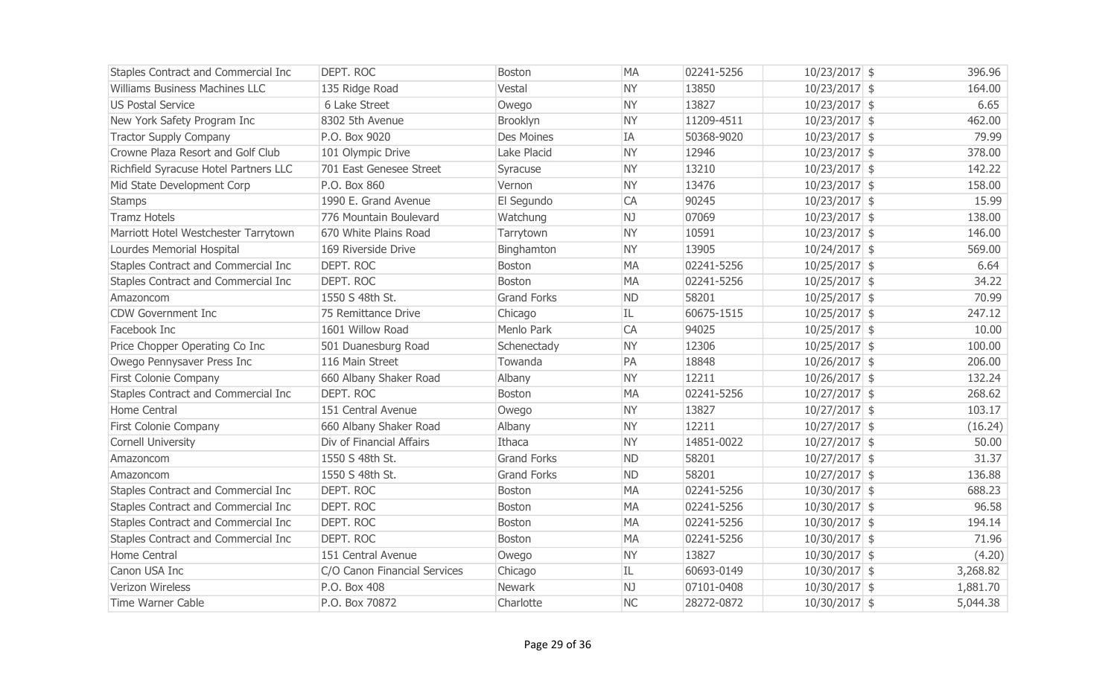| Staples Contract and Commercial Inc   | DEPT. ROC                    | <b>Boston</b>      | <b>MA</b> | 02241-5256 | $10/23/2017$ \$ | 396.96   |
|---------------------------------------|------------------------------|--------------------|-----------|------------|-----------------|----------|
| Williams Business Machines LLC        | 135 Ridge Road               | Vestal             | <b>NY</b> | 13850      | $10/23/2017$ \$ | 164.00   |
| <b>US Postal Service</b>              | 6 Lake Street                | Owego              | <b>NY</b> | 13827      | $10/23/2017$ \$ | 6.65     |
| New York Safety Program Inc           | 8302 5th Avenue              | Brooklyn           | <b>NY</b> | 11209-4511 | $10/23/2017$ \$ | 462.00   |
| <b>Tractor Supply Company</b>         | P.O. Box 9020                | Des Moines         | IA        | 50368-9020 | $10/23/2017$ \$ | 79.99    |
| Crowne Plaza Resort and Golf Club     | 101 Olympic Drive            | Lake Placid        | <b>NY</b> | 12946      | $10/23/2017$ \$ | 378.00   |
| Richfield Syracuse Hotel Partners LLC | 701 East Genesee Street      | Syracuse           | <b>NY</b> | 13210      | $10/23/2017$ \$ | 142.22   |
| Mid State Development Corp            | P.O. Box 860                 | Vernon             | <b>NY</b> | 13476      | $10/23/2017$ \$ | 158.00   |
| <b>Stamps</b>                         | 1990 E. Grand Avenue         | El Segundo         | CA        | 90245      | $10/23/2017$ \$ | 15.99    |
| <b>Tramz Hotels</b>                   | 776 Mountain Boulevard       | Watchung           | NJ        | 07069      | $10/23/2017$ \$ | 138.00   |
| Marriott Hotel Westchester Tarrytown  | 670 White Plains Road        | Tarrytown          | <b>NY</b> | 10591      | $10/23/2017$ \$ | 146.00   |
| Lourdes Memorial Hospital             | 169 Riverside Drive          | Binghamton         | <b>NY</b> | 13905      | $10/24/2017$ \$ | 569.00   |
| Staples Contract and Commercial Inc   | DEPT. ROC                    | <b>Boston</b>      | <b>MA</b> | 02241-5256 | $10/25/2017$ \$ | 6.64     |
| Staples Contract and Commercial Inc   | DEPT. ROC                    | <b>Boston</b>      | <b>MA</b> | 02241-5256 | $10/25/2017$ \$ | 34.22    |
| Amazoncom                             | 1550 S 48th St.              | <b>Grand Forks</b> | <b>ND</b> | 58201      | $10/25/2017$ \$ | 70.99    |
| <b>CDW Government Inc</b>             | 75 Remittance Drive          | Chicago            | IL        | 60675-1515 | $10/25/2017$ \$ | 247.12   |
| Facebook Inc                          | 1601 Willow Road             | Menlo Park         | CA        | 94025      | $10/25/2017$ \$ | 10.00    |
| Price Chopper Operating Co Inc        | 501 Duanesburg Road          | Schenectady        | <b>NY</b> | 12306      | $10/25/2017$ \$ | 100.00   |
| Owego Pennysaver Press Inc            | 116 Main Street              | Towanda            | PA        | 18848      | $10/26/2017$ \$ | 206.00   |
| First Colonie Company                 | 660 Albany Shaker Road       | Albany             | <b>NY</b> | 12211      | $10/26/2017$ \$ | 132.24   |
| Staples Contract and Commercial Inc   | DEPT. ROC                    | <b>Boston</b>      | <b>MA</b> | 02241-5256 | $10/27/2017$ \$ | 268.62   |
| Home Central                          | 151 Central Avenue           | Owego              | <b>NY</b> | 13827      | $10/27/2017$ \$ | 103.17   |
| First Colonie Company                 | 660 Albany Shaker Road       | Albany             | <b>NY</b> | 12211      | $10/27/2017$ \$ | (16.24)  |
| <b>Cornell University</b>             | Div of Financial Affairs     | Ithaca             | <b>NY</b> | 14851-0022 | $10/27/2017$ \$ | 50.00    |
| Amazoncom                             | 1550 S 48th St.              | <b>Grand Forks</b> | <b>ND</b> | 58201      | $10/27/2017$ \$ | 31.37    |
| Amazoncom                             | 1550 S 48th St.              | <b>Grand Forks</b> | <b>ND</b> | 58201      | $10/27/2017$ \$ | 136.88   |
| Staples Contract and Commercial Inc   | <b>DEPT. ROC</b>             | <b>Boston</b>      | <b>MA</b> | 02241-5256 | $10/30/2017$ \$ | 688.23   |
| Staples Contract and Commercial Inc   | DEPT. ROC                    | <b>Boston</b>      | <b>MA</b> | 02241-5256 | $10/30/2017$ \$ | 96.58    |
| Staples Contract and Commercial Inc   | DEPT. ROC                    | Boston             | MA        | 02241-5256 | $10/30/2017$ \$ | 194.14   |
| Staples Contract and Commercial Inc   | <b>DEPT. ROC</b>             | <b>Boston</b>      | <b>MA</b> | 02241-5256 | $10/30/2017$ \$ | 71.96    |
| Home Central                          | 151 Central Avenue           | Owego              | <b>NY</b> | 13827      | $10/30/2017$ \$ | (4.20)   |
| Canon USA Inc                         | C/O Canon Financial Services | Chicago            | IL.       | 60693-0149 | $10/30/2017$ \$ | 3,268.82 |
| Verizon Wireless                      | P.O. Box 408                 | Newark             | NJ        | 07101-0408 | $10/30/2017$ \$ | 1,881.70 |
| <b>Time Warner Cable</b>              | P.O. Box 70872               | Charlotte          | <b>NC</b> | 28272-0872 | $10/30/2017$ \$ | 5,044.38 |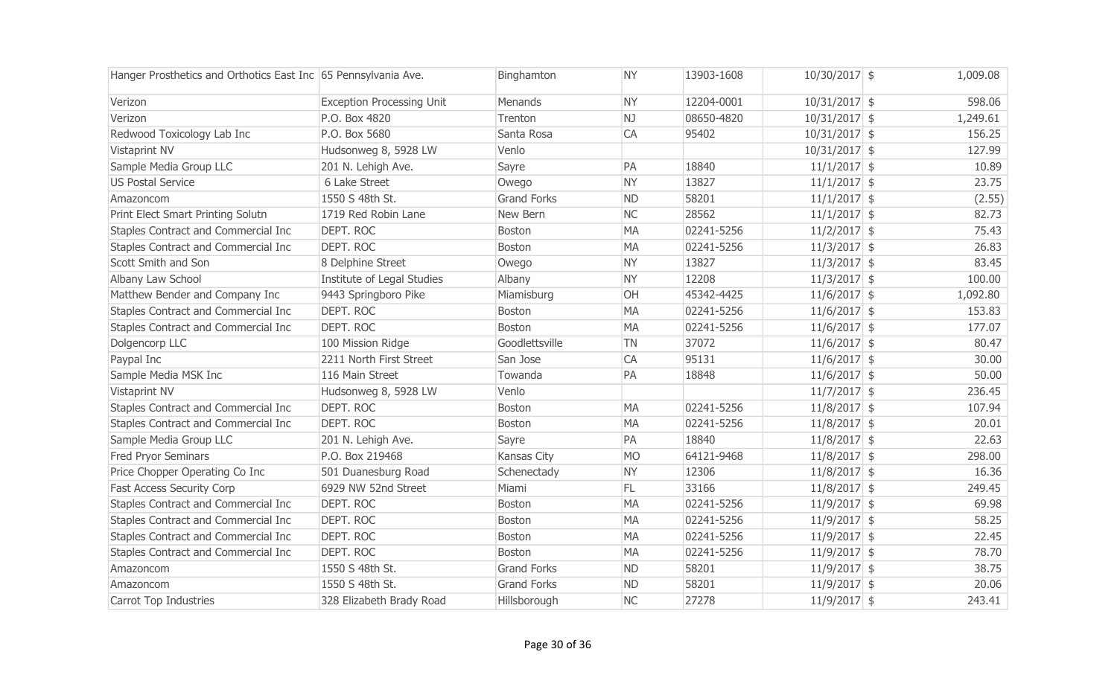| Hanger Prosthetics and Orthotics East Inc 65 Pennsylvania Ave. |                                  | Binghamton         | <b>NY</b> | 13903-1608 | $10/30/2017$ \$ | 1,009.08 |
|----------------------------------------------------------------|----------------------------------|--------------------|-----------|------------|-----------------|----------|
| Verizon                                                        | <b>Exception Processing Unit</b> | Menands            | <b>NY</b> | 12204-0001 | $10/31/2017$ \$ | 598.06   |
| Verizon                                                        | P.O. Box 4820                    | Trenton            | NJ        | 08650-4820 | $10/31/2017$ \$ | 1,249.61 |
| Redwood Toxicology Lab Inc                                     | P.O. Box 5680                    | Santa Rosa         | CA        | 95402      | $10/31/2017$ \$ | 156.25   |
| Vistaprint NV                                                  | Hudsonweg 8, 5928 LW             | Venlo              |           |            | $10/31/2017$ \$ | 127.99   |
| Sample Media Group LLC                                         | 201 N. Lehigh Ave.               | Sayre              | PA        | 18840      | $11/1/2017$ \$  | 10.89    |
| <b>US Postal Service</b>                                       | 6 Lake Street                    | Owego              | <b>NY</b> | 13827      | $11/1/2017$ \$  | 23.75    |
| Amazoncom                                                      | 1550 S 48th St.                  | <b>Grand Forks</b> | <b>ND</b> | 58201      | $11/1/2017$ \$  | (2.55)   |
| Print Elect Smart Printing Solutn                              | 1719 Red Robin Lane              | New Bern           | <b>NC</b> | 28562      | $11/1/2017$ \$  | 82.73    |
| Staples Contract and Commercial Inc                            | DEPT. ROC                        | Boston             | <b>MA</b> | 02241-5256 | $11/2/2017$ \$  | 75.43    |
| Staples Contract and Commercial Inc                            | <b>DEPT. ROC</b>                 | <b>Boston</b>      | <b>MA</b> | 02241-5256 | $11/3/2017$ \$  | 26.83    |
| Scott Smith and Son                                            | 8 Delphine Street                | Owego              | <b>NY</b> | 13827      | $11/3/2017$ \$  | 83.45    |
| Albany Law School                                              | Institute of Legal Studies       | Albany             | <b>NY</b> | 12208      | $11/3/2017$ \$  | 100.00   |
| Matthew Bender and Company Inc                                 | 9443 Springboro Pike             | Miamisburg         | <b>OH</b> | 45342-4425 | $11/6/2017$ \$  | 1,092.80 |
| Staples Contract and Commercial Inc                            | DEPT. ROC                        | <b>Boston</b>      | <b>MA</b> | 02241-5256 | $11/6/2017$ \$  | 153.83   |
| Staples Contract and Commercial Inc                            | DEPT. ROC                        | <b>Boston</b>      | <b>MA</b> | 02241-5256 | $11/6/2017$ \$  | 177.07   |
| Dolgencorp LLC                                                 | 100 Mission Ridge                | Goodlettsville     | <b>TN</b> | 37072      | $11/6/2017$ \$  | 80.47    |
| Paypal Inc                                                     | 2211 North First Street          | San Jose           | <b>CA</b> | 95131      | $11/6/2017$ \$  | 30.00    |
| Sample Media MSK Inc                                           | 116 Main Street                  | Towanda            | PA        | 18848      | $11/6/2017$ \$  | 50.00    |
| Vistaprint NV                                                  | Hudsonweg 8, 5928 LW             | Venlo              |           |            | $11/7/2017$ \$  | 236.45   |
| Staples Contract and Commercial Inc                            | DEPT. ROC                        | <b>Boston</b>      | <b>MA</b> | 02241-5256 | $11/8/2017$ \$  | 107.94   |
| Staples Contract and Commercial Inc                            | DEPT, ROC                        | Boston             | <b>MA</b> | 02241-5256 | $11/8/2017$ \$  | 20.01    |
| Sample Media Group LLC                                         | 201 N. Lehigh Ave.               | Sayre              | PA        | 18840      | $11/8/2017$ \$  | 22.63    |
| <b>Fred Pryor Seminars</b>                                     | P.O. Box 219468                  | <b>Kansas City</b> | <b>MO</b> | 64121-9468 | $11/8/2017$ \$  | 298.00   |
| Price Chopper Operating Co Inc                                 | 501 Duanesburg Road              | Schenectady        | <b>NY</b> | 12306      | $11/8/2017$ \$  | 16.36    |
| <b>Fast Access Security Corp</b>                               | 6929 NW 52nd Street              | Miami              | FL.       | 33166      | $11/8/2017$ \$  | 249.45   |
| Staples Contract and Commercial Inc                            | <b>DEPT. ROC</b>                 | <b>Boston</b>      | <b>MA</b> | 02241-5256 | $11/9/2017$ \$  | 69.98    |
| Staples Contract and Commercial Inc                            | DEPT. ROC                        | Boston             | <b>MA</b> | 02241-5256 | $11/9/2017$ \$  | 58.25    |
| Staples Contract and Commercial Inc                            | <b>DEPT. ROC</b>                 | Boston             | <b>MA</b> | 02241-5256 | $11/9/2017$ \$  | 22.45    |
| Staples Contract and Commercial Inc                            | DEPT. ROC                        | <b>Boston</b>      | <b>MA</b> | 02241-5256 | $11/9/2017$ \$  | 78.70    |
| Amazoncom                                                      | 1550 S 48th St.                  | <b>Grand Forks</b> | <b>ND</b> | 58201      | $11/9/2017$ \$  | 38.75    |
| Amazoncom                                                      | 1550 S 48th St.                  | <b>Grand Forks</b> | <b>ND</b> | 58201      | $11/9/2017$ \$  | 20.06    |
| Carrot Top Industries                                          | 328 Elizabeth Brady Road         | Hillsborough       | <b>NC</b> | 27278      | $11/9/2017$ \$  | 243.41   |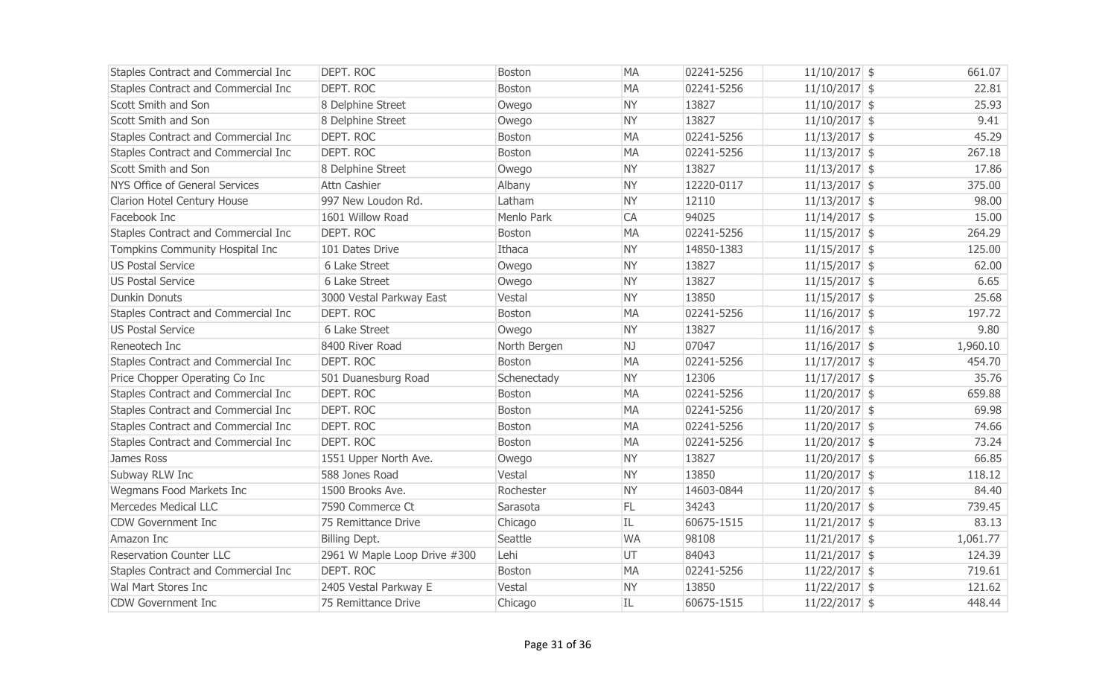| Staples Contract and Commercial Inc | <b>DEPT. ROC</b>             | <b>Boston</b> | <b>MA</b> | 02241-5256 | $11/10/2017$ \$ | 661.07   |
|-------------------------------------|------------------------------|---------------|-----------|------------|-----------------|----------|
| Staples Contract and Commercial Inc | <b>DEPT. ROC</b>             | <b>Boston</b> | <b>MA</b> | 02241-5256 | $11/10/2017$ \$ | 22.81    |
| Scott Smith and Son                 | 8 Delphine Street            | Owego         | <b>NY</b> | 13827      | $11/10/2017$ \$ | 25.93    |
| Scott Smith and Son                 | 8 Delphine Street            | Owego         | <b>NY</b> | 13827      | $11/10/2017$ \$ | 9.41     |
| Staples Contract and Commercial Inc | <b>DEPT. ROC</b>             | <b>Boston</b> | <b>MA</b> | 02241-5256 | $11/13/2017$ \$ | 45.29    |
| Staples Contract and Commercial Inc | <b>DEPT. ROC</b>             | <b>Boston</b> | <b>MA</b> | 02241-5256 | $11/13/2017$ \$ | 267.18   |
| Scott Smith and Son                 | 8 Delphine Street            | Owego         | <b>NY</b> | 13827      | $11/13/2017$ \$ | 17.86    |
| NYS Office of General Services      | Attn Cashier                 | Albany        | <b>NY</b> | 12220-0117 | $11/13/2017$ \$ | 375.00   |
| Clarion Hotel Century House         | 997 New Loudon Rd.           | Latham        | <b>NY</b> | 12110      | $11/13/2017$ \$ | 98.00    |
| Facebook Inc                        | 1601 Willow Road             | Menlo Park    | CA        | 94025      | $11/14/2017$ \$ | 15.00    |
| Staples Contract and Commercial Inc | DEPT. ROC                    | <b>Boston</b> | <b>MA</b> | 02241-5256 | $11/15/2017$ \$ | 264.29   |
| Tompkins Community Hospital Inc     | 101 Dates Drive              | Ithaca        | <b>NY</b> | 14850-1383 | $11/15/2017$ \$ | 125.00   |
| <b>US Postal Service</b>            | 6 Lake Street                | Owego         | NY.       | 13827      | $11/15/2017$ \$ | 62.00    |
| <b>US Postal Service</b>            | 6 Lake Street                | Owego         | <b>NY</b> | 13827      | $11/15/2017$ \$ | 6.65     |
| <b>Dunkin Donuts</b>                | 3000 Vestal Parkway East     | Vestal        | <b>NY</b> | 13850      | $11/15/2017$ \$ | 25.68    |
| Staples Contract and Commercial Inc | DEPT. ROC                    | Boston        | <b>MA</b> | 02241-5256 | $11/16/2017$ \$ | 197.72   |
| <b>US Postal Service</b>            | 6 Lake Street                | Owego         | <b>NY</b> | 13827      | $11/16/2017$ \$ | 9.80     |
| Reneotech Inc                       | 8400 River Road              | North Bergen  | NJ        | 07047      | $11/16/2017$ \$ | 1,960.10 |
| Staples Contract and Commercial Inc | DEPT. ROC                    | <b>Boston</b> | <b>MA</b> | 02241-5256 | $11/17/2017$ \$ | 454.70   |
| Price Chopper Operating Co Inc      | 501 Duanesburg Road          | Schenectady   | <b>NY</b> | 12306      | $11/17/2017$ \$ | 35.76    |
| Staples Contract and Commercial Inc | <b>DEPT. ROC</b>             | <b>Boston</b> | <b>MA</b> | 02241-5256 | $11/20/2017$ \$ | 659.88   |
| Staples Contract and Commercial Inc | <b>DEPT. ROC</b>             | <b>Boston</b> | <b>MA</b> | 02241-5256 | $11/20/2017$ \$ | 69.98    |
| Staples Contract and Commercial Inc | DEPT. ROC                    | <b>Boston</b> | <b>MA</b> | 02241-5256 | $11/20/2017$ \$ | 74.66    |
| Staples Contract and Commercial Inc | DEPT. ROC                    | <b>Boston</b> | <b>MA</b> | 02241-5256 | $11/20/2017$ \$ | 73.24    |
| James Ross                          | 1551 Upper North Ave.        | Owego         | <b>NY</b> | 13827      | $11/20/2017$ \$ | 66.85    |
| Subway RLW Inc                      | 588 Jones Road               | Vestal        | <b>NY</b> | 13850      | $11/20/2017$ \$ | 118.12   |
| Wegmans Food Markets Inc            | 1500 Brooks Ave.             | Rochester     | <b>NY</b> | 14603-0844 | $11/20/2017$ \$ | 84.40    |
| Mercedes Medical LLC                | 7590 Commerce Ct             | Sarasota      | FL.       | 34243      | $11/20/2017$ \$ | 739.45   |
| <b>CDW Government Inc</b>           | 75 Remittance Drive          | Chicago       | IL        | 60675-1515 | $11/21/2017$ \$ | 83.13    |
| Amazon Inc                          | Billing Dept.                | Seattle       | <b>WA</b> | 98108      | $11/21/2017$ \$ | 1,061.77 |
| <b>Reservation Counter LLC</b>      | 2961 W Maple Loop Drive #300 | Lehi          | UT        | 84043      | $11/21/2017$ \$ | 124.39   |
| Staples Contract and Commercial Inc | <b>DEPT. ROC</b>             | <b>Boston</b> | <b>MA</b> | 02241-5256 | $11/22/2017$ \$ | 719.61   |
| Wal Mart Stores Inc                 | 2405 Vestal Parkway E        | Vestal        | <b>NY</b> | 13850      | $11/22/2017$ \$ | 121.62   |
| <b>CDW Government Inc</b>           | 75 Remittance Drive          | Chicago       | IL        | 60675-1515 | $11/22/2017$ \$ | 448.44   |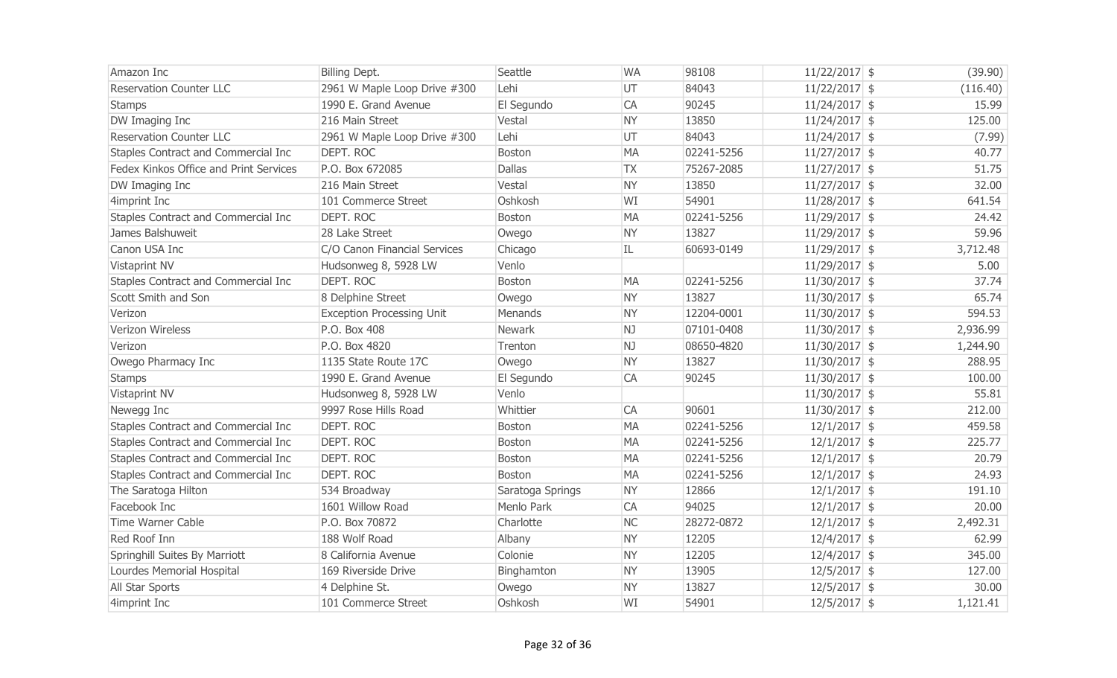| Amazon Inc                             | Billing Dept.                    | Seattle          | <b>WA</b> | 98108      | $11/22/2017$ \$ | (39.90)  |
|----------------------------------------|----------------------------------|------------------|-----------|------------|-----------------|----------|
| <b>Reservation Counter LLC</b>         | 2961 W Maple Loop Drive #300     | Lehi             | UT        | 84043      | $11/22/2017$ \$ | (116.40) |
| <b>Stamps</b>                          | 1990 E. Grand Avenue             | El Segundo       | CA        | 90245      | $11/24/2017$ \$ | 15.99    |
| DW Imaging Inc                         | 216 Main Street                  | Vestal           | <b>NY</b> | 13850      | $11/24/2017$ \$ | 125.00   |
| <b>Reservation Counter LLC</b>         | 2961 W Maple Loop Drive #300     | Lehi             | UT        | 84043      | $11/24/2017$ \$ | (7.99)   |
| Staples Contract and Commercial Inc    | DEPT. ROC                        | <b>Boston</b>    | <b>MA</b> | 02241-5256 | $11/27/2017$ \$ | 40.77    |
| Fedex Kinkos Office and Print Services | P.O. Box 672085                  | <b>Dallas</b>    | <b>TX</b> | 75267-2085 | $11/27/2017$ \$ | 51.75    |
| DW Imaging Inc                         | 216 Main Street                  | Vestal           | <b>NY</b> | 13850      | $11/27/2017$ \$ | 32.00    |
| 4imprint Inc                           | 101 Commerce Street              | Oshkosh          | WI        | 54901      | $11/28/2017$ \$ | 641.54   |
| Staples Contract and Commercial Inc    | DEPT. ROC                        | <b>Boston</b>    | <b>MA</b> | 02241-5256 | $11/29/2017$ \$ | 24.42    |
| James Balshuweit                       | 28 Lake Street                   | Owego            | <b>NY</b> | 13827      | $11/29/2017$ \$ | 59.96    |
| Canon USA Inc                          | C/O Canon Financial Services     | Chicago          | IL        | 60693-0149 | $11/29/2017$ \$ | 3,712.48 |
| Vistaprint NV                          | Hudsonweg 8, 5928 LW             | Venlo            |           |            | $11/29/2017$ \$ | 5.00     |
| Staples Contract and Commercial Inc    | DEPT. ROC                        | <b>Boston</b>    | <b>MA</b> | 02241-5256 | $11/30/2017$ \$ | 37.74    |
| Scott Smith and Son                    | 8 Delphine Street                | Owego            | <b>NY</b> | 13827      | $11/30/2017$ \$ | 65.74    |
| Verizon                                | <b>Exception Processing Unit</b> | Menands          | <b>NY</b> | 12204-0001 | $11/30/2017$ \$ | 594.53   |
| Verizon Wireless                       | P.O. Box 408                     | Newark           | NJ        | 07101-0408 | $11/30/2017$ \$ | 2,936.99 |
| Verizon                                | P.O. Box 4820                    | Trenton          | NJ.       | 08650-4820 | $11/30/2017$ \$ | 1,244.90 |
| Owego Pharmacy Inc                     | 1135 State Route 17C             | Owego            | <b>NY</b> | 13827      | $11/30/2017$ \$ | 288.95   |
| <b>Stamps</b>                          | 1990 E. Grand Avenue             | El Segundo       | CA        | 90245      | $11/30/2017$ \$ | 100.00   |
| Vistaprint NV                          | Hudsonweg 8, 5928 LW             | Venlo            |           |            | $11/30/2017$ \$ | 55.81    |
| Newegg Inc                             | 9997 Rose Hills Road             | Whittier         | CA        | 90601      | $11/30/2017$ \$ | 212.00   |
| Staples Contract and Commercial Inc    | DEPT. ROC                        | <b>Boston</b>    | <b>MA</b> | 02241-5256 | $12/1/2017$ \$  | 459.58   |
| Staples Contract and Commercial Inc    | DEPT. ROC                        | Boston           | <b>MA</b> | 02241-5256 | $12/1/2017$ \$  | 225.77   |
| Staples Contract and Commercial Inc    | <b>DEPT. ROC</b>                 | <b>Boston</b>    | <b>MA</b> | 02241-5256 | $12/1/2017$ \$  | 20.79    |
| Staples Contract and Commercial Inc    | DEPT. ROC                        | <b>Boston</b>    | <b>MA</b> | 02241-5256 | $12/1/2017$ \$  | 24.93    |
| The Saratoga Hilton                    | 534 Broadway                     | Saratoga Springs | <b>NY</b> | 12866      | $12/1/2017$ \$  | 191.10   |
| Facebook Inc                           | 1601 Willow Road                 | Menlo Park       | CA        | 94025      | $12/1/2017$ \$  | 20.00    |
| Time Warner Cable                      | P.O. Box 70872                   | Charlotte        | <b>NC</b> | 28272-0872 | $12/1/2017$ \$  | 2,492.31 |
| Red Roof Inn                           | 188 Wolf Road                    | Albany           | <b>NY</b> | 12205      | $12/4/2017$ \$  | 62.99    |
| Springhill Suites By Marriott          | 8 California Avenue              | Colonie          | <b>NY</b> | 12205      | $12/4/2017$ \$  | 345.00   |
| Lourdes Memorial Hospital              | 169 Riverside Drive              | Binghamton       | <b>NY</b> | 13905      | $12/5/2017$ \$  | 127.00   |
| All Star Sports                        | 4 Delphine St.                   | Owego            | <b>NY</b> | 13827      | $12/5/2017$ \$  | 30.00    |
| 4imprint Inc                           | 101 Commerce Street              | Oshkosh          | WI        | 54901      | $12/5/2017$ \$  | 1,121.41 |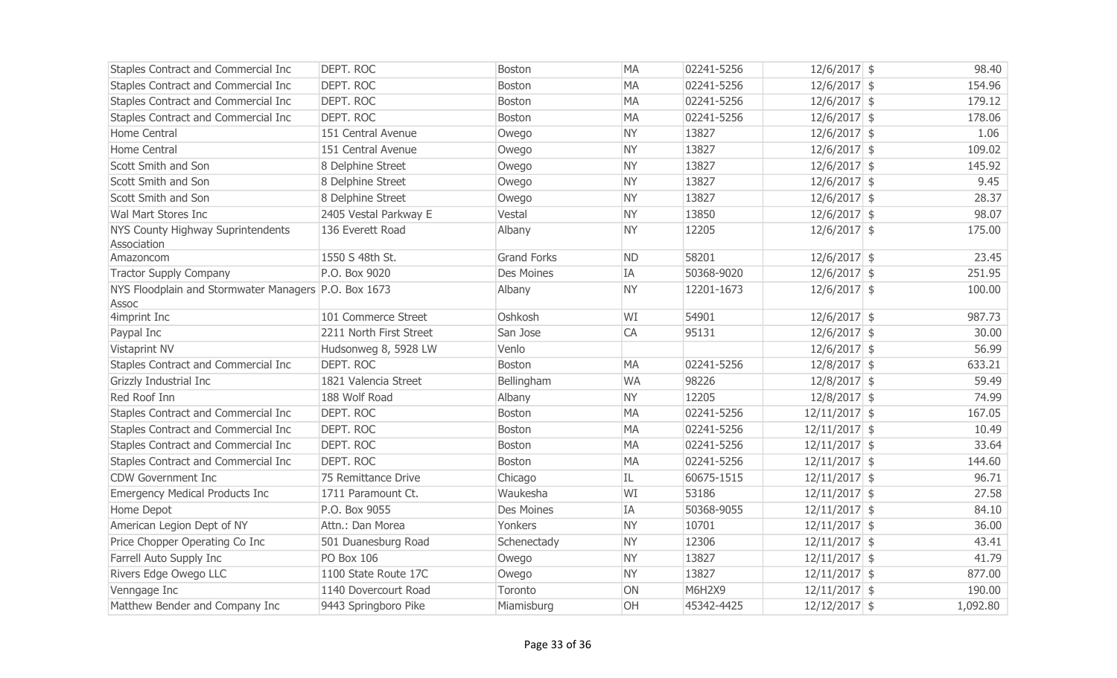| Staples Contract and Commercial Inc                  | <b>DEPT. ROC</b>        | Boston             | <b>MA</b> | 02241-5256 | $12/6/2017$ \$  |          | 98.40  |
|------------------------------------------------------|-------------------------|--------------------|-----------|------------|-----------------|----------|--------|
| Staples Contract and Commercial Inc                  | <b>DEPT. ROC</b>        | <b>Boston</b>      | <b>MA</b> | 02241-5256 | $12/6/2017$ \$  |          | 154.96 |
| Staples Contract and Commercial Inc                  | <b>DEPT, ROC</b>        | <b>Boston</b>      | <b>MA</b> | 02241-5256 | $12/6/2017$ \$  |          | 179.12 |
| Staples Contract and Commercial Inc                  | <b>DEPT. ROC</b>        | Boston             | <b>MA</b> | 02241-5256 | $12/6/2017$ \$  |          | 178.06 |
| Home Central                                         | 151 Central Avenue      | Owego              | <b>NY</b> | 13827      | $12/6/2017$ \$  |          | 1.06   |
| Home Central                                         | 151 Central Avenue      | Owego              | <b>NY</b> | 13827      | $12/6/2017$ \$  |          | 109.02 |
| Scott Smith and Son                                  | 8 Delphine Street       | Owego              | <b>NY</b> | 13827      | $12/6/2017$ \$  |          | 145.92 |
| Scott Smith and Son                                  | 8 Delphine Street       | Owego              | <b>NY</b> | 13827      | $12/6/2017$ \$  |          | 9.45   |
| Scott Smith and Son                                  | 8 Delphine Street       | Owego              | <b>NY</b> | 13827      | $12/6/2017$ \$  |          | 28.37  |
| Wal Mart Stores Inc                                  | 2405 Vestal Parkway E   | Vestal             | <b>NY</b> | 13850      | $12/6/2017$ \$  |          | 98.07  |
| NYS County Highway Suprintendents                    | 136 Everett Road        | Albany             | <b>NY</b> | 12205      | $12/6/2017$ \$  |          | 175.00 |
| Association                                          |                         |                    |           |            |                 |          |        |
| Amazoncom                                            | 1550 S 48th St.         | <b>Grand Forks</b> | <b>ND</b> | 58201      | $12/6/2017$ \$  |          | 23.45  |
| <b>Tractor Supply Company</b>                        | P.O. Box 9020           | <b>Des Moines</b>  | IA        | 50368-9020 | $12/6/2017$ \$  |          | 251.95 |
| NYS Floodplain and Stormwater Managers P.O. Box 1673 |                         | Albany             | <b>NY</b> | 12201-1673 | $12/6/2017$ \$  |          | 100.00 |
| Assoc                                                |                         |                    |           |            |                 |          |        |
| 4imprint Inc                                         | 101 Commerce Street     | Oshkosh            | WI        | 54901      | $12/6/2017$ \$  |          | 987.73 |
| Paypal Inc                                           | 2211 North First Street | San Jose           | CA        | 95131      | $12/6/2017$ \$  |          | 30.00  |
| Vistaprint NV                                        | Hudsonweg 8, 5928 LW    | Venlo              |           |            | $12/6/2017$ \$  |          | 56.99  |
| Staples Contract and Commercial Inc                  | <b>DEPT. ROC</b>        | <b>Boston</b>      | <b>MA</b> | 02241-5256 | $12/8/2017$ \$  |          | 633.21 |
| Grizzly Industrial Inc                               | 1821 Valencia Street    | Bellingham         | <b>WA</b> | 98226      | $12/8/2017$ \$  |          | 59.49  |
| Red Roof Inn                                         | 188 Wolf Road           | Albany             | NY.       | 12205      | $12/8/2017$ \$  |          | 74.99  |
| Staples Contract and Commercial Inc                  | <b>DEPT. ROC</b>        | <b>Boston</b>      | <b>MA</b> | 02241-5256 | $12/11/2017$ \$ |          | 167.05 |
| Staples Contract and Commercial Inc                  | <b>DEPT. ROC</b>        | Boston             | <b>MA</b> | 02241-5256 | $12/11/2017$ \$ |          | 10.49  |
| Staples Contract and Commercial Inc                  | <b>DEPT. ROC</b>        | Boston             | <b>MA</b> | 02241-5256 | $12/11/2017$ \$ |          | 33.64  |
| Staples Contract and Commercial Inc                  | <b>DEPT. ROC</b>        | Boston             | <b>MA</b> | 02241-5256 | $12/11/2017$ \$ |          | 144.60 |
| <b>CDW Government Inc</b>                            | 75 Remittance Drive     | Chicago            | IL        | 60675-1515 | $12/11/2017$ \$ |          | 96.71  |
| <b>Emergency Medical Products Inc</b>                | 1711 Paramount Ct.      | Waukesha           | WI        | 53186      | $12/11/2017$ \$ |          | 27.58  |
| Home Depot                                           | P.O. Box 9055           | <b>Des Moines</b>  | IA        | 50368-9055 | $12/11/2017$ \$ |          | 84.10  |
| American Legion Dept of NY                           | Attn.: Dan Morea        | Yonkers            | <b>NY</b> | 10701      | $12/11/2017$ \$ |          | 36.00  |
| Price Chopper Operating Co Inc                       | 501 Duanesburg Road     | Schenectady        | <b>NY</b> | 12306      | $12/11/2017$ \$ |          | 43.41  |
| Farrell Auto Supply Inc                              | <b>PO Box 106</b>       | Owego              | <b>NY</b> | 13827      | $12/11/2017$ \$ |          | 41.79  |
| Rivers Edge Owego LLC                                | 1100 State Route 17C    | Owego              | <b>NY</b> | 13827      | $12/11/2017$ \$ |          | 877.00 |
| Venngage Inc                                         | 1140 Dovercourt Road    | Toronto            | ON        | M6H2X9     | $12/11/2017$ \$ |          | 190.00 |
| Matthew Bender and Company Inc                       | 9443 Springboro Pike    | Miamisburg         | OH        | 45342-4425 | $12/12/2017$ \$ | 1,092.80 |        |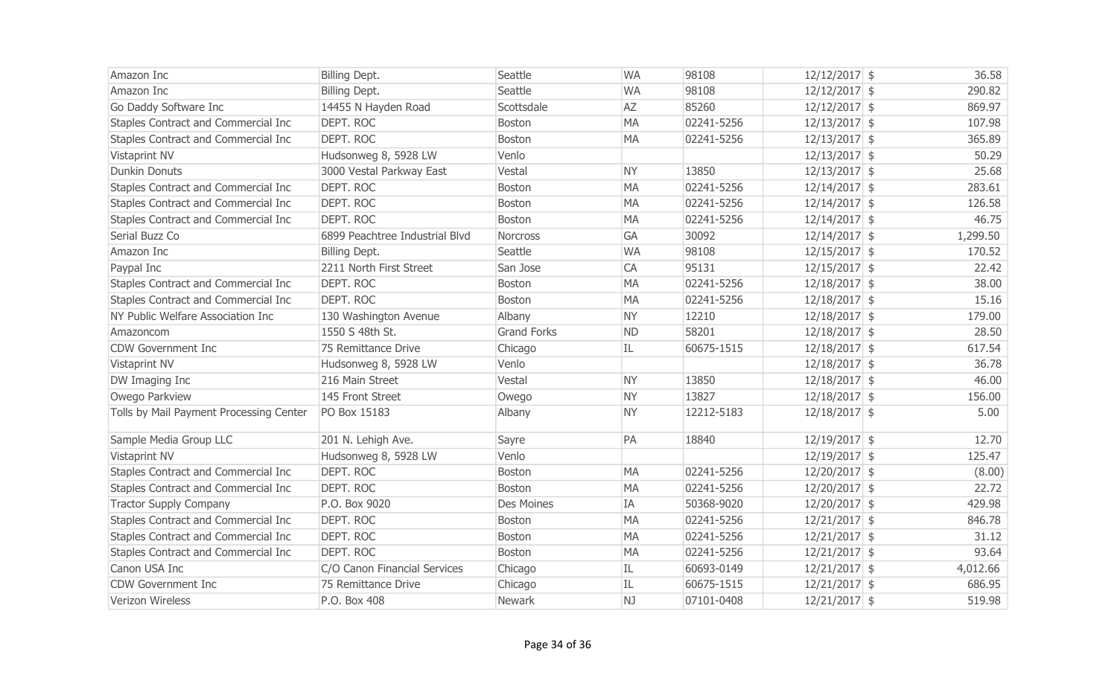| Amazon Inc                              | Billing Dept.                  | Seattle            | <b>WA</b> | 98108      | $12/12/2017$ \$ | 36.58    |
|-----------------------------------------|--------------------------------|--------------------|-----------|------------|-----------------|----------|
| Amazon Inc                              | Billing Dept.                  | Seattle            | <b>WA</b> | 98108      | $12/12/2017$ \$ | 290.82   |
| Go Daddy Software Inc                   | 14455 N Hayden Road            | Scottsdale         | AZ        | 85260      | $12/12/2017$ \$ | 869.97   |
| Staples Contract and Commercial Inc     | DEPT. ROC                      | <b>Boston</b>      | <b>MA</b> | 02241-5256 | $12/13/2017$ \$ | 107.98   |
| Staples Contract and Commercial Inc     | DEPT. ROC                      | Boston             | <b>MA</b> | 02241-5256 | $12/13/2017$ \$ | 365.89   |
| Vistaprint NV                           | Hudsonweg 8, 5928 LW           | Venlo              |           |            | $12/13/2017$ \$ | 50.29    |
| <b>Dunkin Donuts</b>                    | 3000 Vestal Parkway East       | Vestal             | <b>NY</b> | 13850      | $12/13/2017$ \$ | 25.68    |
| Staples Contract and Commercial Inc     | DEPT. ROC                      | Boston             | <b>MA</b> | 02241-5256 | $12/14/2017$ \$ | 283.61   |
| Staples Contract and Commercial Inc     | DEPT. ROC                      | <b>Boston</b>      | <b>MA</b> | 02241-5256 | $12/14/2017$ \$ | 126.58   |
| Staples Contract and Commercial Inc     | DEPT. ROC                      | <b>Boston</b>      | <b>MA</b> | 02241-5256 | $12/14/2017$ \$ | 46.75    |
| Serial Buzz Co                          | 6899 Peachtree Industrial Blvd | Norcross           | GA        | 30092      | $12/14/2017$ \$ | 1,299.50 |
| Amazon Inc                              | Billing Dept.                  | Seattle            | <b>WA</b> | 98108      | $12/15/2017$ \$ | 170.52   |
| Paypal Inc                              | 2211 North First Street        | San Jose           | CA        | 95131      | $12/15/2017$ \$ | 22.42    |
| Staples Contract and Commercial Inc     | DEPT. ROC                      | Boston             | <b>MA</b> | 02241-5256 | $12/18/2017$ \$ | 38.00    |
| Staples Contract and Commercial Inc     | DEPT. ROC                      | <b>Boston</b>      | <b>MA</b> | 02241-5256 | $12/18/2017$ \$ | 15.16    |
| NY Public Welfare Association Inc       | 130 Washington Avenue          | Albany             | <b>NY</b> | 12210      | $12/18/2017$ \$ | 179.00   |
| Amazoncom                               | 1550 S 48th St.                | <b>Grand Forks</b> | <b>ND</b> | 58201      | $12/18/2017$ \$ | 28.50    |
| <b>CDW Government Inc</b>               | 75 Remittance Drive            | Chicago            | IL        | 60675-1515 | $12/18/2017$ \$ | 617.54   |
| Vistaprint NV                           | Hudsonweg 8, 5928 LW           | Venlo              |           |            | $12/18/2017$ \$ | 36.78    |
| DW Imaging Inc                          | 216 Main Street                | Vestal             | <b>NY</b> | 13850      | $12/18/2017$ \$ | 46.00    |
| Owego Parkview                          | 145 Front Street               | Owego              | <b>NY</b> | 13827      | $12/18/2017$ \$ | 156.00   |
| Tolls by Mail Payment Processing Center | PO Box 15183                   | Albany             | <b>NY</b> | 12212-5183 | $12/18/2017$ \$ | 5.00     |
| Sample Media Group LLC                  | 201 N. Lehigh Ave.             | Sayre              | PA        | 18840      | $12/19/2017$ \$ | 12.70    |
| Vistaprint NV                           | Hudsonweg 8, 5928 LW           | Venlo              |           |            | $12/19/2017$ \$ | 125.47   |
| Staples Contract and Commercial Inc     | DEPT. ROC                      | <b>Boston</b>      | <b>MA</b> | 02241-5256 | $12/20/2017$ \$ | (8.00)   |
| Staples Contract and Commercial Inc     | DEPT. ROC                      | <b>Boston</b>      | <b>MA</b> | 02241-5256 | $12/20/2017$ \$ | 22.72    |
| <b>Tractor Supply Company</b>           | P.O. Box 9020                  | Des Moines         | IA        | 50368-9020 | $12/20/2017$ \$ | 429.98   |
| Staples Contract and Commercial Inc     | DEPT. ROC                      | Boston             | <b>MA</b> | 02241-5256 | $12/21/2017$ \$ | 846.78   |
| Staples Contract and Commercial Inc     | <b>DEPT. ROC</b>               | <b>Boston</b>      | <b>MA</b> | 02241-5256 | $12/21/2017$ \$ | 31.12    |
| Staples Contract and Commercial Inc     | DEPT. ROC                      | <b>Boston</b>      | <b>MA</b> | 02241-5256 | $12/21/2017$ \$ | 93.64    |
| Canon USA Inc                           | C/O Canon Financial Services   | Chicago            | IL        | 60693-0149 | $12/21/2017$ \$ | 4,012.66 |
| <b>CDW Government Inc</b>               | 75 Remittance Drive            | Chicago            | IL        | 60675-1515 | $12/21/2017$ \$ | 686.95   |
| Verizon Wireless                        | P.O. Box 408                   | Newark             | NJ        | 07101-0408 | $12/21/2017$ \$ | 519.98   |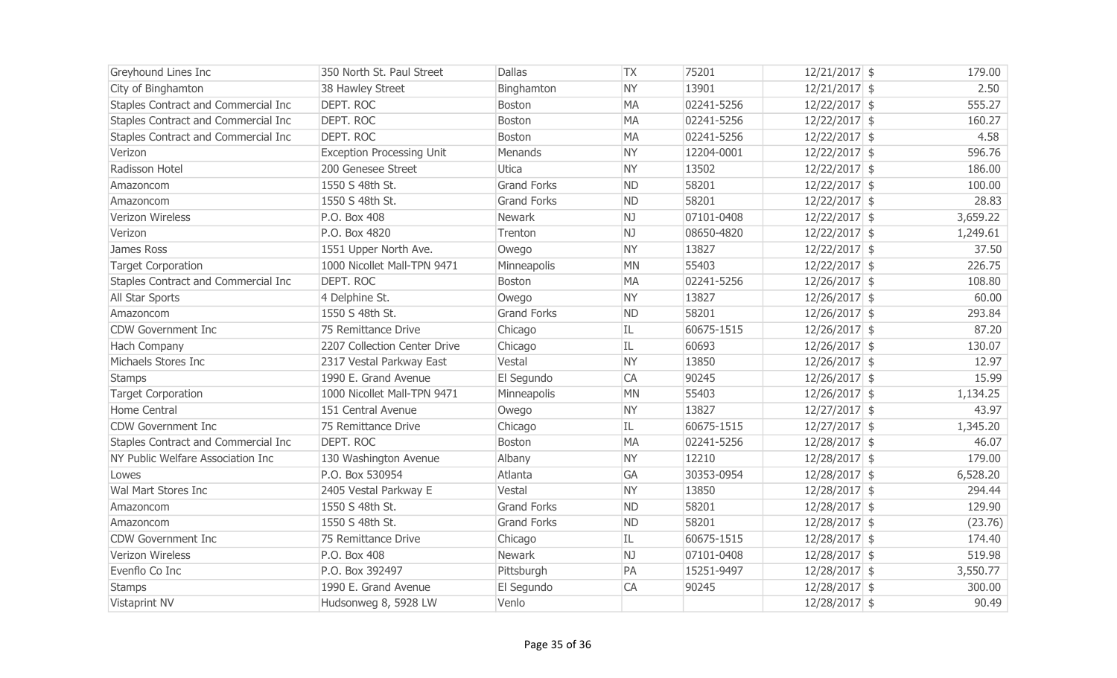| Greyhound Lines Inc                 | 350 North St. Paul Street        | <b>Dallas</b>      | <b>TX</b> | 75201      | $12/21/2017$ \$ | 179.00   |
|-------------------------------------|----------------------------------|--------------------|-----------|------------|-----------------|----------|
| City of Binghamton                  | 38 Hawley Street                 | Binghamton         | <b>NY</b> | 13901      | $12/21/2017$ \$ | 2.50     |
| Staples Contract and Commercial Inc | DEPT. ROC                        | <b>Boston</b>      | <b>MA</b> | 02241-5256 | $12/22/2017$ \$ | 555.27   |
| Staples Contract and Commercial Inc | <b>DEPT. ROC</b>                 | <b>Boston</b>      | <b>MA</b> | 02241-5256 | $12/22/2017$ \$ | 160.27   |
| Staples Contract and Commercial Inc | DEPT. ROC                        | <b>Boston</b>      | <b>MA</b> | 02241-5256 | $12/22/2017$ \$ | 4.58     |
| Verizon                             | <b>Exception Processing Unit</b> | Menands            | <b>NY</b> | 12204-0001 | 12/22/2017 \$   | 596.76   |
| Radisson Hotel                      | 200 Genesee Street               | Utica              | <b>NY</b> | 13502      | $12/22/2017$ \$ | 186.00   |
| Amazoncom                           | 1550 S 48th St.                  | <b>Grand Forks</b> | <b>ND</b> | 58201      | $12/22/2017$ \$ | 100.00   |
| Amazoncom                           | 1550 S 48th St.                  | <b>Grand Forks</b> | <b>ND</b> | 58201      | $12/22/2017$ \$ | 28.83    |
| Verizon Wireless                    | P.O. Box 408                     | Newark             | NJ        | 07101-0408 | $12/22/2017$ \$ | 3,659.22 |
| Verizon                             | P.O. Box 4820                    | Trenton            | NJ        | 08650-4820 | $12/22/2017$ \$ | 1,249.61 |
| James Ross                          | 1551 Upper North Ave.            | Owego              | <b>NY</b> | 13827      | $12/22/2017$ \$ | 37.50    |
| <b>Target Corporation</b>           | 1000 Nicollet Mall-TPN 9471      | Minneapolis        | <b>MN</b> | 55403      | $12/22/2017$ \$ | 226.75   |
| Staples Contract and Commercial Inc | DEPT. ROC                        | <b>Boston</b>      | <b>MA</b> | 02241-5256 | $12/26/2017$ \$ | 108.80   |
| All Star Sports                     | 4 Delphine St.                   | Owego              | <b>NY</b> | 13827      | $12/26/2017$ \$ | 60.00    |
| Amazoncom                           | 1550 S 48th St.                  | <b>Grand Forks</b> | <b>ND</b> | 58201      | $12/26/2017$ \$ | 293.84   |
| <b>CDW Government Inc</b>           | 75 Remittance Drive              | Chicago            | IL        | 60675-1515 | $12/26/2017$ \$ | 87.20    |
| Hach Company                        | 2207 Collection Center Drive     | Chicago            | IL        | 60693      | $12/26/2017$ \$ | 130.07   |
| Michaels Stores Inc                 | 2317 Vestal Parkway East         | Vestal             | <b>NY</b> | 13850      | $12/26/2017$ \$ | 12.97    |
| <b>Stamps</b>                       | 1990 E. Grand Avenue             | El Segundo         | <b>CA</b> | 90245      | $12/26/2017$ \$ | 15.99    |
| <b>Target Corporation</b>           | 1000 Nicollet Mall-TPN 9471      | Minneapolis        | <b>MN</b> | 55403      | $12/26/2017$ \$ | 1,134.25 |
| Home Central                        | 151 Central Avenue               | Owego              | <b>NY</b> | 13827      | $12/27/2017$ \$ | 43.97    |
| <b>CDW Government Inc</b>           | 75 Remittance Drive              | Chicago            | IL        | 60675-1515 | $12/27/2017$ \$ | 1,345.20 |
| Staples Contract and Commercial Inc | DEPT. ROC                        | <b>Boston</b>      | <b>MA</b> | 02241-5256 | 12/28/2017 \$   | 46.07    |
| NY Public Welfare Association Inc   | 130 Washington Avenue            | Albany             | <b>NY</b> | 12210      | 12/28/2017 \$   | 179.00   |
| Lowes                               | P.O. Box 530954                  | Atlanta            | <b>GA</b> | 30353-0954 | 12/28/2017 \$   | 6,528.20 |
| Wal Mart Stores Inc                 | 2405 Vestal Parkway E            | Vestal             | <b>NY</b> | 13850      | 12/28/2017 \$   | 294.44   |
| Amazoncom                           | 1550 S 48th St.                  | <b>Grand Forks</b> | <b>ND</b> | 58201      | 12/28/2017 \$   | 129.90   |
| Amazoncom                           | 1550 S 48th St.                  | <b>Grand Forks</b> | <b>ND</b> | 58201      | 12/28/2017 \$   | (23.76)  |
| <b>CDW Government Inc</b>           | 75 Remittance Drive              | Chicago            | IL        | 60675-1515 | 12/28/2017 \$   | 174.40   |
| <b>Verizon Wireless</b>             | P.O. Box 408                     | Newark             | NJ        | 07101-0408 | 12/28/2017 \$   | 519.98   |
| Evenflo Co Inc                      | P.O. Box 392497                  | Pittsburgh         | PA        | 15251-9497 | 12/28/2017 \$   | 3,550.77 |
| <b>Stamps</b>                       | 1990 E. Grand Avenue             | El Segundo         | <b>CA</b> | 90245      | 12/28/2017 \$   | 300.00   |
| Vistaprint NV                       | Hudsonweg 8, 5928 LW             | Venlo              |           |            | 12/28/2017 \$   | 90.49    |